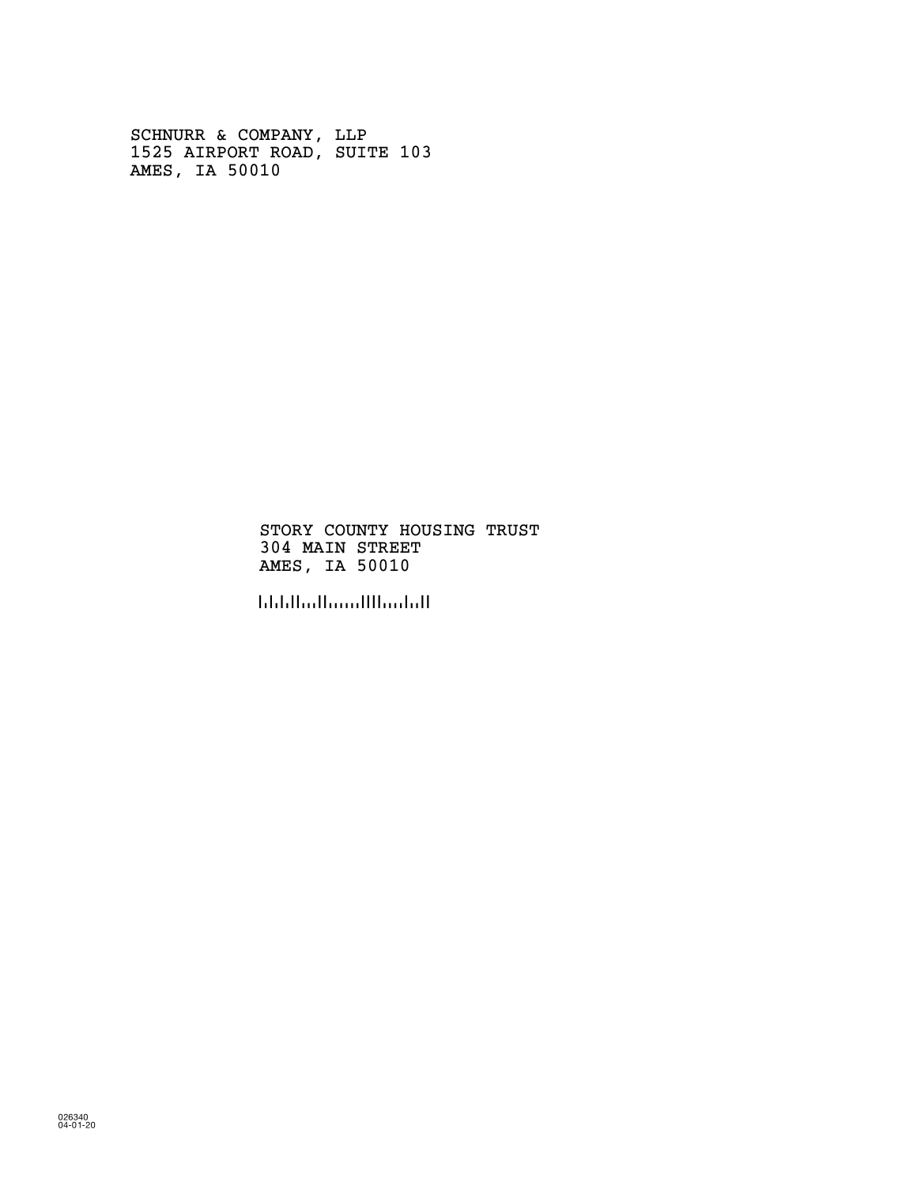SCHNURR & COMPANY, LLP 1525 AIRPORT ROAD, SUITE 103 AMES, IA 50010

> STORY COUNTY HOUSING TRUST 304 MAIN STREET AMES, IA 50010

!500104!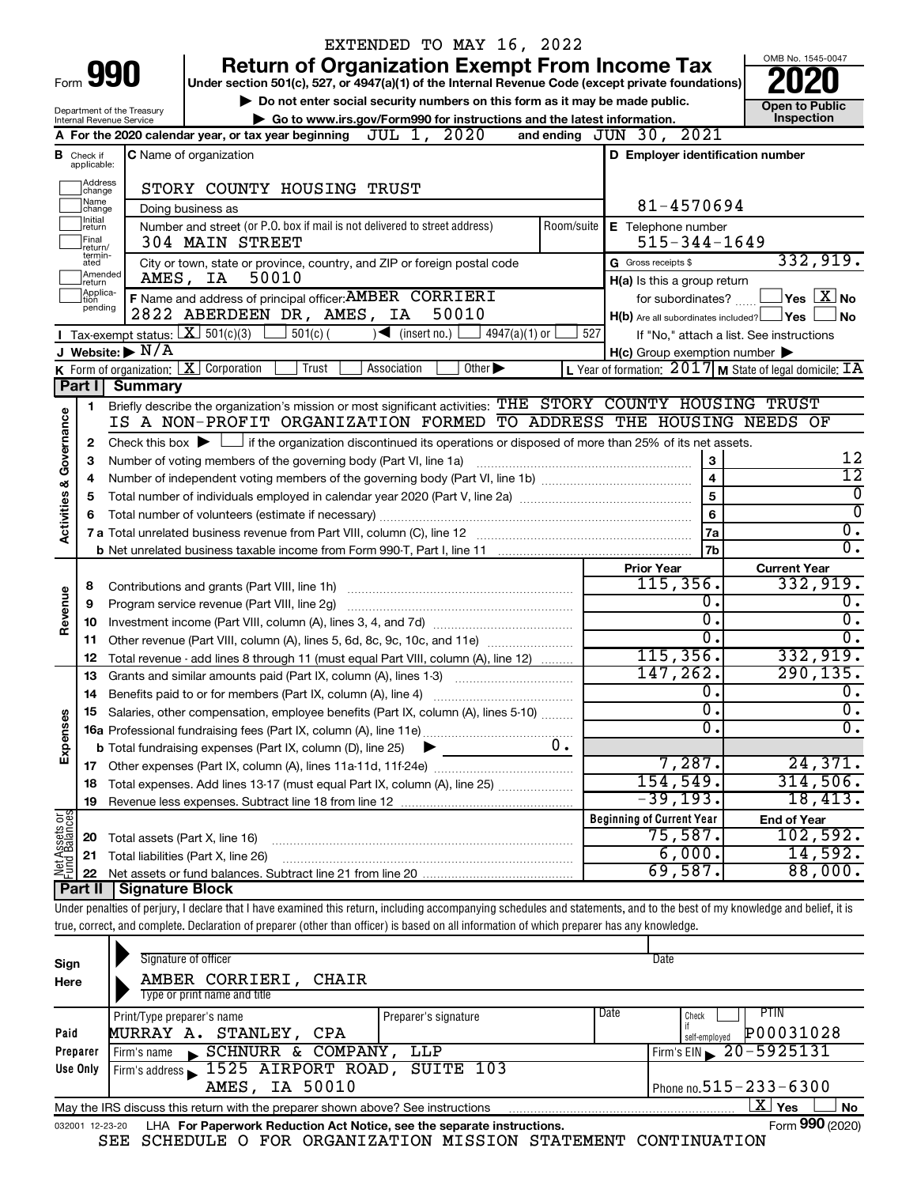|                         |                                  |                                                                             | EXTENDED TO MAY 16, 2022                                                                                                                                                   |                                                             |                                          |
|-------------------------|----------------------------------|-----------------------------------------------------------------------------|----------------------------------------------------------------------------------------------------------------------------------------------------------------------------|-------------------------------------------------------------|------------------------------------------|
|                         |                                  |                                                                             | <b>Return of Organization Exempt From Income Tax</b>                                                                                                                       |                                                             | OMB No. 1545-0047                        |
|                         |                                  | Form 990                                                                    | Under section 501(c), 527, or 4947(a)(1) of the Internal Revenue Code (except private foundations)                                                                         |                                                             |                                          |
|                         |                                  | Do not enter social security numbers on this form as it may be made public. | <b>Open to Public</b>                                                                                                                                                      |                                                             |                                          |
|                         |                                  | Department of the Treasury<br>Internal Revenue Service                      | Go to www.irs.gov/Form990 for instructions and the latest information.                                                                                                     |                                                             | Inspection                               |
|                         |                                  |                                                                             | A For the 2020 calendar year, or tax year beginning $\,$ JUL $\,$ $1$ , $\,$ $\,2020$                                                                                      | and ending $JUN$ 30, $2021$                                 |                                          |
|                         | <b>B</b> Check if<br>applicable: |                                                                             | C Name of organization                                                                                                                                                     | D Employer identification number                            |                                          |
|                         | Address<br>change                |                                                                             | STORY COUNTY HOUSING TRUST                                                                                                                                                 |                                                             |                                          |
|                         | Name<br>change                   |                                                                             | Doing business as                                                                                                                                                          | 81-4570694                                                  |                                          |
|                         | Initial<br>return                |                                                                             | Number and street (or P.O. box if mail is not delivered to street address)<br>Room/suite                                                                                   | E Telephone number                                          |                                          |
|                         | Final<br>return/                 |                                                                             | 304 MAIN STREET                                                                                                                                                            | $515 - 344 - 1649$                                          |                                          |
|                         | termin-<br>ated                  |                                                                             | City or town, state or province, country, and ZIP or foreign postal code                                                                                                   | G Gross receipts \$                                         | 332,919.                                 |
|                         | Amended<br>Ireturn               |                                                                             | 50010<br>AMES, IA                                                                                                                                                          | H(a) Is this a group return                                 |                                          |
|                         | Applica-<br>tion                 |                                                                             | F Name and address of principal officer: AMBER CORRIERI                                                                                                                    | for subordinates?                                           | $\exists$ Yes $\boxed{\text{X}}$ No      |
|                         | pending                          |                                                                             | 2822 ABERDEEN DR, AMES, IA<br>50010                                                                                                                                        | $H(b)$ Are all subordinates included? $\Box$ Yes            | ⊥No                                      |
|                         |                                  | <b>I</b> Tax-exempt status: $\boxed{\mathbf{X}}$ 501(c)(3)                  | $501(c)$ (<br>$\sqrt{\frac{1}{1}}$ (insert no.)<br>4947(a)(1) or                                                                                                           | 527                                                         | If "No," attach a list. See instructions |
|                         |                                  | J Website: $\triangleright$ N/A                                             |                                                                                                                                                                            | $H(c)$ Group exemption number $\blacktriangleright$         |                                          |
|                         |                                  |                                                                             | K Form of organization: $X$ Corporation<br>Trust<br>Other $\blacktriangleright$<br>Association                                                                             | L Year of formation: $2017$ M State of legal domicile: $IA$ |                                          |
|                         | Part I                           | <b>Summary</b>                                                              |                                                                                                                                                                            |                                                             |                                          |
|                         | $\mathbf 1$                      |                                                                             | Briefly describe the organization's mission or most significant activities: THE STORY COUNTY HOUSING TRUST                                                                 |                                                             |                                          |
|                         |                                  |                                                                             | IS A NON-PROFIT ORGANIZATION FORMED TO ADDRESS THE HOUSING NEEDS OF                                                                                                        |                                                             |                                          |
| Governance              | 2                                |                                                                             | Check this box $\blacktriangleright$ $\Box$ if the organization discontinued its operations or disposed of more than 25% of its net assets.                                |                                                             |                                          |
|                         | 3                                |                                                                             | Number of voting members of the governing body (Part VI, line 1a)                                                                                                          | 3                                                           | 12                                       |
|                         | 4                                |                                                                             |                                                                                                                                                                            | $\overline{\mathbf{4}}$                                     | $\overline{12}$                          |
|                         | 5                                |                                                                             | Total number of individuals employed in calendar year 2020 (Part V, line 2a) manufacture controller to intervent                                                           | 5                                                           | $\overline{0}$<br>$\overline{0}$         |
| <b>Activities &amp;</b> | 6                                |                                                                             |                                                                                                                                                                            | 6                                                           | $\overline{0}$ .                         |
|                         |                                  |                                                                             |                                                                                                                                                                            | 7a                                                          | $\overline{0}$ .                         |
|                         |                                  |                                                                             |                                                                                                                                                                            | 7b                                                          |                                          |
|                         |                                  |                                                                             |                                                                                                                                                                            | <b>Prior Year</b><br>115,356.                               | <b>Current Year</b><br>332,919.          |
| Revenue                 | 8<br>9                           |                                                                             | Program service revenue (Part VIII, line 2g)                                                                                                                               | 0.                                                          | $\overline{\mathfrak{0}}$ .              |
|                         | 10                               |                                                                             |                                                                                                                                                                            | σ.                                                          | $\overline{0}$ .                         |
|                         | 11                               |                                                                             | Other revenue (Part VIII, column (A), lines 5, 6d, 8c, 9c, 10c, and 11e)                                                                                                   | σ.                                                          | 0.                                       |
|                         | 12                               |                                                                             | Total revenue - add lines 8 through 11 (must equal Part VIII, column (A), line 12)                                                                                         | 115, 356.                                                   | 332,919.                                 |
|                         | 13                               |                                                                             | Grants and similar amounts paid (Part IX, column (A), lines 1-3)                                                                                                           | 147,262.                                                    | 290, 135.                                |
|                         | 14                               |                                                                             | Benefits paid to or for members (Part IX, column (A), line 4)                                                                                                              | 0.                                                          | $\overline{0}$ .                         |
|                         |                                  |                                                                             | 15 Salaries, other compensation, employee benefits (Part IX, column (A), lines 5-10)                                                                                       | $\overline{\mathfrak{o}}$ .                                 | $\overline{0}$ .                         |
|                         |                                  |                                                                             |                                                                                                                                                                            | σ.                                                          | $\overline{0}$ .                         |
| Expenses                |                                  |                                                                             | 0.<br><b>b</b> Total fundraising expenses (Part IX, column (D), line 25)                                                                                                   |                                                             |                                          |
|                         |                                  |                                                                             |                                                                                                                                                                            | 7,287.                                                      | 24,371.                                  |
|                         | 18                               |                                                                             | Total expenses. Add lines 13-17 (must equal Part IX, column (A), line 25)                                                                                                  | 154,549.                                                    | 314,506.                                 |
|                         | 19                               |                                                                             |                                                                                                                                                                            | $-39,193.$                                                  | 18,413.                                  |
|                         |                                  |                                                                             |                                                                                                                                                                            | <b>Beginning of Current Year</b>                            | <b>End of Year</b>                       |
|                         | 20                               | Total assets (Part X, line 16)                                              |                                                                                                                                                                            | 75,587.                                                     | 102,592.                                 |
| Net Assets or           | 21                               |                                                                             | Total liabilities (Part X, line 26)                                                                                                                                        | 6,000.                                                      | 14,592.                                  |
|                         | 22                               |                                                                             |                                                                                                                                                                            | 69,587.                                                     | 88,000.                                  |
|                         | Part II                          | <b>Signature Block</b>                                                      |                                                                                                                                                                            |                                                             |                                          |
|                         |                                  |                                                                             | Under penalties of perjury, I declare that I have examined this return, including accompanying schedules and statements, and to the best of my knowledge and belief, it is |                                                             |                                          |
|                         |                                  |                                                                             | true, correct, and complete. Declaration of preparer (other than officer) is based on all information of which preparer has any knowledge.                                 |                                                             |                                          |
|                         |                                  |                                                                             |                                                                                                                                                                            |                                                             |                                          |

| Sign<br>Here    | Signature of officer<br>AMBER CORRIERI,<br>CHAIR<br>Type or print name and title                          |                      |      | Date                           |  |  |  |  |  |
|-----------------|-----------------------------------------------------------------------------------------------------------|----------------------|------|--------------------------------|--|--|--|--|--|
|                 | Print/Type preparer's name                                                                                | Preparer's signature | Date | PTIN<br>Check                  |  |  |  |  |  |
| Paid            | MURRAY A.<br>STANLEY,<br>CPA                                                                              |                      |      | P00031028<br>self-emploved     |  |  |  |  |  |
| Preparer        | SCHNURR & COMPANY,<br>Firm's name                                                                         | LLP                  |      | Firm's EIN $\geq 20 - 5925131$ |  |  |  |  |  |
| Use Only        | Firm's address 1525 AIRPORT ROAD, SUITE 103                                                               |                      |      |                                |  |  |  |  |  |
|                 | AMES, IA 50010                                                                                            |                      |      | Phone no. $515 - 233 - 6300$   |  |  |  |  |  |
|                 | X.<br>Yes<br><b>No</b><br>May the IRS discuss this return with the preparer shown above? See instructions |                      |      |                                |  |  |  |  |  |
| 032001 12-23-20 | LHA For Paperwork Reduction Act Notice, see the separate instructions.                                    |                      |      | Form 990 (2020)                |  |  |  |  |  |

SEE SCHEDULE O FOR ORGANIZATION MISSION STATEMENT CONTINUATION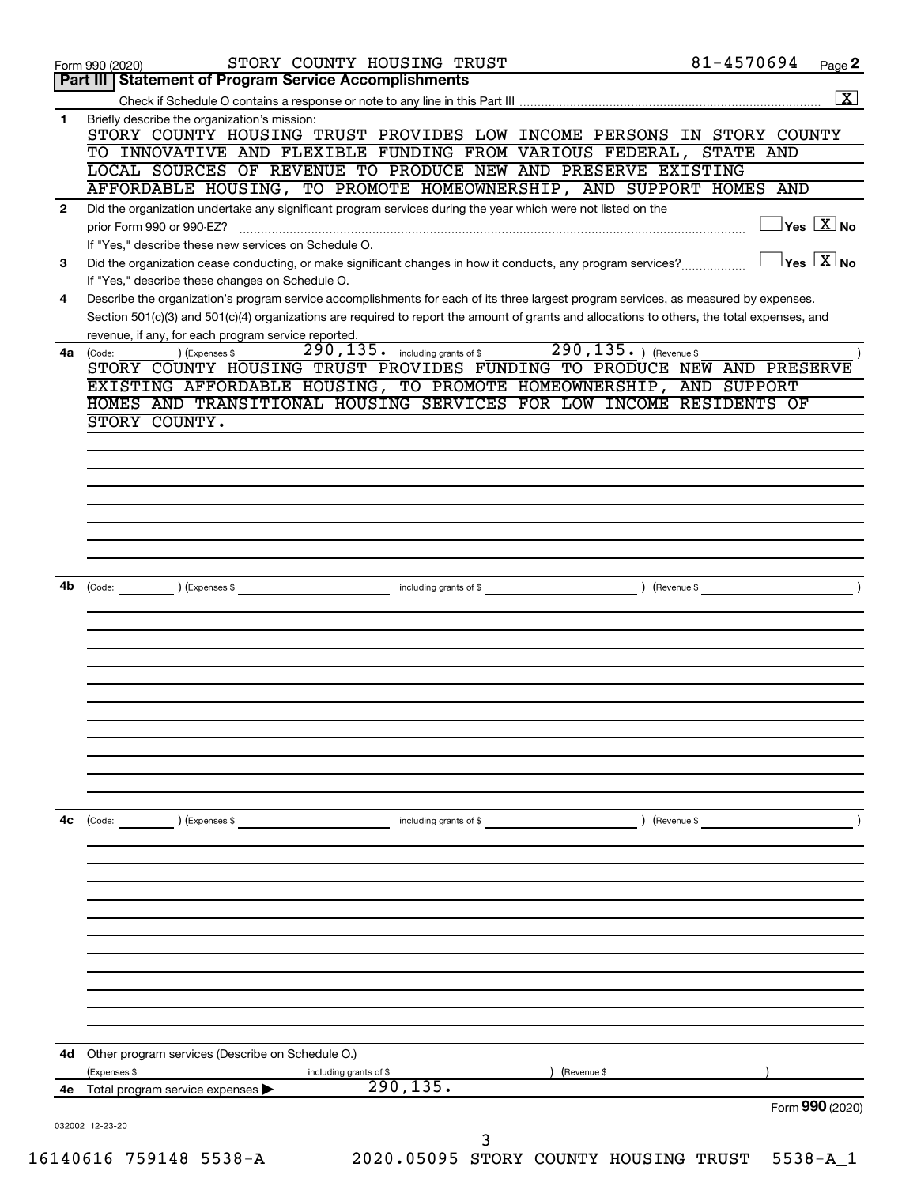| Part III   Statement of Program Service Accomplishments<br>Briefly describe the organization's mission:<br>1.<br>STORY COUNTY HOUSING TRUST PROVIDES LOW INCOME PERSONS IN STORY COUNTY<br>TO INNOVATIVE AND FLEXIBLE FUNDING FROM VARIOUS FEDERAL, STATE AND<br>LOCAL SOURCES OF REVENUE TO PRODUCE NEW AND PRESERVE EXISTING<br>AFFORDABLE HOUSING, TO PROMOTE HOMEOWNERSHIP, AND SUPPORT HOMES AND<br>Did the organization undertake any significant program services during the year which were not listed on the<br>$\mathbf{2}$<br>prior Form 990 or 990-EZ?<br>If "Yes," describe these new services on Schedule O.<br>Did the organization cease conducting, or make significant changes in how it conducts, any program services?<br>3<br>If "Yes," describe these changes on Schedule O.<br>Describe the organization's program service accomplishments for each of its three largest program services, as measured by expenses.<br>4<br>Section 501(c)(3) and 501(c)(4) organizations are required to report the amount of grants and allocations to others, the total expenses, and<br>revenue, if any, for each program service reported.<br>290, 135. ) (Revenue \$<br>290, 135. including grants of \$<br>) (Expenses \$<br>4a<br>(Code:<br>STORY COUNTY HOUSING TRUST PROVIDES FUNDING TO PRODUCE NEW AND PRESERVE<br>EXISTING AFFORDABLE HOUSING, TO PROMOTE HOMEOWNERSHIP, AND SUPPORT<br>HOMES AND TRANSITIONAL HOUSING SERVICES FOR LOW INCOME RESIDENTS OF<br>STORY COUNTY.<br>4b<br>including grants of \$ (Revenue \$)<br>$\left(\text{Code:} \right)$ $\left(\text{Expenses $}\right)$<br>4c<br>$\left(\text{Code:} \right) \left(\text{Expenses } \$\right)$<br>including grants of \$<br>) (Revenue \$<br>Other program services (Describe on Schedule O.)<br>4d.<br>(Expenses \$<br>Revenue \$<br>including grants of \$<br>290, 135.<br>4e Total program service expenses<br>032002 12-23-20<br>3 | STORY COUNTY HOUSING TRUST<br>Form 990 (2020) | 81-4570694<br>Page 2                        |
|-------------------------------------------------------------------------------------------------------------------------------------------------------------------------------------------------------------------------------------------------------------------------------------------------------------------------------------------------------------------------------------------------------------------------------------------------------------------------------------------------------------------------------------------------------------------------------------------------------------------------------------------------------------------------------------------------------------------------------------------------------------------------------------------------------------------------------------------------------------------------------------------------------------------------------------------------------------------------------------------------------------------------------------------------------------------------------------------------------------------------------------------------------------------------------------------------------------------------------------------------------------------------------------------------------------------------------------------------------------------------------------------------------------------------------------------------------------------------------------------------------------------------------------------------------------------------------------------------------------------------------------------------------------------------------------------------------------------------------------------------------------------------------------------------------------------------------------------------------------------------------------------------------------------------------|-----------------------------------------------|---------------------------------------------|
|                                                                                                                                                                                                                                                                                                                                                                                                                                                                                                                                                                                                                                                                                                                                                                                                                                                                                                                                                                                                                                                                                                                                                                                                                                                                                                                                                                                                                                                                                                                                                                                                                                                                                                                                                                                                                                                                                                                               |                                               | $\overline{\mathbf{x}}$                     |
|                                                                                                                                                                                                                                                                                                                                                                                                                                                                                                                                                                                                                                                                                                                                                                                                                                                                                                                                                                                                                                                                                                                                                                                                                                                                                                                                                                                                                                                                                                                                                                                                                                                                                                                                                                                                                                                                                                                               |                                               |                                             |
|                                                                                                                                                                                                                                                                                                                                                                                                                                                                                                                                                                                                                                                                                                                                                                                                                                                                                                                                                                                                                                                                                                                                                                                                                                                                                                                                                                                                                                                                                                                                                                                                                                                                                                                                                                                                                                                                                                                               |                                               |                                             |
|                                                                                                                                                                                                                                                                                                                                                                                                                                                                                                                                                                                                                                                                                                                                                                                                                                                                                                                                                                                                                                                                                                                                                                                                                                                                                                                                                                                                                                                                                                                                                                                                                                                                                                                                                                                                                                                                                                                               |                                               |                                             |
|                                                                                                                                                                                                                                                                                                                                                                                                                                                                                                                                                                                                                                                                                                                                                                                                                                                                                                                                                                                                                                                                                                                                                                                                                                                                                                                                                                                                                                                                                                                                                                                                                                                                                                                                                                                                                                                                                                                               |                                               |                                             |
|                                                                                                                                                                                                                                                                                                                                                                                                                                                                                                                                                                                                                                                                                                                                                                                                                                                                                                                                                                                                                                                                                                                                                                                                                                                                                                                                                                                                                                                                                                                                                                                                                                                                                                                                                                                                                                                                                                                               |                                               |                                             |
|                                                                                                                                                                                                                                                                                                                                                                                                                                                                                                                                                                                                                                                                                                                                                                                                                                                                                                                                                                                                                                                                                                                                                                                                                                                                                                                                                                                                                                                                                                                                                                                                                                                                                                                                                                                                                                                                                                                               |                                               | $\overline{\ }$ Yes $\overline{\rm \ }X$ No |
|                                                                                                                                                                                                                                                                                                                                                                                                                                                                                                                                                                                                                                                                                                                                                                                                                                                                                                                                                                                                                                                                                                                                                                                                                                                                                                                                                                                                                                                                                                                                                                                                                                                                                                                                                                                                                                                                                                                               |                                               |                                             |
|                                                                                                                                                                                                                                                                                                                                                                                                                                                                                                                                                                                                                                                                                                                                                                                                                                                                                                                                                                                                                                                                                                                                                                                                                                                                                                                                                                                                                                                                                                                                                                                                                                                                                                                                                                                                                                                                                                                               |                                               | $\overline{\ }$ Yes $\overline{\ \ X}$ No   |
|                                                                                                                                                                                                                                                                                                                                                                                                                                                                                                                                                                                                                                                                                                                                                                                                                                                                                                                                                                                                                                                                                                                                                                                                                                                                                                                                                                                                                                                                                                                                                                                                                                                                                                                                                                                                                                                                                                                               |                                               |                                             |
|                                                                                                                                                                                                                                                                                                                                                                                                                                                                                                                                                                                                                                                                                                                                                                                                                                                                                                                                                                                                                                                                                                                                                                                                                                                                                                                                                                                                                                                                                                                                                                                                                                                                                                                                                                                                                                                                                                                               |                                               |                                             |
|                                                                                                                                                                                                                                                                                                                                                                                                                                                                                                                                                                                                                                                                                                                                                                                                                                                                                                                                                                                                                                                                                                                                                                                                                                                                                                                                                                                                                                                                                                                                                                                                                                                                                                                                                                                                                                                                                                                               |                                               |                                             |
|                                                                                                                                                                                                                                                                                                                                                                                                                                                                                                                                                                                                                                                                                                                                                                                                                                                                                                                                                                                                                                                                                                                                                                                                                                                                                                                                                                                                                                                                                                                                                                                                                                                                                                                                                                                                                                                                                                                               |                                               |                                             |
|                                                                                                                                                                                                                                                                                                                                                                                                                                                                                                                                                                                                                                                                                                                                                                                                                                                                                                                                                                                                                                                                                                                                                                                                                                                                                                                                                                                                                                                                                                                                                                                                                                                                                                                                                                                                                                                                                                                               |                                               |                                             |
|                                                                                                                                                                                                                                                                                                                                                                                                                                                                                                                                                                                                                                                                                                                                                                                                                                                                                                                                                                                                                                                                                                                                                                                                                                                                                                                                                                                                                                                                                                                                                                                                                                                                                                                                                                                                                                                                                                                               |                                               |                                             |
|                                                                                                                                                                                                                                                                                                                                                                                                                                                                                                                                                                                                                                                                                                                                                                                                                                                                                                                                                                                                                                                                                                                                                                                                                                                                                                                                                                                                                                                                                                                                                                                                                                                                                                                                                                                                                                                                                                                               |                                               |                                             |
|                                                                                                                                                                                                                                                                                                                                                                                                                                                                                                                                                                                                                                                                                                                                                                                                                                                                                                                                                                                                                                                                                                                                                                                                                                                                                                                                                                                                                                                                                                                                                                                                                                                                                                                                                                                                                                                                                                                               |                                               |                                             |
|                                                                                                                                                                                                                                                                                                                                                                                                                                                                                                                                                                                                                                                                                                                                                                                                                                                                                                                                                                                                                                                                                                                                                                                                                                                                                                                                                                                                                                                                                                                                                                                                                                                                                                                                                                                                                                                                                                                               |                                               |                                             |
|                                                                                                                                                                                                                                                                                                                                                                                                                                                                                                                                                                                                                                                                                                                                                                                                                                                                                                                                                                                                                                                                                                                                                                                                                                                                                                                                                                                                                                                                                                                                                                                                                                                                                                                                                                                                                                                                                                                               |                                               |                                             |
|                                                                                                                                                                                                                                                                                                                                                                                                                                                                                                                                                                                                                                                                                                                                                                                                                                                                                                                                                                                                                                                                                                                                                                                                                                                                                                                                                                                                                                                                                                                                                                                                                                                                                                                                                                                                                                                                                                                               |                                               |                                             |
|                                                                                                                                                                                                                                                                                                                                                                                                                                                                                                                                                                                                                                                                                                                                                                                                                                                                                                                                                                                                                                                                                                                                                                                                                                                                                                                                                                                                                                                                                                                                                                                                                                                                                                                                                                                                                                                                                                                               |                                               |                                             |
|                                                                                                                                                                                                                                                                                                                                                                                                                                                                                                                                                                                                                                                                                                                                                                                                                                                                                                                                                                                                                                                                                                                                                                                                                                                                                                                                                                                                                                                                                                                                                                                                                                                                                                                                                                                                                                                                                                                               |                                               |                                             |
|                                                                                                                                                                                                                                                                                                                                                                                                                                                                                                                                                                                                                                                                                                                                                                                                                                                                                                                                                                                                                                                                                                                                                                                                                                                                                                                                                                                                                                                                                                                                                                                                                                                                                                                                                                                                                                                                                                                               |                                               |                                             |
|                                                                                                                                                                                                                                                                                                                                                                                                                                                                                                                                                                                                                                                                                                                                                                                                                                                                                                                                                                                                                                                                                                                                                                                                                                                                                                                                                                                                                                                                                                                                                                                                                                                                                                                                                                                                                                                                                                                               |                                               |                                             |
|                                                                                                                                                                                                                                                                                                                                                                                                                                                                                                                                                                                                                                                                                                                                                                                                                                                                                                                                                                                                                                                                                                                                                                                                                                                                                                                                                                                                                                                                                                                                                                                                                                                                                                                                                                                                                                                                                                                               |                                               |                                             |
|                                                                                                                                                                                                                                                                                                                                                                                                                                                                                                                                                                                                                                                                                                                                                                                                                                                                                                                                                                                                                                                                                                                                                                                                                                                                                                                                                                                                                                                                                                                                                                                                                                                                                                                                                                                                                                                                                                                               |                                               |                                             |
|                                                                                                                                                                                                                                                                                                                                                                                                                                                                                                                                                                                                                                                                                                                                                                                                                                                                                                                                                                                                                                                                                                                                                                                                                                                                                                                                                                                                                                                                                                                                                                                                                                                                                                                                                                                                                                                                                                                               |                                               |                                             |
|                                                                                                                                                                                                                                                                                                                                                                                                                                                                                                                                                                                                                                                                                                                                                                                                                                                                                                                                                                                                                                                                                                                                                                                                                                                                                                                                                                                                                                                                                                                                                                                                                                                                                                                                                                                                                                                                                                                               |                                               |                                             |
|                                                                                                                                                                                                                                                                                                                                                                                                                                                                                                                                                                                                                                                                                                                                                                                                                                                                                                                                                                                                                                                                                                                                                                                                                                                                                                                                                                                                                                                                                                                                                                                                                                                                                                                                                                                                                                                                                                                               |                                               |                                             |
|                                                                                                                                                                                                                                                                                                                                                                                                                                                                                                                                                                                                                                                                                                                                                                                                                                                                                                                                                                                                                                                                                                                                                                                                                                                                                                                                                                                                                                                                                                                                                                                                                                                                                                                                                                                                                                                                                                                               |                                               |                                             |
|                                                                                                                                                                                                                                                                                                                                                                                                                                                                                                                                                                                                                                                                                                                                                                                                                                                                                                                                                                                                                                                                                                                                                                                                                                                                                                                                                                                                                                                                                                                                                                                                                                                                                                                                                                                                                                                                                                                               |                                               |                                             |
|                                                                                                                                                                                                                                                                                                                                                                                                                                                                                                                                                                                                                                                                                                                                                                                                                                                                                                                                                                                                                                                                                                                                                                                                                                                                                                                                                                                                                                                                                                                                                                                                                                                                                                                                                                                                                                                                                                                               |                                               |                                             |
|                                                                                                                                                                                                                                                                                                                                                                                                                                                                                                                                                                                                                                                                                                                                                                                                                                                                                                                                                                                                                                                                                                                                                                                                                                                                                                                                                                                                                                                                                                                                                                                                                                                                                                                                                                                                                                                                                                                               |                                               |                                             |
|                                                                                                                                                                                                                                                                                                                                                                                                                                                                                                                                                                                                                                                                                                                                                                                                                                                                                                                                                                                                                                                                                                                                                                                                                                                                                                                                                                                                                                                                                                                                                                                                                                                                                                                                                                                                                                                                                                                               |                                               |                                             |
|                                                                                                                                                                                                                                                                                                                                                                                                                                                                                                                                                                                                                                                                                                                                                                                                                                                                                                                                                                                                                                                                                                                                                                                                                                                                                                                                                                                                                                                                                                                                                                                                                                                                                                                                                                                                                                                                                                                               |                                               |                                             |
|                                                                                                                                                                                                                                                                                                                                                                                                                                                                                                                                                                                                                                                                                                                                                                                                                                                                                                                                                                                                                                                                                                                                                                                                                                                                                                                                                                                                                                                                                                                                                                                                                                                                                                                                                                                                                                                                                                                               |                                               |                                             |
|                                                                                                                                                                                                                                                                                                                                                                                                                                                                                                                                                                                                                                                                                                                                                                                                                                                                                                                                                                                                                                                                                                                                                                                                                                                                                                                                                                                                                                                                                                                                                                                                                                                                                                                                                                                                                                                                                                                               |                                               |                                             |
|                                                                                                                                                                                                                                                                                                                                                                                                                                                                                                                                                                                                                                                                                                                                                                                                                                                                                                                                                                                                                                                                                                                                                                                                                                                                                                                                                                                                                                                                                                                                                                                                                                                                                                                                                                                                                                                                                                                               |                                               |                                             |
|                                                                                                                                                                                                                                                                                                                                                                                                                                                                                                                                                                                                                                                                                                                                                                                                                                                                                                                                                                                                                                                                                                                                                                                                                                                                                                                                                                                                                                                                                                                                                                                                                                                                                                                                                                                                                                                                                                                               |                                               |                                             |
|                                                                                                                                                                                                                                                                                                                                                                                                                                                                                                                                                                                                                                                                                                                                                                                                                                                                                                                                                                                                                                                                                                                                                                                                                                                                                                                                                                                                                                                                                                                                                                                                                                                                                                                                                                                                                                                                                                                               |                                               |                                             |
|                                                                                                                                                                                                                                                                                                                                                                                                                                                                                                                                                                                                                                                                                                                                                                                                                                                                                                                                                                                                                                                                                                                                                                                                                                                                                                                                                                                                                                                                                                                                                                                                                                                                                                                                                                                                                                                                                                                               |                                               |                                             |
|                                                                                                                                                                                                                                                                                                                                                                                                                                                                                                                                                                                                                                                                                                                                                                                                                                                                                                                                                                                                                                                                                                                                                                                                                                                                                                                                                                                                                                                                                                                                                                                                                                                                                                                                                                                                                                                                                                                               |                                               |                                             |
|                                                                                                                                                                                                                                                                                                                                                                                                                                                                                                                                                                                                                                                                                                                                                                                                                                                                                                                                                                                                                                                                                                                                                                                                                                                                                                                                                                                                                                                                                                                                                                                                                                                                                                                                                                                                                                                                                                                               |                                               |                                             |
|                                                                                                                                                                                                                                                                                                                                                                                                                                                                                                                                                                                                                                                                                                                                                                                                                                                                                                                                                                                                                                                                                                                                                                                                                                                                                                                                                                                                                                                                                                                                                                                                                                                                                                                                                                                                                                                                                                                               |                                               |                                             |
|                                                                                                                                                                                                                                                                                                                                                                                                                                                                                                                                                                                                                                                                                                                                                                                                                                                                                                                                                                                                                                                                                                                                                                                                                                                                                                                                                                                                                                                                                                                                                                                                                                                                                                                                                                                                                                                                                                                               |                                               |                                             |
|                                                                                                                                                                                                                                                                                                                                                                                                                                                                                                                                                                                                                                                                                                                                                                                                                                                                                                                                                                                                                                                                                                                                                                                                                                                                                                                                                                                                                                                                                                                                                                                                                                                                                                                                                                                                                                                                                                                               |                                               |                                             |
|                                                                                                                                                                                                                                                                                                                                                                                                                                                                                                                                                                                                                                                                                                                                                                                                                                                                                                                                                                                                                                                                                                                                                                                                                                                                                                                                                                                                                                                                                                                                                                                                                                                                                                                                                                                                                                                                                                                               |                                               |                                             |
|                                                                                                                                                                                                                                                                                                                                                                                                                                                                                                                                                                                                                                                                                                                                                                                                                                                                                                                                                                                                                                                                                                                                                                                                                                                                                                                                                                                                                                                                                                                                                                                                                                                                                                                                                                                                                                                                                                                               |                                               |                                             |
|                                                                                                                                                                                                                                                                                                                                                                                                                                                                                                                                                                                                                                                                                                                                                                                                                                                                                                                                                                                                                                                                                                                                                                                                                                                                                                                                                                                                                                                                                                                                                                                                                                                                                                                                                                                                                                                                                                                               |                                               |                                             |
|                                                                                                                                                                                                                                                                                                                                                                                                                                                                                                                                                                                                                                                                                                                                                                                                                                                                                                                                                                                                                                                                                                                                                                                                                                                                                                                                                                                                                                                                                                                                                                                                                                                                                                                                                                                                                                                                                                                               |                                               | Form 990 (2020)                             |
|                                                                                                                                                                                                                                                                                                                                                                                                                                                                                                                                                                                                                                                                                                                                                                                                                                                                                                                                                                                                                                                                                                                                                                                                                                                                                                                                                                                                                                                                                                                                                                                                                                                                                                                                                                                                                                                                                                                               |                                               |                                             |
| 2020.05095 STORY COUNTY HOUSING TRUST<br>16140616 759148 5538-A                                                                                                                                                                                                                                                                                                                                                                                                                                                                                                                                                                                                                                                                                                                                                                                                                                                                                                                                                                                                                                                                                                                                                                                                                                                                                                                                                                                                                                                                                                                                                                                                                                                                                                                                                                                                                                                               |                                               | $5538 - A_1$                                |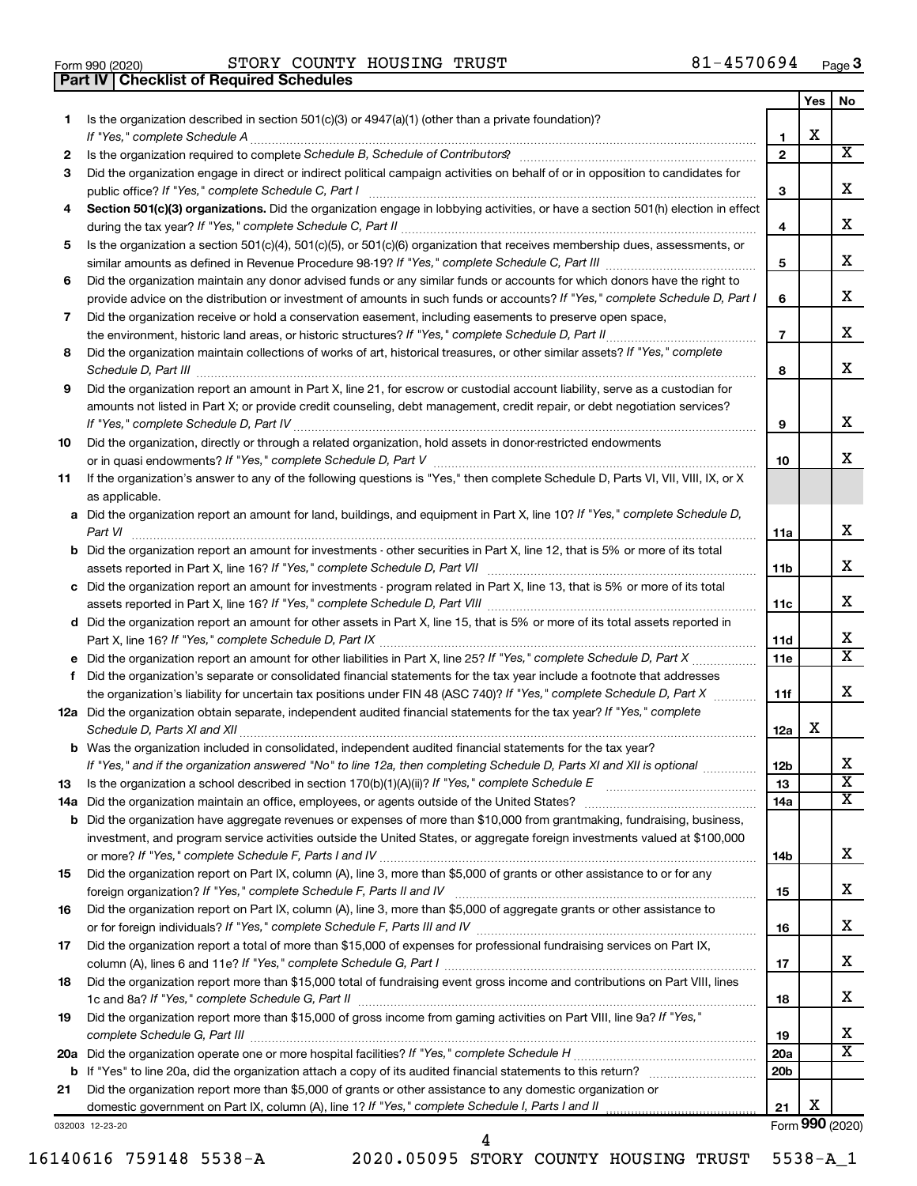|  | Form 990 (2020) |  |
|--|-----------------|--|

**Part IV Checklist of Required Schedules**

Form 990 (2020) Page STORY COUNTY HOUSING TRUST 81-4570694

|    |                                                                                                                                                                                                                                                           |                 | Yes | No                      |
|----|-----------------------------------------------------------------------------------------------------------------------------------------------------------------------------------------------------------------------------------------------------------|-----------------|-----|-------------------------|
| 1  | Is the organization described in section 501(c)(3) or 4947(a)(1) (other than a private foundation)?<br>If "Yes," complete Schedule A                                                                                                                      | 1               | х   |                         |
| 2  | Is the organization required to complete Schedule B, Schedule of Contributors? [11] The organization required to complete Schedule B, Schedule of Contributors?                                                                                           | $\mathbf{2}$    |     | x                       |
| 3  | Did the organization engage in direct or indirect political campaign activities on behalf of or in opposition to candidates for                                                                                                                           |                 |     |                         |
|    | public office? If "Yes," complete Schedule C, Part I                                                                                                                                                                                                      | З               |     | x                       |
| 4  | Section 501(c)(3) organizations. Did the organization engage in lobbying activities, or have a section 501(h) election in effect                                                                                                                          | 4               |     | x.                      |
|    |                                                                                                                                                                                                                                                           |                 |     |                         |
| 5  | Is the organization a section 501(c)(4), 501(c)(5), or 501(c)(6) organization that receives membership dues, assessments, or                                                                                                                              | 5               |     | x                       |
| 6  | Did the organization maintain any donor advised funds or any similar funds or accounts for which donors have the right to<br>provide advice on the distribution or investment of amounts in such funds or accounts? If "Yes," complete Schedule D, Part I | 6               |     | x                       |
| 7  | Did the organization receive or hold a conservation easement, including easements to preserve open space,                                                                                                                                                 |                 |     |                         |
|    |                                                                                                                                                                                                                                                           | $\overline{7}$  |     | x.                      |
| 8  | Did the organization maintain collections of works of art, historical treasures, or other similar assets? If "Yes," complete                                                                                                                              |                 |     |                         |
|    |                                                                                                                                                                                                                                                           | 8               |     | x                       |
| 9  | Did the organization report an amount in Part X, line 21, for escrow or custodial account liability, serve as a custodian for                                                                                                                             |                 |     |                         |
|    | amounts not listed in Part X; or provide credit counseling, debt management, credit repair, or debt negotiation services?                                                                                                                                 | 9               |     | х                       |
| 10 | Did the organization, directly or through a related organization, hold assets in donor-restricted endowments                                                                                                                                              |                 |     |                         |
|    |                                                                                                                                                                                                                                                           | 10              |     | x.                      |
| 11 | If the organization's answer to any of the following questions is "Yes," then complete Schedule D, Parts VI, VII, VIII, IX, or X<br>as applicable.                                                                                                        |                 |     |                         |
|    | a Did the organization report an amount for land, buildings, and equipment in Part X, line 10? If "Yes," complete Schedule D,                                                                                                                             |                 |     |                         |
|    |                                                                                                                                                                                                                                                           | 11a             |     | х                       |
|    | <b>b</b> Did the organization report an amount for investments - other securities in Part X, line 12, that is 5% or more of its total                                                                                                                     | 11b             |     | x                       |
|    | c Did the organization report an amount for investments - program related in Part X, line 13, that is 5% or more of its total                                                                                                                             |                 |     |                         |
|    |                                                                                                                                                                                                                                                           | 11c             |     | x.                      |
|    | d Did the organization report an amount for other assets in Part X, line 15, that is 5% or more of its total assets reported in                                                                                                                           |                 |     |                         |
|    |                                                                                                                                                                                                                                                           | 11d             |     | х                       |
|    |                                                                                                                                                                                                                                                           | 11e             |     | x                       |
| f  | Did the organization's separate or consolidated financial statements for the tax year include a footnote that addresses                                                                                                                                   |                 |     |                         |
|    | the organization's liability for uncertain tax positions under FIN 48 (ASC 740)? If "Yes," complete Schedule D, Part X                                                                                                                                    | 11f             |     | x                       |
|    | 12a Did the organization obtain separate, independent audited financial statements for the tax year? If "Yes," complete                                                                                                                                   | 12a             | x   |                         |
|    | <b>b</b> Was the organization included in consolidated, independent audited financial statements for the tax year?                                                                                                                                        |                 |     |                         |
|    | If "Yes," and if the organization answered "No" to line 12a, then completing Schedule D, Parts XI and XII is optional                                                                                                                                     | 12 <sub>b</sub> |     | х                       |
| 13 |                                                                                                                                                                                                                                                           | 13              |     | $\overline{\textbf{X}}$ |
|    |                                                                                                                                                                                                                                                           | 14a             |     | x                       |
|    | <b>b</b> Did the organization have aggregate revenues or expenses of more than \$10,000 from grantmaking, fundraising, business,                                                                                                                          |                 |     |                         |
|    | investment, and program service activities outside the United States, or aggregate foreign investments valued at \$100,000                                                                                                                                |                 |     |                         |
|    |                                                                                                                                                                                                                                                           | 14b             |     | x                       |
| 15 | Did the organization report on Part IX, column (A), line 3, more than \$5,000 of grants or other assistance to or for any                                                                                                                                 | 15              |     | x                       |
| 16 | Did the organization report on Part IX, column (A), line 3, more than \$5,000 of aggregate grants or other assistance to                                                                                                                                  |                 |     |                         |
|    |                                                                                                                                                                                                                                                           | 16              |     | x                       |
| 17 | Did the organization report a total of more than \$15,000 of expenses for professional fundraising services on Part IX,                                                                                                                                   |                 |     |                         |
|    |                                                                                                                                                                                                                                                           | 17              |     | x                       |
| 18 | Did the organization report more than \$15,000 total of fundraising event gross income and contributions on Part VIII, lines                                                                                                                              |                 |     |                         |
|    |                                                                                                                                                                                                                                                           | 18              |     | x                       |
| 19 | Did the organization report more than \$15,000 of gross income from gaming activities on Part VIII, line 9a? If "Yes,"                                                                                                                                    |                 |     |                         |
|    |                                                                                                                                                                                                                                                           | 19              |     | x                       |
|    |                                                                                                                                                                                                                                                           | 20a             |     | x                       |
|    |                                                                                                                                                                                                                                                           | 20 <sub>b</sub> |     |                         |
| 21 | Did the organization report more than \$5,000 of grants or other assistance to any domestic organization or                                                                                                                                               |                 |     |                         |
|    |                                                                                                                                                                                                                                                           | 21              | х   |                         |

032003 12-23-20

16140616 759148 5538-A 2020.05095 STORY COUNTY HOUSING TRUST 5538-A\_1

4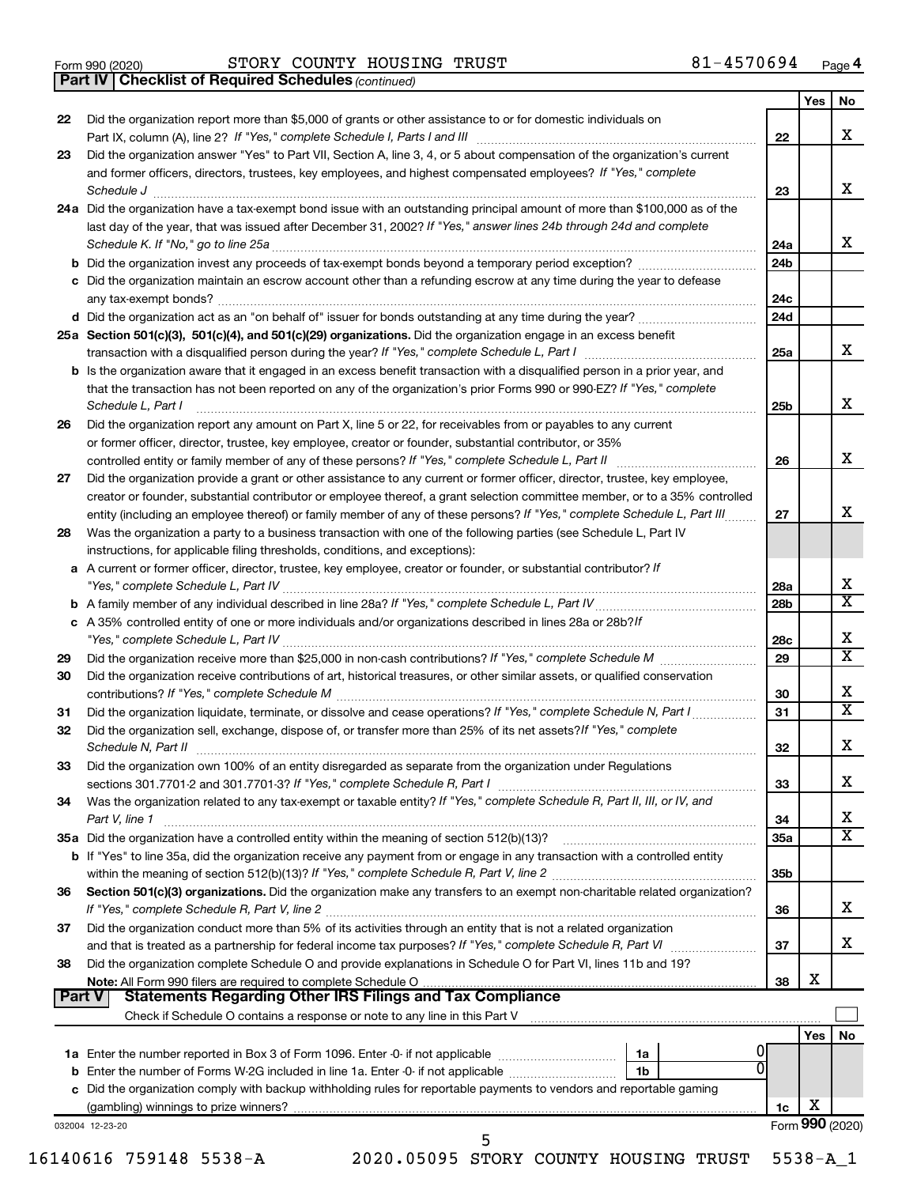|  | Form 990 (2020) |
|--|-----------------|
|  |                 |

*(continued)* **Part IV Checklist of Required Schedules**

|        |                                                                                                                                     |                 | Yes        | No                           |
|--------|-------------------------------------------------------------------------------------------------------------------------------------|-----------------|------------|------------------------------|
| 22     | Did the organization report more than \$5,000 of grants or other assistance to or for domestic individuals on                       |                 |            |                              |
|        |                                                                                                                                     | 22              |            | x                            |
| 23     | Did the organization answer "Yes" to Part VII, Section A, line 3, 4, or 5 about compensation of the organization's current          |                 |            |                              |
|        | and former officers, directors, trustees, key employees, and highest compensated employees? If "Yes," complete                      |                 |            |                              |
|        | Schedule J <b>Execute Schedule J Execute Schedule J</b>                                                                             | 23              |            | x                            |
|        | 24a Did the organization have a tax-exempt bond issue with an outstanding principal amount of more than \$100,000 as of the         |                 |            |                              |
|        | last day of the year, that was issued after December 31, 2002? If "Yes," answer lines 24b through 24d and complete                  |                 |            |                              |
|        |                                                                                                                                     | 24a             |            | x                            |
|        |                                                                                                                                     | 24 <sub>b</sub> |            |                              |
|        | c Did the organization maintain an escrow account other than a refunding escrow at any time during the year to defease              |                 |            |                              |
|        |                                                                                                                                     | 24c             |            |                              |
|        |                                                                                                                                     | 24d             |            |                              |
|        | 25a Section 501(c)(3), 501(c)(4), and 501(c)(29) organizations. Did the organization engage in an excess benefit                    | 25a             |            | x                            |
|        | <b>b</b> Is the organization aware that it engaged in an excess benefit transaction with a disqualified person in a prior year, and |                 |            |                              |
|        | that the transaction has not been reported on any of the organization's prior Forms 990 or 990-EZ? If "Yes," complete               |                 |            |                              |
|        | Schedule L, Part I                                                                                                                  | 25 <sub>b</sub> |            | x                            |
| 26     | Did the organization report any amount on Part X, line 5 or 22, for receivables from or payables to any current                     |                 |            |                              |
|        | or former officer, director, trustee, key employee, creator or founder, substantial contributor, or 35%                             |                 |            |                              |
|        |                                                                                                                                     | 26              |            | x                            |
| 27     | Did the organization provide a grant or other assistance to any current or former officer, director, trustee, key employee,         |                 |            |                              |
|        | creator or founder, substantial contributor or employee thereof, a grant selection committee member, or to a 35% controlled         |                 |            |                              |
|        | entity (including an employee thereof) or family member of any of these persons? If "Yes," complete Schedule L, Part III            | 27              |            | x                            |
| 28     | Was the organization a party to a business transaction with one of the following parties (see Schedule L, Part IV                   |                 |            |                              |
|        | instructions, for applicable filing thresholds, conditions, and exceptions):                                                        |                 |            |                              |
|        | a A current or former officer, director, trustee, key employee, creator or founder, or substantial contributor? If                  |                 |            |                              |
|        |                                                                                                                                     | 28a             |            | х                            |
|        |                                                                                                                                     | 28b             |            | $\overline{\mathtt{x}}$      |
|        | c A 35% controlled entity of one or more individuals and/or organizations described in lines 28a or 28b?If                          |                 |            |                              |
|        |                                                                                                                                     | 28c             |            | х<br>$\overline{\mathtt{x}}$ |
| 29     |                                                                                                                                     | 29              |            |                              |
| 30     | Did the organization receive contributions of art, historical treasures, or other similar assets, or qualified conservation         |                 |            |                              |
|        |                                                                                                                                     | 30              |            | х<br>$\overline{\mathtt{x}}$ |
| 31     |                                                                                                                                     | 31              |            |                              |
| 32     | Did the organization sell, exchange, dispose of, or transfer more than 25% of its net assets? If "Yes," complete                    |                 |            | х                            |
|        |                                                                                                                                     | 32              |            |                              |
| 33     | Did the organization own 100% of an entity disregarded as separate from the organization under Regulations                          | 33              |            | X                            |
| 34     | Was the organization related to any tax-exempt or taxable entity? If "Yes," complete Schedule R, Part II, III, or IV, and           |                 |            |                              |
|        | Part V, line 1                                                                                                                      | 34              |            | х                            |
|        | 35a Did the organization have a controlled entity within the meaning of section 512(b)(13)?                                         | <b>35a</b>      |            | $\overline{\mathtt{x}}$      |
|        | b If "Yes" to line 35a, did the organization receive any payment from or engage in any transaction with a controlled entity         |                 |            |                              |
|        |                                                                                                                                     | 35 <sub>b</sub> |            |                              |
| 36     | Section 501(c)(3) organizations. Did the organization make any transfers to an exempt non-charitable related organization?          |                 |            |                              |
|        |                                                                                                                                     | 36              |            | X                            |
| 37     | Did the organization conduct more than 5% of its activities through an entity that is not a related organization                    |                 |            |                              |
|        |                                                                                                                                     | 37              |            | x                            |
| 38     | Did the organization complete Schedule O and provide explanations in Schedule O for Part VI, lines 11b and 19?                      |                 |            |                              |
|        |                                                                                                                                     | 38              | X          |                              |
| Part V |                                                                                                                                     |                 |            |                              |
|        |                                                                                                                                     |                 |            |                              |
|        |                                                                                                                                     |                 | <b>Yes</b> | No                           |
|        | 1a                                                                                                                                  |                 |            |                              |
|        | 1b                                                                                                                                  |                 |            |                              |
|        | c Did the organization comply with backup withholding rules for reportable payments to vendors and reportable gaming                |                 |            |                              |
|        |                                                                                                                                     | 1c              | х          |                              |
|        | 032004 12-23-20<br>5                                                                                                                |                 |            | Form 990 (2020)              |
|        |                                                                                                                                     |                 |            |                              |

16140616 759148 5538-A 2020.05095 STORY COUNTY HOUSING TRUST 5538-A\_1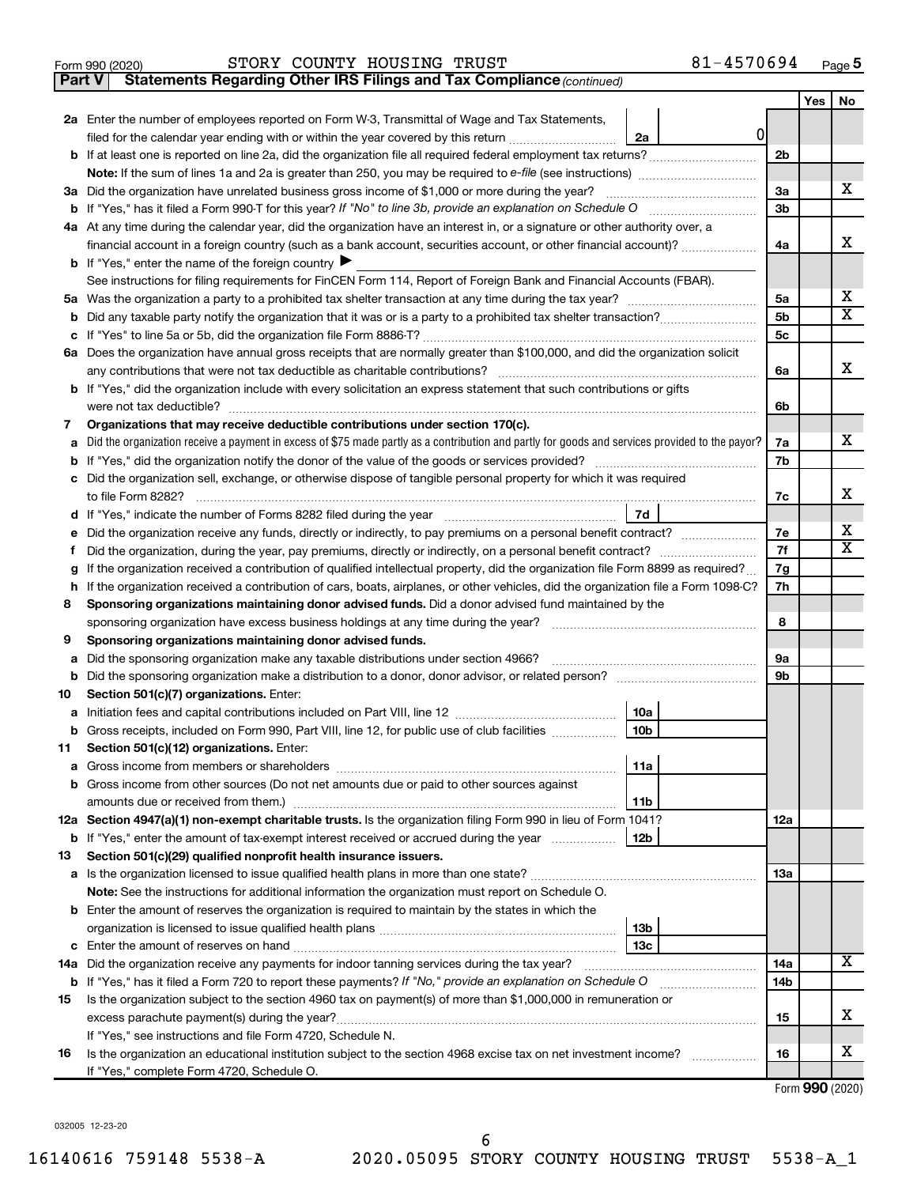|  | Form 990 (2020) |
|--|-----------------|
|  |                 |

#### Form 990 (2020) Page STORY COUNTY HOUSING TRUST 81-4570694

**Part V** Statements Regarding Other IRS Filings and Tax Compliance (continued)

|        |                                                                                                                                                              |          | Yes | No                      |  |  |  |
|--------|--------------------------------------------------------------------------------------------------------------------------------------------------------------|----------|-----|-------------------------|--|--|--|
|        | 2a Enter the number of employees reported on Form W-3, Transmittal of Wage and Tax Statements,                                                               |          |     |                         |  |  |  |
|        | 0<br>filed for the calendar year ending with or within the year covered by this return<br>2a                                                                 |          |     |                         |  |  |  |
| b      |                                                                                                                                                              | 2b       |     |                         |  |  |  |
|        |                                                                                                                                                              |          |     |                         |  |  |  |
|        | 3a Did the organization have unrelated business gross income of \$1,000 or more during the year?                                                             | 3a       |     | х                       |  |  |  |
|        |                                                                                                                                                              | 3b       |     |                         |  |  |  |
|        | 4a At any time during the calendar year, did the organization have an interest in, or a signature or other authority over, a                                 |          |     |                         |  |  |  |
|        | financial account in a foreign country (such as a bank account, securities account, or other financial account)?                                             | 4a       |     | x                       |  |  |  |
|        | <b>b</b> If "Yes," enter the name of the foreign country $\blacktriangleright$                                                                               |          |     |                         |  |  |  |
|        | See instructions for filing requirements for FinCEN Form 114, Report of Foreign Bank and Financial Accounts (FBAR).                                          |          |     |                         |  |  |  |
|        |                                                                                                                                                              | 5a       |     | x                       |  |  |  |
| b      |                                                                                                                                                              | 5b       |     | $\overline{\mathbf{X}}$ |  |  |  |
| с      |                                                                                                                                                              |          |     |                         |  |  |  |
|        | 6a Does the organization have annual gross receipts that are normally greater than \$100,000, and did the organization solicit                               |          |     |                         |  |  |  |
|        |                                                                                                                                                              | 6a       |     | x                       |  |  |  |
|        | <b>b</b> If "Yes," did the organization include with every solicitation an express statement that such contributions or gifts                                |          |     |                         |  |  |  |
|        |                                                                                                                                                              | 6b       |     |                         |  |  |  |
| 7      | Organizations that may receive deductible contributions under section 170(c).                                                                                |          |     |                         |  |  |  |
| a      | Did the organization receive a payment in excess of \$75 made partly as a contribution and partly for goods and services provided to the payor?              | 7a       |     | х                       |  |  |  |
| b      |                                                                                                                                                              | 7b       |     |                         |  |  |  |
| с      | Did the organization sell, exchange, or otherwise dispose of tangible personal property for which it was required                                            |          |     | х                       |  |  |  |
|        |                                                                                                                                                              | 7c       |     |                         |  |  |  |
| d      | 7d                                                                                                                                                           |          |     | x                       |  |  |  |
| е      | Did the organization receive any funds, directly or indirectly, to pay premiums on a personal benefit contract?                                              | 7е<br>7f |     | $\mathbf x$             |  |  |  |
| f.     | If the organization received a contribution of qualified intellectual property, did the organization file Form 8899 as required?                             | 7g       |     |                         |  |  |  |
| g<br>h | If the organization received a contribution of cars, boats, airplanes, or other vehicles, did the organization file a Form 1098-C?                           | 7h       |     |                         |  |  |  |
| 8      | Sponsoring organizations maintaining donor advised funds. Did a donor advised fund maintained by the                                                         |          |     |                         |  |  |  |
|        | sponsoring organization have excess business holdings at any time during the year?                                                                           | 8        |     |                         |  |  |  |
| 9      | Sponsoring organizations maintaining donor advised funds.                                                                                                    |          |     |                         |  |  |  |
| а      | Did the sponsoring organization make any taxable distributions under section 4966?                                                                           | 9а       |     |                         |  |  |  |
| b      |                                                                                                                                                              | 9b       |     |                         |  |  |  |
| 10     | Section 501(c)(7) organizations. Enter:                                                                                                                      |          |     |                         |  |  |  |
| а      | 10a                                                                                                                                                          |          |     |                         |  |  |  |
|        | 10 <sub>b</sub><br>b Gross receipts, included on Form 990, Part VIII, line 12, for public use of club facilities                                             |          |     |                         |  |  |  |
| 11     | Section 501(c)(12) organizations. Enter:                                                                                                                     |          |     |                         |  |  |  |
|        | 11a                                                                                                                                                          |          |     |                         |  |  |  |
|        | <b>b</b> Gross income from other sources (Do not net amounts due or paid to other sources against                                                            |          |     |                         |  |  |  |
|        | 11b                                                                                                                                                          |          |     |                         |  |  |  |
|        | 12a Section 4947(a)(1) non-exempt charitable trusts. Is the organization filing Form 990 in lieu of Form 1041?                                               | 12a      |     |                         |  |  |  |
|        | <b>b</b> If "Yes," enter the amount of tax-exempt interest received or accrued during the year<br>12b                                                        |          |     |                         |  |  |  |
| 13     | Section 501(c)(29) qualified nonprofit health insurance issuers.                                                                                             |          |     |                         |  |  |  |
|        |                                                                                                                                                              | 1За      |     |                         |  |  |  |
|        | Note: See the instructions for additional information the organization must report on Schedule O.                                                            |          |     |                         |  |  |  |
|        | <b>b</b> Enter the amount of reserves the organization is required to maintain by the states in which the                                                    |          |     |                         |  |  |  |
|        | 13 <sub>b</sub>                                                                                                                                              |          |     |                         |  |  |  |
|        | 13с                                                                                                                                                          |          |     | x                       |  |  |  |
|        | 14a Did the organization receive any payments for indoor tanning services during the tax year?                                                               | 14a      |     |                         |  |  |  |
|        | <b>b</b> If "Yes," has it filed a Form 720 to report these payments? If "No," provide an explanation on Schedule O                                           | 14b      |     |                         |  |  |  |
| 15     | Is the organization subject to the section 4960 tax on payment(s) of more than \$1,000,000 in remuneration or                                                |          |     | х                       |  |  |  |
|        | excess parachute payment(s) during the year?                                                                                                                 | 15       |     |                         |  |  |  |
|        | If "Yes," see instructions and file Form 4720, Schedule N.                                                                                                   | 16       |     | x                       |  |  |  |
| 16     | Is the organization an educational institution subject to the section 4968 excise tax on net investment income?<br>If "Yes," complete Form 4720, Schedule O. |          |     |                         |  |  |  |
|        |                                                                                                                                                              |          |     |                         |  |  |  |

Form (2020) **990**

032005 12-23-20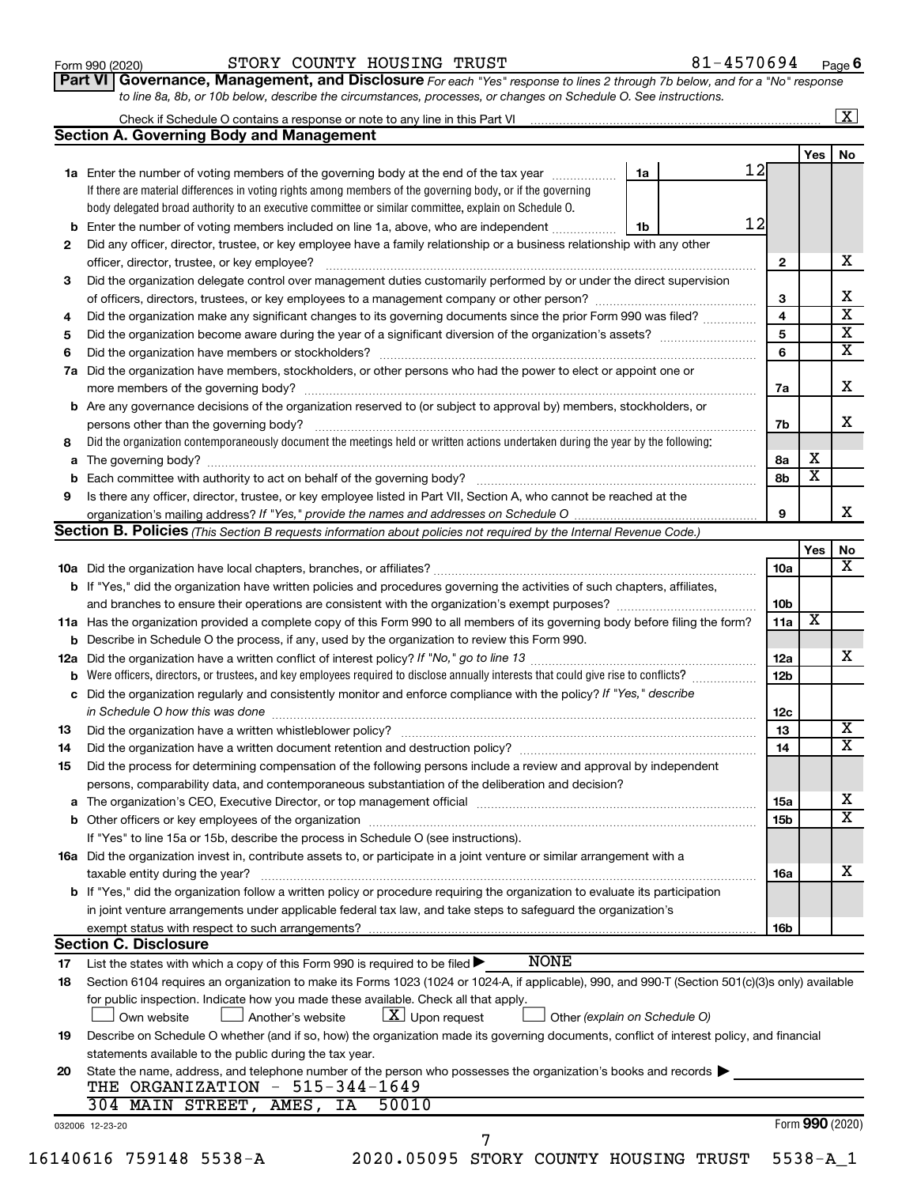| Form 990 (2020) |  |
|-----------------|--|
|-----------------|--|

#### Form 990 (2020) Page STORY COUNTY HOUSING TRUST 81-4570694

**Part VI** Governance, Management, and Disclosure For each "Yes" response to lines 2 through 7b below, and for a "No" response *to line 8a, 8b, or 10b below, describe the circumstances, processes, or changes on Schedule O. See instructions.*

|     | Check if Schedule O contains a response or note to any line in this Part VI [11] [12] [12] Check if Schedule O contains a response or note to any line in this Part VI |                               |                         |                         | $\overline{\mathbf{X}}$ |
|-----|------------------------------------------------------------------------------------------------------------------------------------------------------------------------|-------------------------------|-------------------------|-------------------------|-------------------------|
|     | <b>Section A. Governing Body and Management</b>                                                                                                                        |                               |                         |                         |                         |
|     |                                                                                                                                                                        |                               |                         | <b>Yes</b>              | No                      |
|     | 1a Enter the number of voting members of the governing body at the end of the tax year                                                                                 | 1a                            | 12                      |                         |                         |
|     | If there are material differences in voting rights among members of the governing body, or if the governing                                                            |                               |                         |                         |                         |
|     | body delegated broad authority to an executive committee or similar committee, explain on Schedule O.                                                                  |                               |                         |                         |                         |
| b   | Enter the number of voting members included on line 1a, above, who are independent                                                                                     | 1b                            | 12                      |                         |                         |
| 2   | Did any officer, director, trustee, or key employee have a family relationship or a business relationship with any other                                               |                               |                         |                         |                         |
|     | officer, director, trustee, or key employee?                                                                                                                           |                               | $\mathbf{2}$            |                         |                         |
| 3   | Did the organization delegate control over management duties customarily performed by or under the direct supervision                                                  |                               |                         |                         |                         |
|     |                                                                                                                                                                        |                               | 3                       |                         |                         |
| 4   | Did the organization make any significant changes to its governing documents since the prior Form 990 was filed?                                                       |                               | $\overline{4}$          |                         |                         |
| 5   |                                                                                                                                                                        |                               | $\overline{\mathbf{5}}$ |                         |                         |
| 6   |                                                                                                                                                                        |                               | 6                       |                         |                         |
| 7a  | Did the organization have members, stockholders, or other persons who had the power to elect or appoint one or                                                         |                               |                         |                         |                         |
|     |                                                                                                                                                                        |                               | 7a                      |                         |                         |
|     | <b>b</b> Are any governance decisions of the organization reserved to (or subject to approval by) members, stockholders, or                                            |                               |                         |                         |                         |
|     | persons other than the governing body?                                                                                                                                 |                               | 7b                      |                         |                         |
| 8   | Did the organization contemporaneously document the meetings held or written actions undertaken during the year by the following:                                      |                               |                         |                         |                         |
|     |                                                                                                                                                                        |                               | 8а                      | х                       |                         |
|     |                                                                                                                                                                        |                               | 8b                      | $\overline{\text{x}}$   |                         |
| 9   | Is there any officer, director, trustee, or key employee listed in Part VII, Section A, who cannot be reached at the                                                   |                               |                         |                         |                         |
|     |                                                                                                                                                                        |                               | 9                       |                         |                         |
|     | Section B. Policies (This Section B requests information about policies not required by the Internal Revenue Code.)                                                    |                               |                         |                         |                         |
|     |                                                                                                                                                                        |                               |                         | Yes                     |                         |
|     |                                                                                                                                                                        |                               | 10a                     |                         |                         |
|     | b If "Yes," did the organization have written policies and procedures governing the activities of such chapters, affiliates,                                           |                               |                         |                         |                         |
|     | and branches to ensure their operations are consistent with the organization's exempt purposes? <i>managereconominion</i>                                              |                               | 10 <sub>b</sub>         |                         |                         |
|     | 11a Has the organization provided a complete copy of this Form 990 to all members of its governing body before filing the form?                                        |                               | 11a                     | $\overline{\mathbf{X}}$ |                         |
|     | <b>b</b> Describe in Schedule O the process, if any, used by the organization to review this Form 990.                                                                 |                               |                         |                         |                         |
| 12a |                                                                                                                                                                        |                               | 12a                     |                         |                         |
| b   | Were officers, directors, or trustees, and key employees required to disclose annually interests that could give rise to conflicts?                                    |                               | 12 <sub>b</sub>         |                         |                         |
|     | c Did the organization regularly and consistently monitor and enforce compliance with the policy? If "Yes," describe                                                   |                               |                         |                         |                         |
|     |                                                                                                                                                                        |                               |                         |                         |                         |
|     | in Schedule O how this was done manufactured and continuum and contact the way to the set of the set of the schedule O how this was done                               |                               | 12c                     |                         |                         |
| 13  |                                                                                                                                                                        |                               | 13                      |                         |                         |
| 14  | Did the organization have a written document retention and destruction policy? [11] manufaction manufaction in                                                         |                               | 14                      |                         |                         |
| 15  | Did the process for determining compensation of the following persons include a review and approval by independent                                                     |                               |                         |                         |                         |
|     | persons, comparability data, and contemporaneous substantiation of the deliberation and decision?                                                                      |                               |                         |                         |                         |
|     |                                                                                                                                                                        |                               | 15a                     |                         |                         |
|     |                                                                                                                                                                        |                               | 15b                     |                         |                         |
|     | If "Yes" to line 15a or 15b, describe the process in Schedule O (see instructions).                                                                                    |                               |                         |                         |                         |
|     | 16a Did the organization invest in, contribute assets to, or participate in a joint venture or similar arrangement with a                                              |                               |                         |                         |                         |
|     | taxable entity during the year?                                                                                                                                        |                               | 16a                     |                         |                         |
|     | <b>b</b> If "Yes," did the organization follow a written policy or procedure requiring the organization to evaluate its participation                                  |                               |                         |                         |                         |
|     | in joint venture arrangements under applicable federal tax law, and take steps to safeguard the organization's                                                         |                               |                         |                         |                         |
|     | exempt status with respect to such arrangements?                                                                                                                       |                               | 16b                     |                         |                         |
|     | <b>Section C. Disclosure</b>                                                                                                                                           |                               |                         |                         |                         |
| 17  | <b>NONE</b><br>List the states with which a copy of this Form 990 is required to be filed >                                                                            |                               |                         |                         |                         |
| 18  | Section 6104 requires an organization to make its Forms 1023 (1024 or 1024-A, if applicable), 990, and 990-T (Section 501(c)(3)s only) available                       |                               |                         |                         |                         |
|     | for public inspection. Indicate how you made these available. Check all that apply.                                                                                    |                               |                         |                         |                         |
|     | $ \underline{X} $ Upon request<br>Own website<br>Another's website                                                                                                     | Other (explain on Schedule O) |                         |                         |                         |
| 19  | Describe on Schedule O whether (and if so, how) the organization made its governing documents, conflict of interest policy, and financial                              |                               |                         |                         |                         |
|     | statements available to the public during the tax year.                                                                                                                |                               |                         |                         |                         |
| 20  | State the name, address, and telephone number of the person who possesses the organization's books and records                                                         |                               |                         |                         |                         |
|     | THE ORGANIZATION $-515-344-1649$                                                                                                                                       |                               |                         |                         |                         |
|     | 304 MAIN STREET, AMES, IA<br>50010                                                                                                                                     |                               |                         |                         |                         |
|     | 032006 12-23-20                                                                                                                                                        |                               |                         | Form 990 (2020)         |                         |
|     |                                                                                                                                                                        |                               |                         |                         |                         |
|     | 16140616 759148 5538-A<br>2020.05095 STORY COUNTY HOUSING TRUST                                                                                                        |                               |                         | $5538 - A_1$            |                         |
|     |                                                                                                                                                                        |                               |                         |                         |                         |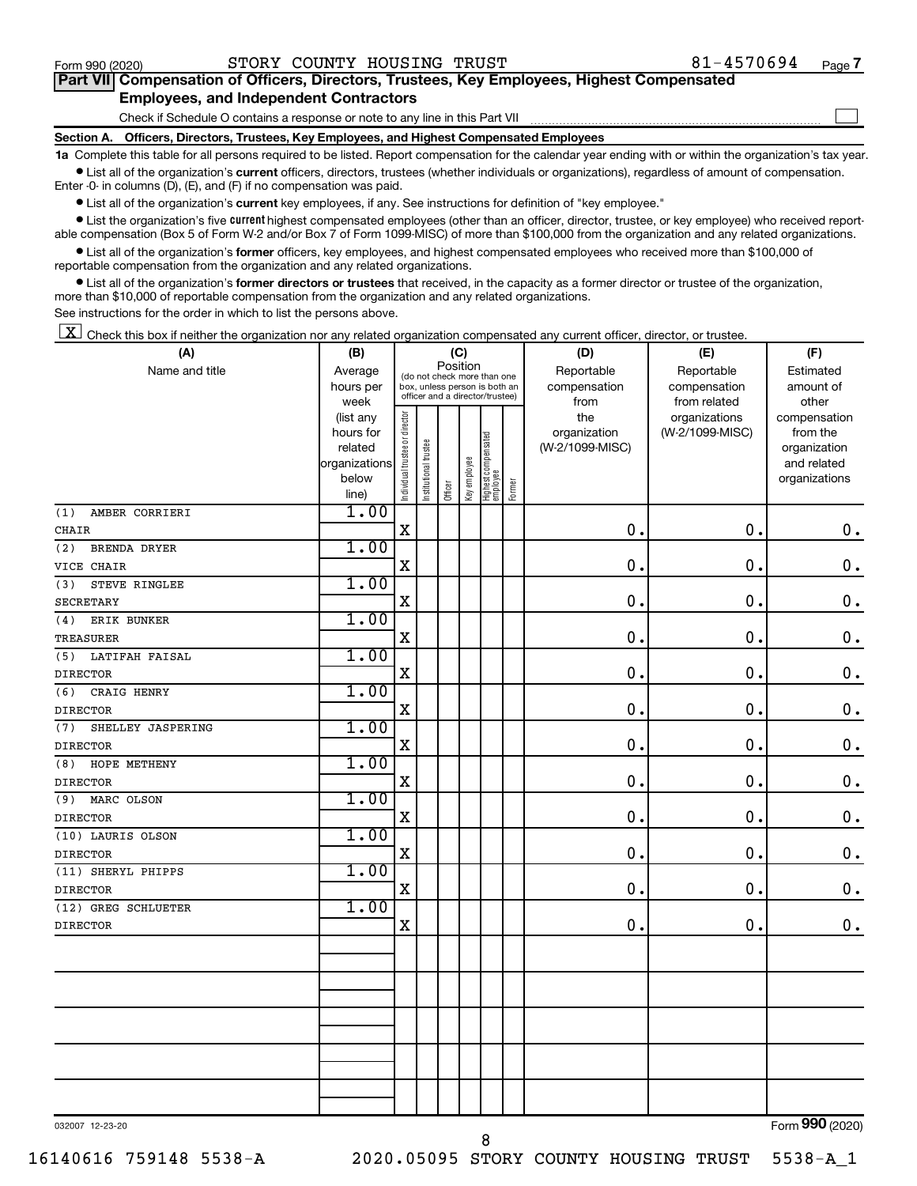$\Box$ 

| Part VII Compensation of Officers, Directors, Trustees, Key Employees, Highest Compensated |  |  |
|--------------------------------------------------------------------------------------------|--|--|
| <b>Employees, and Independent Contractors</b>                                              |  |  |

Check if Schedule O contains a response or note to any line in this Part VII

**Section A. Officers, Directors, Trustees, Key Employees, and Highest Compensated Employees**

**1a**  Complete this table for all persons required to be listed. Report compensation for the calendar year ending with or within the organization's tax year.  $\bullet$  List all of the organization's current officers, directors, trustees (whether individuals or organizations), regardless of amount of compensation.

Enter -0- in columns (D), (E), and (F) if no compensation was paid.

**•** List all of the organization's current key employees, if any. See instructions for definition of "key employee."

• List the organization's five *current* highest compensated employees (other than an officer, director, trustee, or key employee) who received reportable compensation (Box 5 of Form W-2 and/or Box 7 of Form 1099-MISC) of more than \$100,000 from the organization and any related organizations.

 $\bullet$  List all of the organization's former officers, key employees, and highest compensated employees who received more than \$100,000 of reportable compensation from the organization and any related organizations.

**•** List all of the organization's former directors or trustees that received, in the capacity as a former director or trustee of the organization, more than \$10,000 of reportable compensation from the organization and any related organizations.

See instructions for the order in which to list the persons above.

 $\boxed{\textbf{X}}$  Check this box if neither the organization nor any related organization compensated any current officer, director, or trustee.

| (A)                      | (B)                    |                                         |                       |         | (C)          |                                                                  |        | (D)             | (E)             | (F)                          |
|--------------------------|------------------------|-----------------------------------------|-----------------------|---------|--------------|------------------------------------------------------------------|--------|-----------------|-----------------|------------------------------|
| Name and title           | Average                | Position<br>(do not check more than one |                       |         |              |                                                                  |        | Reportable      | Reportable      | Estimated                    |
|                          | hours per              |                                         |                       |         |              | box, unless person is both an<br>officer and a director/trustee) |        | compensation    | compensation    | amount of                    |
|                          | week                   |                                         |                       |         |              |                                                                  |        | from            | from related    | other                        |
|                          | (list any              |                                         |                       |         |              |                                                                  |        | the             | organizations   | compensation                 |
|                          | hours for              |                                         |                       |         |              |                                                                  |        | organization    | (W-2/1099-MISC) | from the                     |
|                          | related                |                                         |                       |         |              |                                                                  |        | (W-2/1099-MISC) |                 | organization                 |
|                          | organizations<br>below |                                         |                       |         |              |                                                                  |        |                 |                 | and related<br>organizations |
|                          | line)                  | Individual trustee or director          | Institutional trustee | Officer | Key employee | Highest compensated<br>employee                                  | Former |                 |                 |                              |
| (1)<br>AMBER CORRIERI    | 1.00                   |                                         |                       |         |              |                                                                  |        |                 |                 |                              |
| <b>CHAIR</b>             |                        | $\mathbf X$                             |                       |         |              |                                                                  |        | 0.              | 0.              | $\mathbf 0$ .                |
| (2)<br>BRENDA DRYER      | 1.00                   |                                         |                       |         |              |                                                                  |        |                 |                 |                              |
| VICE CHAIR               |                        | $\mathbf X$                             |                       |         |              |                                                                  |        | $\mathbf 0$     | $\mathbf 0$ .   | $\mathbf 0$ .                |
| STEVE RINGLEE<br>(3)     | 1.00                   |                                         |                       |         |              |                                                                  |        |                 |                 |                              |
| <b>SECRETARY</b>         |                        | $\mathbf X$                             |                       |         |              |                                                                  |        | $\mathbf 0$     | $\mathbf 0$ .   | $\mathbf 0$ .                |
| (4)<br>ERIK BUNKER       | 1.00                   |                                         |                       |         |              |                                                                  |        |                 |                 |                              |
| TREASURER                |                        | $\rm X$                                 |                       |         |              |                                                                  |        | 0.              | 0.              | $\mathbf 0$ .                |
| LATIFAH FAISAL<br>(5)    | 1.00                   |                                         |                       |         |              |                                                                  |        |                 |                 |                              |
| <b>DIRECTOR</b>          |                        | $\mathbf X$                             |                       |         |              |                                                                  |        | $\mathbf 0$     | 0.              | $\mathbf 0$ .                |
| CRAIG HENRY<br>(6)       | 1.00                   |                                         |                       |         |              |                                                                  |        |                 |                 |                              |
| <b>DIRECTOR</b>          |                        | $\mathbf X$                             |                       |         |              |                                                                  |        | 0               | $\mathbf 0$ .   | $0$ .                        |
| SHELLEY JASPERING<br>(7) | 1.00                   |                                         |                       |         |              |                                                                  |        |                 |                 |                              |
| <b>DIRECTOR</b>          |                        | $\mathbf X$                             |                       |         |              |                                                                  |        | $\mathbf 0$     | 0.              | $\mathbf 0$ .                |
| HOPE METHENY<br>(8)      | 1.00                   |                                         |                       |         |              |                                                                  |        |                 |                 |                              |
| <b>DIRECTOR</b>          |                        | $\mathbf X$                             |                       |         |              |                                                                  |        | 0.              | $\mathbf 0$ .   | $\mathbf 0$ .                |
| MARC OLSON<br>(9)        | 1.00                   |                                         |                       |         |              |                                                                  |        |                 |                 |                              |
| <b>DIRECTOR</b>          |                        | $\mathbf X$                             |                       |         |              |                                                                  |        | $\mathbf 0$     | 0.              | $\mathbf 0$ .                |
| (10) LAURIS OLSON        | 1.00                   |                                         |                       |         |              |                                                                  |        |                 |                 |                              |
| <b>DIRECTOR</b>          |                        | $\mathbf X$                             |                       |         |              |                                                                  |        | $\mathbf 0$     | $\mathbf 0$ .   | $\mathbf 0$ .                |
| (11) SHERYL PHIPPS       | 1.00                   |                                         |                       |         |              |                                                                  |        |                 |                 |                              |
| <b>DIRECTOR</b>          |                        | $\mathbf X$                             |                       |         |              |                                                                  |        | $\mathbf 0$     | 0.              | 0.                           |
| (12) GREG SCHLUETER      | 1.00                   |                                         |                       |         |              |                                                                  |        |                 |                 |                              |
| <b>DIRECTOR</b>          |                        | $\mathbf X$                             |                       |         |              |                                                                  |        | $\mathbf 0$     | $\mathbf 0$ .   | 0.                           |
|                          |                        |                                         |                       |         |              |                                                                  |        |                 |                 |                              |
|                          |                        |                                         |                       |         |              |                                                                  |        |                 |                 |                              |
|                          |                        |                                         |                       |         |              |                                                                  |        |                 |                 |                              |
|                          |                        |                                         |                       |         |              |                                                                  |        |                 |                 |                              |
|                          |                        |                                         |                       |         |              |                                                                  |        |                 |                 |                              |
|                          |                        |                                         |                       |         |              |                                                                  |        |                 |                 |                              |
|                          |                        |                                         |                       |         |              |                                                                  |        |                 |                 |                              |
|                          |                        |                                         |                       |         |              |                                                                  |        |                 |                 |                              |
|                          |                        |                                         |                       |         |              |                                                                  |        |                 |                 |                              |
|                          |                        |                                         |                       |         |              |                                                                  |        |                 |                 |                              |

032007 12-23-20

Form (2020) **990**

8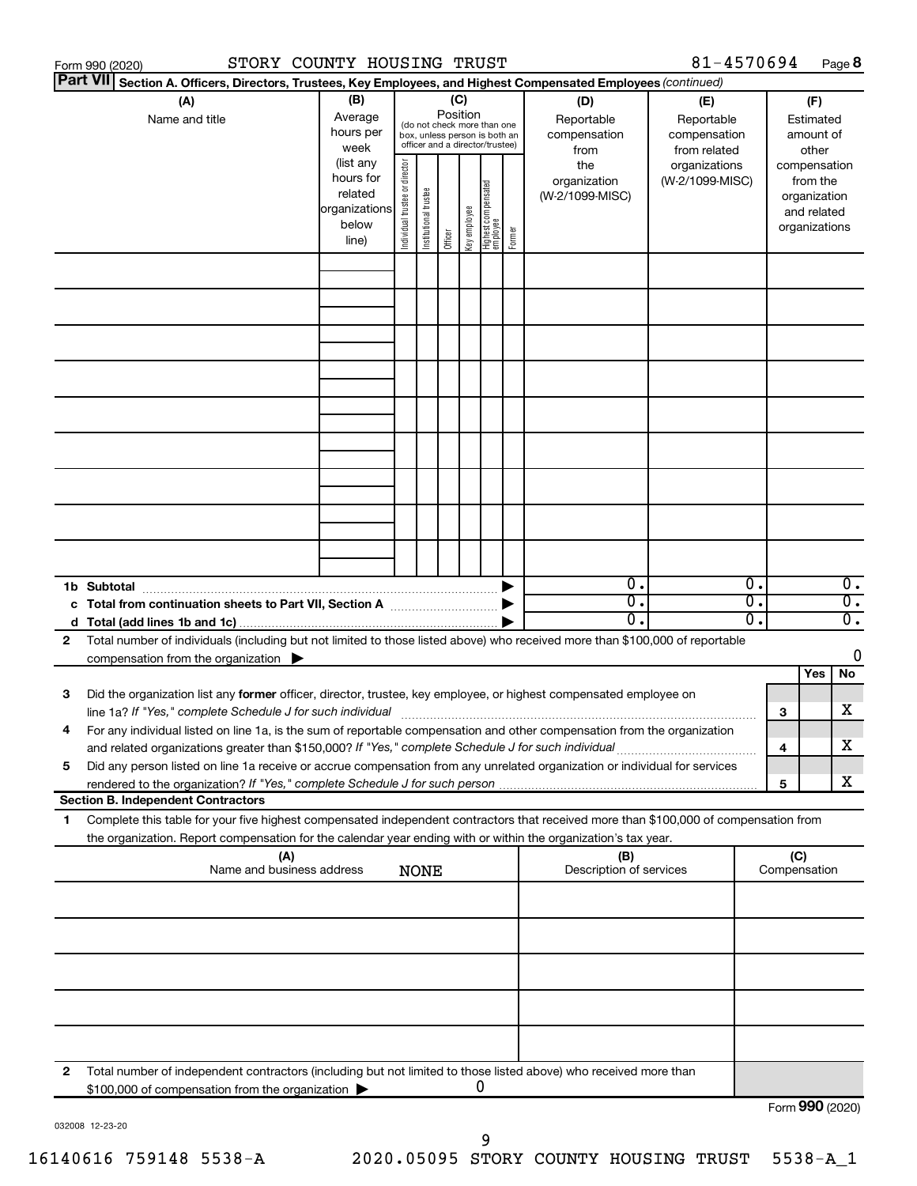|    | Form 990 (2020)                                                                                                                                                                                                                                                                                                                                   | STORY COUNTY HOUSING TRUST                                           |                                |                                                                                                 |                 |              |                                   |        |                                           | 81-4570694                                        |          |                               |                                         | Page 8                               |
|----|---------------------------------------------------------------------------------------------------------------------------------------------------------------------------------------------------------------------------------------------------------------------------------------------------------------------------------------------------|----------------------------------------------------------------------|--------------------------------|-------------------------------------------------------------------------------------------------|-----------------|--------------|-----------------------------------|--------|-------------------------------------------|---------------------------------------------------|----------|-------------------------------|-----------------------------------------|--------------------------------------|
|    | <b>Part VII</b><br>Section A. Officers, Directors, Trustees, Key Employees, and Highest Compensated Employees (continued)                                                                                                                                                                                                                         |                                                                      |                                |                                                                                                 |                 |              |                                   |        |                                           |                                                   |          |                               |                                         |                                      |
|    | (A)<br>Name and title                                                                                                                                                                                                                                                                                                                             | (B)<br>Average<br>hours per<br>week                                  |                                | (do not check more than one<br>box, unless person is both an<br>officer and a director/trustee) | (C)<br>Position |              |                                   |        | (D)<br>Reportable<br>compensation<br>from | (E)<br>Reportable<br>compensation<br>from related |          |                               | (F)<br>Estimated<br>amount of<br>other  |                                      |
|    |                                                                                                                                                                                                                                                                                                                                                   | (list any<br>hours for<br>related<br>organizations<br>below<br>line) | Individual trustee or director | Institutional trustee                                                                           | Officer         | Key employee | Highest compensated<br>  employee | Former | the<br>organization<br>(W-2/1099-MISC)    | organizations<br>(W-2/1099-MISC)                  |          | compensation<br>organizations | from the<br>organization<br>and related |                                      |
|    |                                                                                                                                                                                                                                                                                                                                                   |                                                                      |                                |                                                                                                 |                 |              |                                   |        |                                           |                                                   |          |                               |                                         |                                      |
|    |                                                                                                                                                                                                                                                                                                                                                   |                                                                      |                                |                                                                                                 |                 |              |                                   |        |                                           |                                                   |          |                               |                                         |                                      |
|    |                                                                                                                                                                                                                                                                                                                                                   |                                                                      |                                |                                                                                                 |                 |              |                                   |        |                                           |                                                   |          |                               |                                         |                                      |
|    |                                                                                                                                                                                                                                                                                                                                                   |                                                                      |                                |                                                                                                 |                 |              |                                   |        |                                           |                                                   |          |                               |                                         |                                      |
|    |                                                                                                                                                                                                                                                                                                                                                   |                                                                      |                                |                                                                                                 |                 |              |                                   |        |                                           |                                                   |          |                               |                                         |                                      |
|    |                                                                                                                                                                                                                                                                                                                                                   |                                                                      |                                |                                                                                                 |                 |              |                                   |        |                                           |                                                   |          |                               |                                         |                                      |
|    | 1b Subtotal                                                                                                                                                                                                                                                                                                                                       |                                                                      |                                |                                                                                                 |                 |              |                                   |        | $\mathbf{0}$ .                            |                                                   | 0.       |                               |                                         | $\overline{0}$ .                     |
|    | c Total from continuation sheets to Part VII, Section A manufactured by                                                                                                                                                                                                                                                                           |                                                                      |                                |                                                                                                 |                 |              |                                   |        | $\overline{0}$ .<br>$0$ .                 |                                                   | σ.<br>о. |                               |                                         | $\overline{0}$ .<br>$\overline{0}$ . |
| 2  | Total number of individuals (including but not limited to those listed above) who received more than \$100,000 of reportable<br>compensation from the organization $\blacktriangleright$                                                                                                                                                          |                                                                      |                                |                                                                                                 |                 |              |                                   |        |                                           |                                                   |          |                               |                                         | 0                                    |
| 3  | Did the organization list any former officer, director, trustee, key employee, or highest compensated employee on                                                                                                                                                                                                                                 |                                                                      |                                |                                                                                                 |                 |              |                                   |        |                                           |                                                   |          | 3                             | Yes                                     | No<br>х                              |
|    | line 1a? If "Yes," complete Schedule J for such individual manufactured content to the set of the set of the s<br>For any individual listed on line 1a, is the sum of reportable compensation and other compensation from the organization<br>and related organizations greater than \$150,000? If "Yes," complete Schedule J for such individual |                                                                      |                                |                                                                                                 |                 |              |                                   |        |                                           |                                                   |          | 4                             |                                         | х                                    |
| 5  | Did any person listed on line 1a receive or accrue compensation from any unrelated organization or individual for services<br><b>Section B. Independent Contractors</b>                                                                                                                                                                           |                                                                      |                                |                                                                                                 |                 |              |                                   |        |                                           |                                                   |          | 5                             |                                         | х                                    |
| 1. | Complete this table for your five highest compensated independent contractors that received more than \$100,000 of compensation from                                                                                                                                                                                                              |                                                                      |                                |                                                                                                 |                 |              |                                   |        |                                           |                                                   |          |                               |                                         |                                      |
|    | the organization. Report compensation for the calendar year ending with or within the organization's tax year.                                                                                                                                                                                                                                    |                                                                      |                                |                                                                                                 |                 |              |                                   |        |                                           |                                                   |          |                               |                                         |                                      |
|    | (A)<br>Name and business address                                                                                                                                                                                                                                                                                                                  |                                                                      |                                | <b>NONE</b>                                                                                     |                 |              |                                   |        | (B)<br>Description of services            |                                                   |          | (C)<br>Compensation           |                                         |                                      |
|    |                                                                                                                                                                                                                                                                                                                                                   |                                                                      |                                |                                                                                                 |                 |              |                                   |        |                                           |                                                   |          |                               |                                         |                                      |
|    |                                                                                                                                                                                                                                                                                                                                                   |                                                                      |                                |                                                                                                 |                 |              |                                   |        |                                           |                                                   |          |                               |                                         |                                      |
|    |                                                                                                                                                                                                                                                                                                                                                   |                                                                      |                                |                                                                                                 |                 |              |                                   |        |                                           |                                                   |          |                               |                                         |                                      |
| 2  | Total number of independent contractors (including but not limited to those listed above) who received more than                                                                                                                                                                                                                                  |                                                                      |                                |                                                                                                 |                 |              | 0                                 |        |                                           |                                                   |          |                               |                                         |                                      |
|    | \$100,000 of compensation from the organization                                                                                                                                                                                                                                                                                                   |                                                                      |                                |                                                                                                 |                 |              |                                   |        |                                           |                                                   |          | Form 990 (2020)               |                                         |                                      |

032008 12-23-20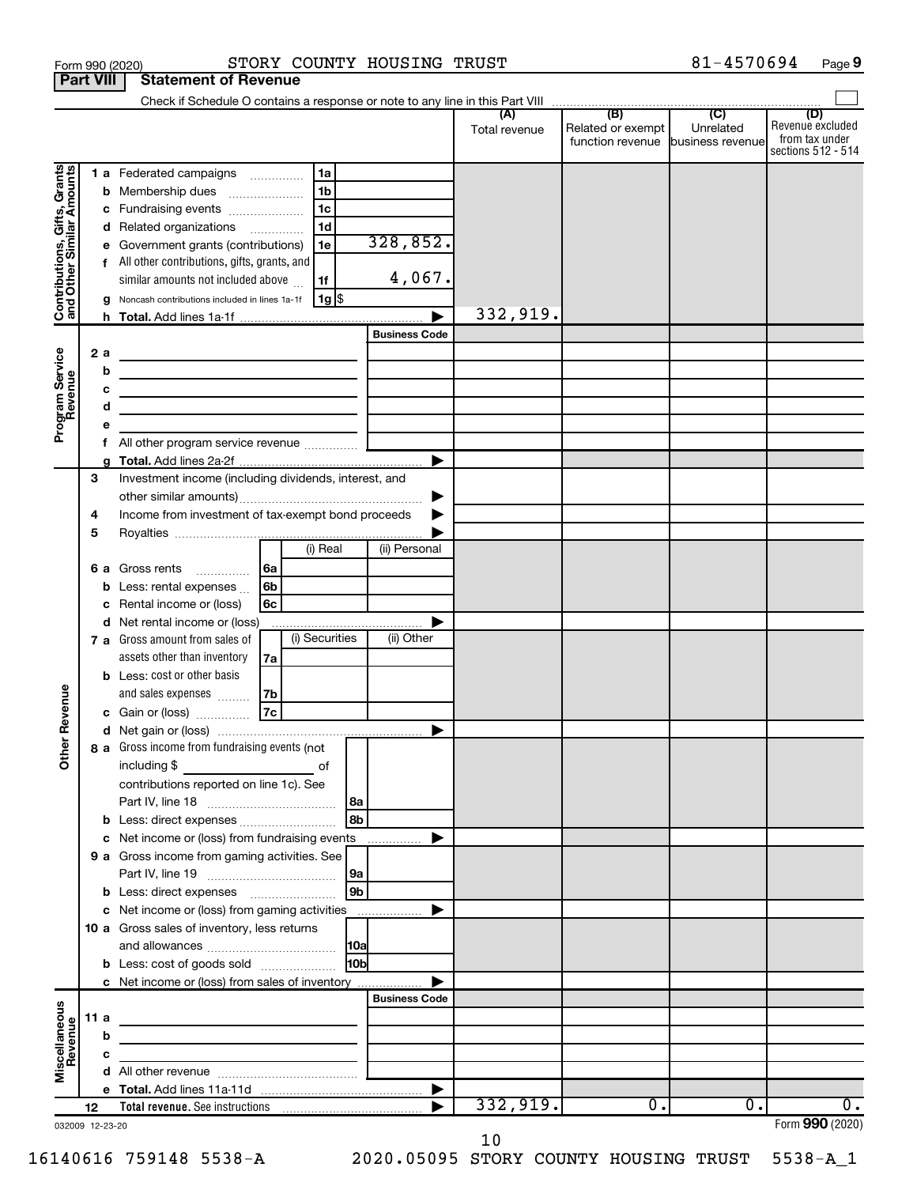| Related or exempt<br>Unrelated<br>Total revenue<br>function revenue business revenue<br>Contributions, Gifts, Grants<br>and Other Similar Amounts<br>1 a Federated campaigns<br>1a<br>1 <sub>b</sub><br>Membership dues<br>b<br>1c<br>Fundraising events<br>с<br>1 <sub>d</sub><br>d Related organizations<br>328,852.<br>Government grants (contributions)<br>1e<br>е<br>All other contributions, gifts, grants, and<br>f<br>4,067.<br>similar amounts not included above<br>1f<br>Noncash contributions included in lines 1a-1f<br> 1g <br>332,919.<br><b>Business Code</b><br>Program Service<br>Revenue<br>2a<br>the control of the control of the control of the control of the control of<br>b<br>c<br>the contract of the contract of the contract of the contract of the contract of<br>d<br>е<br>f<br>▶<br>3<br>Investment income (including dividends, interest, and<br>Income from investment of tax-exempt bond proceeds<br>4<br>5<br>(i) Real<br>(ii) Personal<br>6a<br>6 a Gross rents<br>6b<br>Less: rental expenses<br>b<br>6c<br>Rental income or (loss)<br>c<br>d Net rental income or (loss)<br>(i) Securities<br>(ii) Other<br>7 a Gross amount from sales of<br>assets other than inventory<br>7a<br><b>b</b> Less: cost or other basis<br>Revenue<br>7b<br>and sales expenses<br> 7c <br>c Gain or (loss)<br>৯<br>8 a Gross income from fundraising events (not<br>Ĕ<br>including \$<br>оf<br>contributions reported on line 1c). See<br>8b<br>c Net income or (loss) from fundraising events<br>9 a Gross income from gaming activities. See<br>9b<br>c Net income or (loss) from gaming activities<br>▶<br>10 a Gross sales of inventory, less returns<br>10 <sub>b</sub><br><b>b</b> Less: cost of goods sold<br>c Net income or (loss) from sales of inventory | <b>Part VIII</b> | <b>Statement of Revenue</b> |  |  |                                                                 |
|------------------------------------------------------------------------------------------------------------------------------------------------------------------------------------------------------------------------------------------------------------------------------------------------------------------------------------------------------------------------------------------------------------------------------------------------------------------------------------------------------------------------------------------------------------------------------------------------------------------------------------------------------------------------------------------------------------------------------------------------------------------------------------------------------------------------------------------------------------------------------------------------------------------------------------------------------------------------------------------------------------------------------------------------------------------------------------------------------------------------------------------------------------------------------------------------------------------------------------------------------------------------------------------------------------------------------------------------------------------------------------------------------------------------------------------------------------------------------------------------------------------------------------------------------------------------------------------------------------------------------------------------------------------------------------------------------------------------------------------------------------------------------------------|------------------|-----------------------------|--|--|-----------------------------------------------------------------|
|                                                                                                                                                                                                                                                                                                                                                                                                                                                                                                                                                                                                                                                                                                                                                                                                                                                                                                                                                                                                                                                                                                                                                                                                                                                                                                                                                                                                                                                                                                                                                                                                                                                                                                                                                                                          |                  |                             |  |  |                                                                 |
|                                                                                                                                                                                                                                                                                                                                                                                                                                                                                                                                                                                                                                                                                                                                                                                                                                                                                                                                                                                                                                                                                                                                                                                                                                                                                                                                                                                                                                                                                                                                                                                                                                                                                                                                                                                          |                  |                             |  |  | (D)<br>Revenue excluded<br>from tax under<br>sections 512 - 514 |
|                                                                                                                                                                                                                                                                                                                                                                                                                                                                                                                                                                                                                                                                                                                                                                                                                                                                                                                                                                                                                                                                                                                                                                                                                                                                                                                                                                                                                                                                                                                                                                                                                                                                                                                                                                                          |                  |                             |  |  |                                                                 |
|                                                                                                                                                                                                                                                                                                                                                                                                                                                                                                                                                                                                                                                                                                                                                                                                                                                                                                                                                                                                                                                                                                                                                                                                                                                                                                                                                                                                                                                                                                                                                                                                                                                                                                                                                                                          |                  |                             |  |  |                                                                 |
|                                                                                                                                                                                                                                                                                                                                                                                                                                                                                                                                                                                                                                                                                                                                                                                                                                                                                                                                                                                                                                                                                                                                                                                                                                                                                                                                                                                                                                                                                                                                                                                                                                                                                                                                                                                          |                  |                             |  |  |                                                                 |
|                                                                                                                                                                                                                                                                                                                                                                                                                                                                                                                                                                                                                                                                                                                                                                                                                                                                                                                                                                                                                                                                                                                                                                                                                                                                                                                                                                                                                                                                                                                                                                                                                                                                                                                                                                                          |                  |                             |  |  |                                                                 |
|                                                                                                                                                                                                                                                                                                                                                                                                                                                                                                                                                                                                                                                                                                                                                                                                                                                                                                                                                                                                                                                                                                                                                                                                                                                                                                                                                                                                                                                                                                                                                                                                                                                                                                                                                                                          |                  |                             |  |  |                                                                 |
|                                                                                                                                                                                                                                                                                                                                                                                                                                                                                                                                                                                                                                                                                                                                                                                                                                                                                                                                                                                                                                                                                                                                                                                                                                                                                                                                                                                                                                                                                                                                                                                                                                                                                                                                                                                          |                  |                             |  |  |                                                                 |
|                                                                                                                                                                                                                                                                                                                                                                                                                                                                                                                                                                                                                                                                                                                                                                                                                                                                                                                                                                                                                                                                                                                                                                                                                                                                                                                                                                                                                                                                                                                                                                                                                                                                                                                                                                                          |                  |                             |  |  |                                                                 |
|                                                                                                                                                                                                                                                                                                                                                                                                                                                                                                                                                                                                                                                                                                                                                                                                                                                                                                                                                                                                                                                                                                                                                                                                                                                                                                                                                                                                                                                                                                                                                                                                                                                                                                                                                                                          |                  |                             |  |  |                                                                 |
|                                                                                                                                                                                                                                                                                                                                                                                                                                                                                                                                                                                                                                                                                                                                                                                                                                                                                                                                                                                                                                                                                                                                                                                                                                                                                                                                                                                                                                                                                                                                                                                                                                                                                                                                                                                          |                  |                             |  |  |                                                                 |
|                                                                                                                                                                                                                                                                                                                                                                                                                                                                                                                                                                                                                                                                                                                                                                                                                                                                                                                                                                                                                                                                                                                                                                                                                                                                                                                                                                                                                                                                                                                                                                                                                                                                                                                                                                                          |                  |                             |  |  |                                                                 |
|                                                                                                                                                                                                                                                                                                                                                                                                                                                                                                                                                                                                                                                                                                                                                                                                                                                                                                                                                                                                                                                                                                                                                                                                                                                                                                                                                                                                                                                                                                                                                                                                                                                                                                                                                                                          |                  |                             |  |  |                                                                 |
|                                                                                                                                                                                                                                                                                                                                                                                                                                                                                                                                                                                                                                                                                                                                                                                                                                                                                                                                                                                                                                                                                                                                                                                                                                                                                                                                                                                                                                                                                                                                                                                                                                                                                                                                                                                          |                  |                             |  |  |                                                                 |
|                                                                                                                                                                                                                                                                                                                                                                                                                                                                                                                                                                                                                                                                                                                                                                                                                                                                                                                                                                                                                                                                                                                                                                                                                                                                                                                                                                                                                                                                                                                                                                                                                                                                                                                                                                                          |                  |                             |  |  |                                                                 |
|                                                                                                                                                                                                                                                                                                                                                                                                                                                                                                                                                                                                                                                                                                                                                                                                                                                                                                                                                                                                                                                                                                                                                                                                                                                                                                                                                                                                                                                                                                                                                                                                                                                                                                                                                                                          |                  |                             |  |  |                                                                 |
|                                                                                                                                                                                                                                                                                                                                                                                                                                                                                                                                                                                                                                                                                                                                                                                                                                                                                                                                                                                                                                                                                                                                                                                                                                                                                                                                                                                                                                                                                                                                                                                                                                                                                                                                                                                          |                  |                             |  |  |                                                                 |
|                                                                                                                                                                                                                                                                                                                                                                                                                                                                                                                                                                                                                                                                                                                                                                                                                                                                                                                                                                                                                                                                                                                                                                                                                                                                                                                                                                                                                                                                                                                                                                                                                                                                                                                                                                                          |                  |                             |  |  |                                                                 |
|                                                                                                                                                                                                                                                                                                                                                                                                                                                                                                                                                                                                                                                                                                                                                                                                                                                                                                                                                                                                                                                                                                                                                                                                                                                                                                                                                                                                                                                                                                                                                                                                                                                                                                                                                                                          |                  |                             |  |  |                                                                 |
|                                                                                                                                                                                                                                                                                                                                                                                                                                                                                                                                                                                                                                                                                                                                                                                                                                                                                                                                                                                                                                                                                                                                                                                                                                                                                                                                                                                                                                                                                                                                                                                                                                                                                                                                                                                          |                  |                             |  |  |                                                                 |
|                                                                                                                                                                                                                                                                                                                                                                                                                                                                                                                                                                                                                                                                                                                                                                                                                                                                                                                                                                                                                                                                                                                                                                                                                                                                                                                                                                                                                                                                                                                                                                                                                                                                                                                                                                                          |                  |                             |  |  |                                                                 |
|                                                                                                                                                                                                                                                                                                                                                                                                                                                                                                                                                                                                                                                                                                                                                                                                                                                                                                                                                                                                                                                                                                                                                                                                                                                                                                                                                                                                                                                                                                                                                                                                                                                                                                                                                                                          |                  |                             |  |  |                                                                 |
|                                                                                                                                                                                                                                                                                                                                                                                                                                                                                                                                                                                                                                                                                                                                                                                                                                                                                                                                                                                                                                                                                                                                                                                                                                                                                                                                                                                                                                                                                                                                                                                                                                                                                                                                                                                          |                  |                             |  |  |                                                                 |
|                                                                                                                                                                                                                                                                                                                                                                                                                                                                                                                                                                                                                                                                                                                                                                                                                                                                                                                                                                                                                                                                                                                                                                                                                                                                                                                                                                                                                                                                                                                                                                                                                                                                                                                                                                                          |                  |                             |  |  |                                                                 |
|                                                                                                                                                                                                                                                                                                                                                                                                                                                                                                                                                                                                                                                                                                                                                                                                                                                                                                                                                                                                                                                                                                                                                                                                                                                                                                                                                                                                                                                                                                                                                                                                                                                                                                                                                                                          |                  |                             |  |  |                                                                 |
|                                                                                                                                                                                                                                                                                                                                                                                                                                                                                                                                                                                                                                                                                                                                                                                                                                                                                                                                                                                                                                                                                                                                                                                                                                                                                                                                                                                                                                                                                                                                                                                                                                                                                                                                                                                          |                  |                             |  |  |                                                                 |
|                                                                                                                                                                                                                                                                                                                                                                                                                                                                                                                                                                                                                                                                                                                                                                                                                                                                                                                                                                                                                                                                                                                                                                                                                                                                                                                                                                                                                                                                                                                                                                                                                                                                                                                                                                                          |                  |                             |  |  |                                                                 |
|                                                                                                                                                                                                                                                                                                                                                                                                                                                                                                                                                                                                                                                                                                                                                                                                                                                                                                                                                                                                                                                                                                                                                                                                                                                                                                                                                                                                                                                                                                                                                                                                                                                                                                                                                                                          |                  |                             |  |  |                                                                 |
|                                                                                                                                                                                                                                                                                                                                                                                                                                                                                                                                                                                                                                                                                                                                                                                                                                                                                                                                                                                                                                                                                                                                                                                                                                                                                                                                                                                                                                                                                                                                                                                                                                                                                                                                                                                          |                  |                             |  |  |                                                                 |
|                                                                                                                                                                                                                                                                                                                                                                                                                                                                                                                                                                                                                                                                                                                                                                                                                                                                                                                                                                                                                                                                                                                                                                                                                                                                                                                                                                                                                                                                                                                                                                                                                                                                                                                                                                                          |                  |                             |  |  |                                                                 |
|                                                                                                                                                                                                                                                                                                                                                                                                                                                                                                                                                                                                                                                                                                                                                                                                                                                                                                                                                                                                                                                                                                                                                                                                                                                                                                                                                                                                                                                                                                                                                                                                                                                                                                                                                                                          |                  |                             |  |  |                                                                 |
|                                                                                                                                                                                                                                                                                                                                                                                                                                                                                                                                                                                                                                                                                                                                                                                                                                                                                                                                                                                                                                                                                                                                                                                                                                                                                                                                                                                                                                                                                                                                                                                                                                                                                                                                                                                          |                  |                             |  |  |                                                                 |
|                                                                                                                                                                                                                                                                                                                                                                                                                                                                                                                                                                                                                                                                                                                                                                                                                                                                                                                                                                                                                                                                                                                                                                                                                                                                                                                                                                                                                                                                                                                                                                                                                                                                                                                                                                                          |                  |                             |  |  |                                                                 |
|                                                                                                                                                                                                                                                                                                                                                                                                                                                                                                                                                                                                                                                                                                                                                                                                                                                                                                                                                                                                                                                                                                                                                                                                                                                                                                                                                                                                                                                                                                                                                                                                                                                                                                                                                                                          |                  |                             |  |  |                                                                 |
|                                                                                                                                                                                                                                                                                                                                                                                                                                                                                                                                                                                                                                                                                                                                                                                                                                                                                                                                                                                                                                                                                                                                                                                                                                                                                                                                                                                                                                                                                                                                                                                                                                                                                                                                                                                          |                  |                             |  |  |                                                                 |
|                                                                                                                                                                                                                                                                                                                                                                                                                                                                                                                                                                                                                                                                                                                                                                                                                                                                                                                                                                                                                                                                                                                                                                                                                                                                                                                                                                                                                                                                                                                                                                                                                                                                                                                                                                                          |                  |                             |  |  |                                                                 |
|                                                                                                                                                                                                                                                                                                                                                                                                                                                                                                                                                                                                                                                                                                                                                                                                                                                                                                                                                                                                                                                                                                                                                                                                                                                                                                                                                                                                                                                                                                                                                                                                                                                                                                                                                                                          |                  |                             |  |  |                                                                 |
|                                                                                                                                                                                                                                                                                                                                                                                                                                                                                                                                                                                                                                                                                                                                                                                                                                                                                                                                                                                                                                                                                                                                                                                                                                                                                                                                                                                                                                                                                                                                                                                                                                                                                                                                                                                          |                  |                             |  |  |                                                                 |
|                                                                                                                                                                                                                                                                                                                                                                                                                                                                                                                                                                                                                                                                                                                                                                                                                                                                                                                                                                                                                                                                                                                                                                                                                                                                                                                                                                                                                                                                                                                                                                                                                                                                                                                                                                                          |                  |                             |  |  |                                                                 |
|                                                                                                                                                                                                                                                                                                                                                                                                                                                                                                                                                                                                                                                                                                                                                                                                                                                                                                                                                                                                                                                                                                                                                                                                                                                                                                                                                                                                                                                                                                                                                                                                                                                                                                                                                                                          |                  |                             |  |  |                                                                 |
|                                                                                                                                                                                                                                                                                                                                                                                                                                                                                                                                                                                                                                                                                                                                                                                                                                                                                                                                                                                                                                                                                                                                                                                                                                                                                                                                                                                                                                                                                                                                                                                                                                                                                                                                                                                          |                  |                             |  |  |                                                                 |
|                                                                                                                                                                                                                                                                                                                                                                                                                                                                                                                                                                                                                                                                                                                                                                                                                                                                                                                                                                                                                                                                                                                                                                                                                                                                                                                                                                                                                                                                                                                                                                                                                                                                                                                                                                                          |                  |                             |  |  |                                                                 |
|                                                                                                                                                                                                                                                                                                                                                                                                                                                                                                                                                                                                                                                                                                                                                                                                                                                                                                                                                                                                                                                                                                                                                                                                                                                                                                                                                                                                                                                                                                                                                                                                                                                                                                                                                                                          |                  |                             |  |  |                                                                 |
|                                                                                                                                                                                                                                                                                                                                                                                                                                                                                                                                                                                                                                                                                                                                                                                                                                                                                                                                                                                                                                                                                                                                                                                                                                                                                                                                                                                                                                                                                                                                                                                                                                                                                                                                                                                          |                  |                             |  |  |                                                                 |
|                                                                                                                                                                                                                                                                                                                                                                                                                                                                                                                                                                                                                                                                                                                                                                                                                                                                                                                                                                                                                                                                                                                                                                                                                                                                                                                                                                                                                                                                                                                                                                                                                                                                                                                                                                                          |                  |                             |  |  |                                                                 |
| <b>Business Code</b>                                                                                                                                                                                                                                                                                                                                                                                                                                                                                                                                                                                                                                                                                                                                                                                                                                                                                                                                                                                                                                                                                                                                                                                                                                                                                                                                                                                                                                                                                                                                                                                                                                                                                                                                                                     |                  |                             |  |  |                                                                 |
| 11 a<br><u> 1989 - Johann Barbara, martxa alemaniar a</u>                                                                                                                                                                                                                                                                                                                                                                                                                                                                                                                                                                                                                                                                                                                                                                                                                                                                                                                                                                                                                                                                                                                                                                                                                                                                                                                                                                                                                                                                                                                                                                                                                                                                                                                                |                  |                             |  |  |                                                                 |
| b<br><u> 1980 - Jan Barat, martin a shekara tsara tsa na shekara tsa na shekara tsa na shekara tsa na shekara tsa na s</u>                                                                                                                                                                                                                                                                                                                                                                                                                                                                                                                                                                                                                                                                                                                                                                                                                                                                                                                                                                                                                                                                                                                                                                                                                                                                                                                                                                                                                                                                                                                                                                                                                                                               |                  |                             |  |  |                                                                 |
| Miscellaneous<br>Revenue<br>c                                                                                                                                                                                                                                                                                                                                                                                                                                                                                                                                                                                                                                                                                                                                                                                                                                                                                                                                                                                                                                                                                                                                                                                                                                                                                                                                                                                                                                                                                                                                                                                                                                                                                                                                                            |                  |                             |  |  |                                                                 |
|                                                                                                                                                                                                                                                                                                                                                                                                                                                                                                                                                                                                                                                                                                                                                                                                                                                                                                                                                                                                                                                                                                                                                                                                                                                                                                                                                                                                                                                                                                                                                                                                                                                                                                                                                                                          |                  |                             |  |  |                                                                 |
| 332,919.<br>$\mathbf{0}$ .<br>$\overline{0}$ .                                                                                                                                                                                                                                                                                                                                                                                                                                                                                                                                                                                                                                                                                                                                                                                                                                                                                                                                                                                                                                                                                                                                                                                                                                                                                                                                                                                                                                                                                                                                                                                                                                                                                                                                           |                  |                             |  |  | $\overline{0}$ .                                                |
| 12<br>032009 12-23-20                                                                                                                                                                                                                                                                                                                                                                                                                                                                                                                                                                                                                                                                                                                                                                                                                                                                                                                                                                                                                                                                                                                                                                                                                                                                                                                                                                                                                                                                                                                                                                                                                                                                                                                                                                    |                  |                             |  |  | Form 990 (2020)                                                 |

Form 990 (2020) Page

STORY COUNTY HOUSING TRUST 81-4570694

81-4570694 Page 9

10

16140616 759148 5538-A 2020.05095 STORY COUNTY HOUSING TRUST 5538-A\_1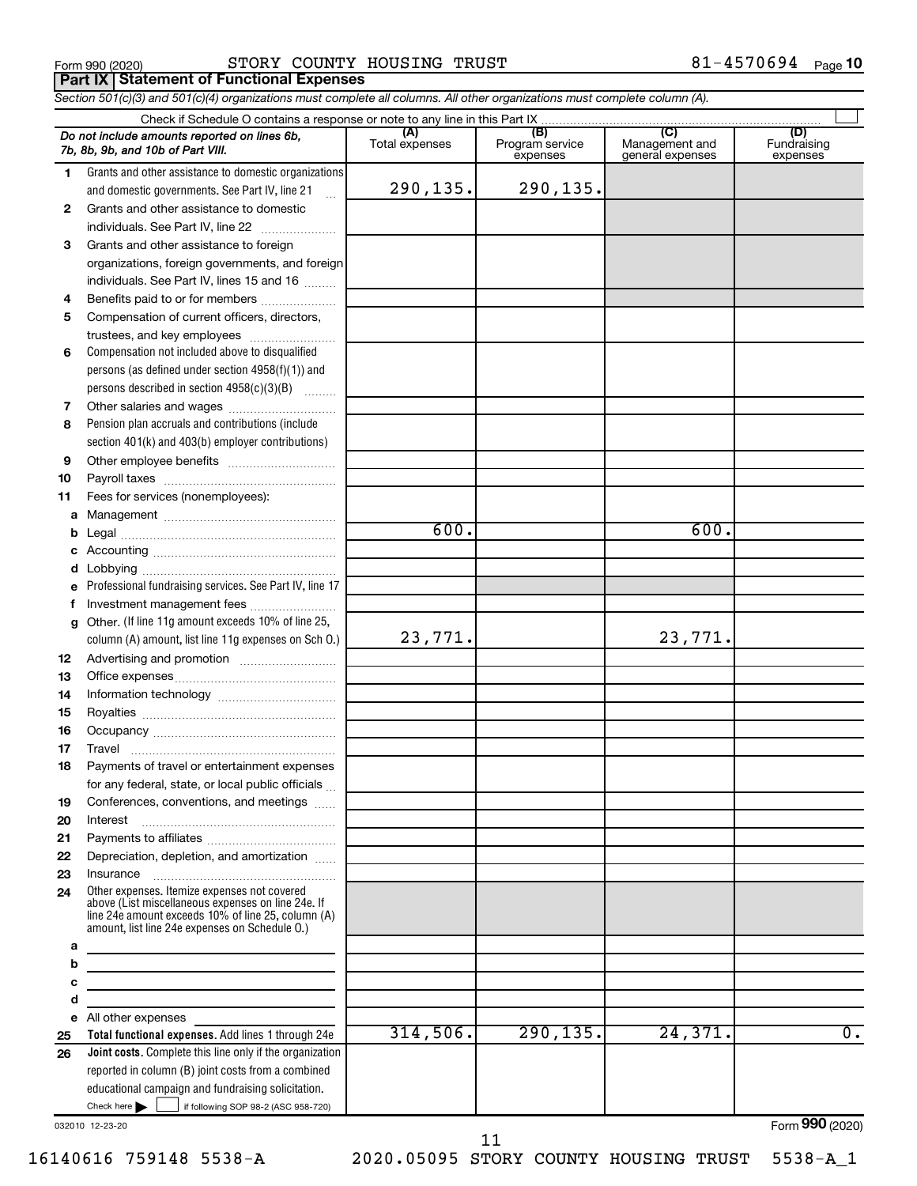**Part IX Statement of Functional Expenses**

Form 990 (2020) Page STORY COUNTY HOUSING TRUST 81-4570694

*Section 501(c)(3) and 501(c)(4) organizations must complete all columns. All other organizations must complete column (A).*

|          | Do not include amounts reported on lines 6b,<br>7b, 8b, 9b, and 10b of Part VIII.                                                                                                                          | (A)<br>Total expenses | (B)<br>Program service<br>expenses | (C)<br>Management and<br>general expenses | (D)<br>Fundraising<br>expenses |
|----------|------------------------------------------------------------------------------------------------------------------------------------------------------------------------------------------------------------|-----------------------|------------------------------------|-------------------------------------------|--------------------------------|
| 1.       | Grants and other assistance to domestic organizations                                                                                                                                                      |                       |                                    |                                           |                                |
|          | and domestic governments. See Part IV, line 21                                                                                                                                                             | 290,135.              | 290,135.                           |                                           |                                |
| 2        | Grants and other assistance to domestic                                                                                                                                                                    |                       |                                    |                                           |                                |
|          | individuals. See Part IV, line 22                                                                                                                                                                          |                       |                                    |                                           |                                |
| 3        | Grants and other assistance to foreign                                                                                                                                                                     |                       |                                    |                                           |                                |
|          | organizations, foreign governments, and foreign                                                                                                                                                            |                       |                                    |                                           |                                |
|          | individuals. See Part IV, lines 15 and 16                                                                                                                                                                  |                       |                                    |                                           |                                |
| 4        | Benefits paid to or for members                                                                                                                                                                            |                       |                                    |                                           |                                |
| 5        | Compensation of current officers, directors,                                                                                                                                                               |                       |                                    |                                           |                                |
|          | trustees, and key employees                                                                                                                                                                                |                       |                                    |                                           |                                |
| 6        | Compensation not included above to disqualified                                                                                                                                                            |                       |                                    |                                           |                                |
|          | persons (as defined under section 4958(f)(1)) and                                                                                                                                                          |                       |                                    |                                           |                                |
|          | persons described in section 4958(c)(3)(B)                                                                                                                                                                 |                       |                                    |                                           |                                |
| 7        | Other salaries and wages                                                                                                                                                                                   |                       |                                    |                                           |                                |
| 8        | Pension plan accruals and contributions (include                                                                                                                                                           |                       |                                    |                                           |                                |
|          | section 401(k) and 403(b) employer contributions)                                                                                                                                                          |                       |                                    |                                           |                                |
| 9        |                                                                                                                                                                                                            |                       |                                    |                                           |                                |
| 10       |                                                                                                                                                                                                            |                       |                                    |                                           |                                |
| 11       | Fees for services (nonemployees):                                                                                                                                                                          |                       |                                    |                                           |                                |
| a        |                                                                                                                                                                                                            |                       |                                    |                                           |                                |
| b        |                                                                                                                                                                                                            | 600.                  |                                    | 600.                                      |                                |
| с        |                                                                                                                                                                                                            |                       |                                    |                                           |                                |
| d        |                                                                                                                                                                                                            |                       |                                    |                                           |                                |
| е        | Professional fundraising services. See Part IV, line 17                                                                                                                                                    |                       |                                    |                                           |                                |
| f        | Investment management fees                                                                                                                                                                                 |                       |                                    |                                           |                                |
| g        | Other. (If line 11g amount exceeds 10% of line 25,                                                                                                                                                         |                       |                                    |                                           |                                |
|          | column (A) amount, list line 11g expenses on Sch O.)                                                                                                                                                       | 23,771.               |                                    | 23,771.                                   |                                |
| 12       |                                                                                                                                                                                                            |                       |                                    |                                           |                                |
| 13       |                                                                                                                                                                                                            |                       |                                    |                                           |                                |
| 14       |                                                                                                                                                                                                            |                       |                                    |                                           |                                |
| 15       |                                                                                                                                                                                                            |                       |                                    |                                           |                                |
| 16       |                                                                                                                                                                                                            |                       |                                    |                                           |                                |
| 17       | Travel                                                                                                                                                                                                     |                       |                                    |                                           |                                |
| 18       | Payments of travel or entertainment expenses                                                                                                                                                               |                       |                                    |                                           |                                |
|          | for any federal, state, or local public officials                                                                                                                                                          |                       |                                    |                                           |                                |
| 19       | Conferences, conventions, and meetings                                                                                                                                                                     |                       |                                    |                                           |                                |
| 20<br>21 | Interest                                                                                                                                                                                                   |                       |                                    |                                           |                                |
| 22       | Depreciation, depletion, and amortization                                                                                                                                                                  |                       |                                    |                                           |                                |
| 23       |                                                                                                                                                                                                            |                       |                                    |                                           |                                |
| 24       | Other expenses. Itemize expenses not covered<br>above (List miscellaneous expenses on line 24e. If<br>line 24e amount exceeds 10% of line 25, column (A)<br>amount, list line 24e expenses on Schedule O.) |                       |                                    |                                           |                                |
| а        |                                                                                                                                                                                                            |                       |                                    |                                           |                                |
| b        | <u> 1989 - Johann Barbara, martxa alemaniar a</u>                                                                                                                                                          |                       |                                    |                                           |                                |
| с        | <u> 1989 - Johann Stein, marwolaethau a bhann an t-Amhain an t-Amhain an t-Amhain an t-Amhain an t-Amhain an t-A</u>                                                                                       |                       |                                    |                                           |                                |
| d        | the control of the control of the control of the control of the control of                                                                                                                                 |                       |                                    |                                           |                                |
| е        | All other expenses                                                                                                                                                                                         | 314,506.              | 290, 135.                          | 24,371.                                   | $\overline{0}$ .               |
| 25       | Total functional expenses. Add lines 1 through 24e                                                                                                                                                         |                       |                                    |                                           |                                |
| 26       | Joint costs. Complete this line only if the organization                                                                                                                                                   |                       |                                    |                                           |                                |
|          | reported in column (B) joint costs from a combined<br>educational campaign and fundraising solicitation.                                                                                                   |                       |                                    |                                           |                                |
|          | Check here<br>if following SOP 98-2 (ASC 958-720)                                                                                                                                                          |                       |                                    |                                           |                                |
|          |                                                                                                                                                                                                            |                       |                                    |                                           |                                |

032010 12-23-20

16140616 759148 5538-A 2020.05095 STORY COUNTY HOUSING TRUST 5538-A\_1

11

Form (2020) **990**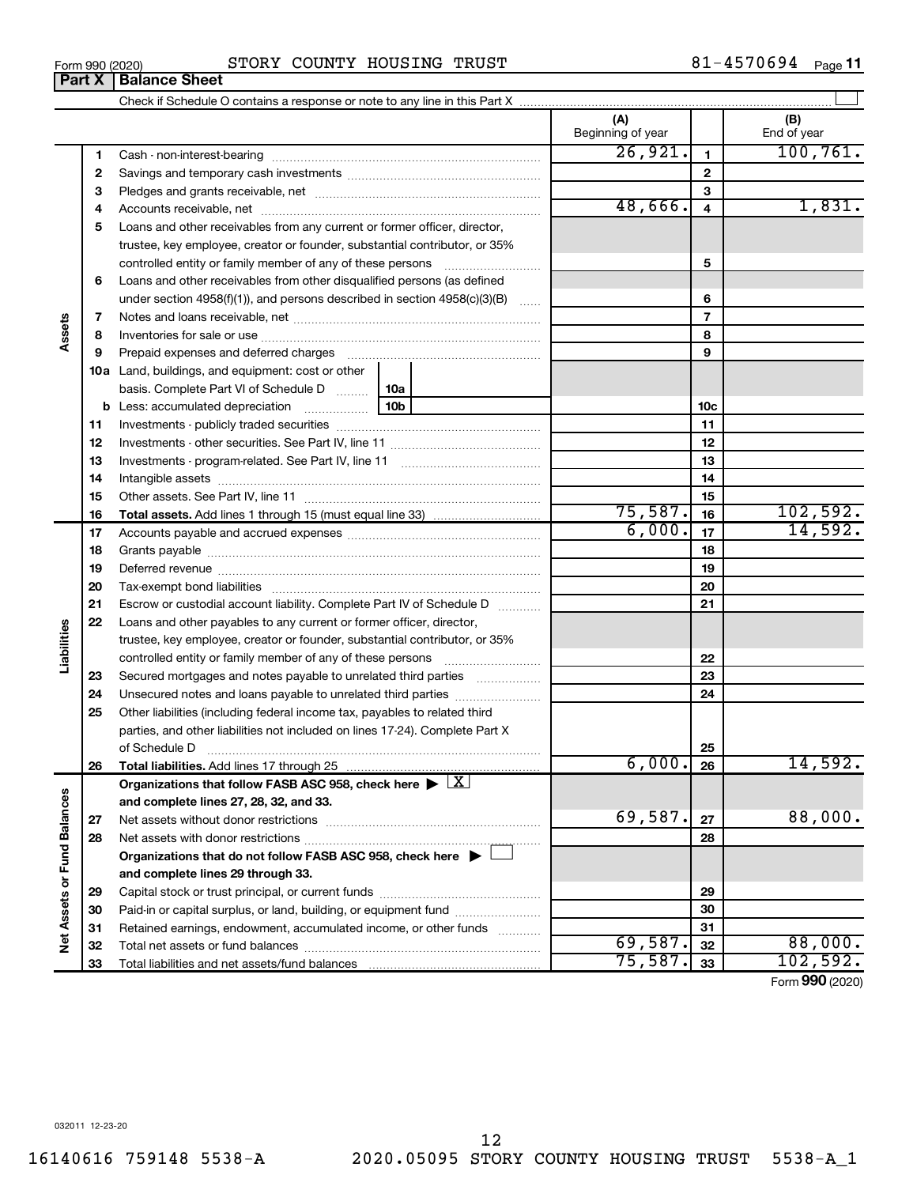| Form 990 (2020) | STORY COUNTY HOUSING<br>TRUST | L-4570694<br>Page 11 |
|-----------------|-------------------------------|----------------------|
|-----------------|-------------------------------|----------------------|

|                             |          |                                                                                                        | (A)<br>Beginning of year |                | (B)<br>End of year   |
|-----------------------------|----------|--------------------------------------------------------------------------------------------------------|--------------------------|----------------|----------------------|
|                             | 1        |                                                                                                        | 26,921.                  | $\mathbf{1}$   | 100, 761.            |
|                             | 2        |                                                                                                        |                          | $\mathbf{2}$   |                      |
|                             | З        |                                                                                                        |                          | 3              |                      |
|                             | 4        |                                                                                                        | 48,666.                  | 4              | 1,831.               |
|                             | 5        | Loans and other receivables from any current or former officer, director,                              |                          |                |                      |
|                             |          | trustee, key employee, creator or founder, substantial contributor, or 35%                             |                          |                |                      |
|                             |          |                                                                                                        |                          | 5              |                      |
|                             | 6        | Loans and other receivables from other disqualified persons (as defined                                |                          |                |                      |
|                             |          | under section 4958(f)(1)), and persons described in section 4958(c)(3)(B)                              |                          | 6              |                      |
|                             | 7        |                                                                                                        |                          | $\overline{7}$ |                      |
| Assets                      | 8        |                                                                                                        |                          | 8              |                      |
|                             | 9        | Prepaid expenses and deferred charges                                                                  |                          | 9              |                      |
|                             |          | <b>10a</b> Land, buildings, and equipment: cost or other                                               |                          |                |                      |
|                             |          | basis. Complete Part VI of Schedule D    10a                                                           |                          |                |                      |
|                             |          | 10b<br><b>b</b> Less: accumulated depreciation                                                         |                          | 10c            |                      |
|                             | 11       |                                                                                                        |                          | 11             |                      |
|                             | 12       |                                                                                                        |                          | 12             |                      |
|                             | 13       |                                                                                                        |                          | 13             |                      |
|                             | 14       |                                                                                                        |                          | 14             |                      |
|                             | 15       |                                                                                                        |                          | 15             |                      |
|                             | 16       |                                                                                                        | 75,587.                  | 16             | 102,592.             |
|                             | 17       |                                                                                                        | 6,000.                   | 17             | 14,592.              |
|                             | 18       |                                                                                                        |                          | 18             |                      |
|                             | 19       |                                                                                                        |                          | 19             |                      |
|                             | 20       |                                                                                                        |                          | 20             |                      |
|                             | 21       | Escrow or custodial account liability. Complete Part IV of Schedule D                                  |                          | 21             |                      |
|                             | 22       | Loans and other payables to any current or former officer, director,                                   |                          |                |                      |
| Liabilities                 |          | trustee, key employee, creator or founder, substantial contributor, or 35%                             |                          |                |                      |
|                             |          |                                                                                                        |                          | 22             |                      |
|                             | 23       | Secured mortgages and notes payable to unrelated third parties                                         |                          | 23             |                      |
|                             | 24       |                                                                                                        |                          | 24             |                      |
|                             | 25       | Other liabilities (including federal income tax, payables to related third                             |                          |                |                      |
|                             |          | parties, and other liabilities not included on lines 17-24). Complete Part X                           |                          |                |                      |
|                             |          | of Schedule D                                                                                          | 6,000.]                  | 25             |                      |
|                             | 26       | Total liabilities. Add lines 17 through 25                                                             |                          | 26             | 14,592.              |
|                             |          | Organizations that follow FASB ASC 958, check here $\blacktriangleright \lfloor \underline{X} \rfloor$ |                          |                |                      |
|                             |          | and complete lines 27, 28, 32, and 33.                                                                 | 69,587.                  |                | 88,000.              |
|                             | 27       |                                                                                                        |                          | 27             |                      |
|                             | 28       |                                                                                                        |                          | 28             |                      |
|                             |          | Organizations that do not follow FASB ASC 958, check here $\blacktriangleright$                        |                          |                |                      |
|                             |          | and complete lines 29 through 33.                                                                      |                          | 29             |                      |
|                             | 29<br>30 | Paid-in or capital surplus, or land, building, or equipment fund                                       |                          | 30             |                      |
|                             | 31       | Retained earnings, endowment, accumulated income, or other funds                                       |                          | 31             |                      |
| Net Assets or Fund Balances | 32       |                                                                                                        | 69,587.                  | 32             | 88,000.              |
|                             | 33       | Total liabilities and net assets/fund balances                                                         | 75,587.                  | 33             | 102,592.             |
|                             |          |                                                                                                        |                          |                | $000 \text{ (2000)}$ |

Form (2020) **990**

### **Part X Balance Sheet**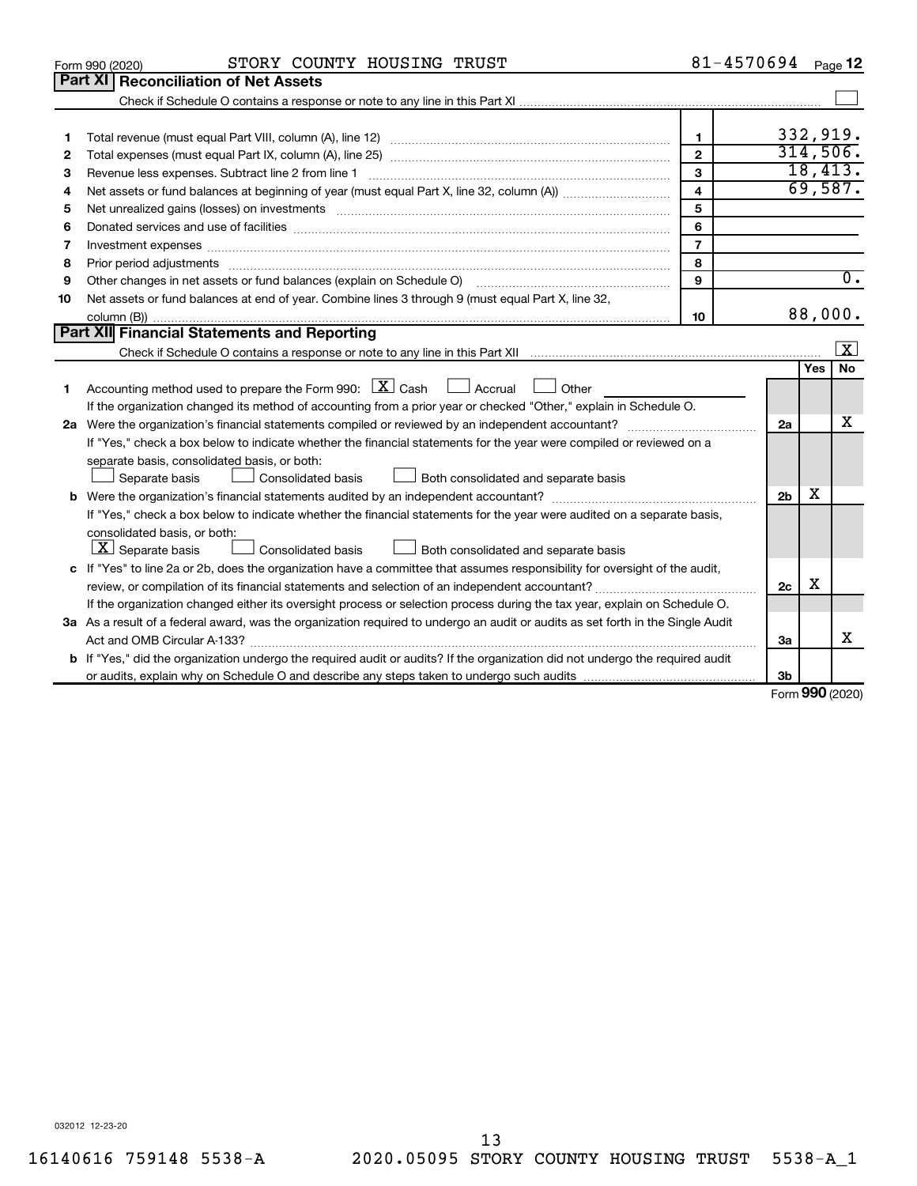|    | STORY COUNTY HOUSING TRUST<br>Form 990 (2020)                                                                                                                                                                                  | 81-4570694     |                |              | Page 12          |
|----|--------------------------------------------------------------------------------------------------------------------------------------------------------------------------------------------------------------------------------|----------------|----------------|--------------|------------------|
|    | Part XI<br><b>Reconciliation of Net Assets</b>                                                                                                                                                                                 |                |                |              |                  |
|    |                                                                                                                                                                                                                                |                |                |              |                  |
|    |                                                                                                                                                                                                                                |                |                |              |                  |
| 1  |                                                                                                                                                                                                                                | 1.             |                |              | 332,919.         |
| 2  |                                                                                                                                                                                                                                | $\mathbf{2}$   |                |              | 314,506.         |
| 3  | Revenue less expenses. Subtract line 2 from line 1                                                                                                                                                                             | 3              |                |              | 18,413.          |
| 4  |                                                                                                                                                                                                                                | 4              |                |              | 69,587.          |
| 5  |                                                                                                                                                                                                                                | 5              |                |              |                  |
| 6  |                                                                                                                                                                                                                                | 6              |                |              |                  |
| 7  |                                                                                                                                                                                                                                | $\overline{7}$ |                |              |                  |
| 8  | Prior period adjustments material contents and content of the content of the content of the content of the content of the content of the content of the content of the content of the content of the content of the content of | 8              |                |              |                  |
| 9  | Other changes in net assets or fund balances (explain on Schedule O)                                                                                                                                                           | 9              |                |              | $\overline{0}$ . |
| 10 | Net assets or fund balances at end of year. Combine lines 3 through 9 (must equal Part X, line 32,                                                                                                                             |                |                |              |                  |
|    |                                                                                                                                                                                                                                | 10             |                |              | 88,000.          |
|    | Part XII Financial Statements and Reporting                                                                                                                                                                                    |                |                |              |                  |
|    |                                                                                                                                                                                                                                |                |                |              | X                |
|    |                                                                                                                                                                                                                                |                |                | Yes          | <b>No</b>        |
| 1  | Accounting method used to prepare the Form 990: $X \subset X$ Cash<br>Accrual<br>Other                                                                                                                                         |                |                |              |                  |
|    | If the organization changed its method of accounting from a prior year or checked "Other," explain in Schedule O.                                                                                                              |                |                |              |                  |
|    |                                                                                                                                                                                                                                |                | 2a             |              | x                |
|    | If "Yes," check a box below to indicate whether the financial statements for the year were compiled or reviewed on a                                                                                                           |                |                |              |                  |
|    | separate basis, consolidated basis, or both:                                                                                                                                                                                   |                |                |              |                  |
|    | Both consolidated and separate basis<br>Separate basis<br>Consolidated basis                                                                                                                                                   |                |                |              |                  |
|    |                                                                                                                                                                                                                                |                | 2 <sub>b</sub> | x            |                  |
|    | If "Yes," check a box below to indicate whether the financial statements for the year were audited on a separate basis,                                                                                                        |                |                |              |                  |
|    | consolidated basis, or both:                                                                                                                                                                                                   |                |                |              |                  |
|    | $ \mathbf{X} $ Separate basis<br>Consolidated basis<br>Both consolidated and separate basis                                                                                                                                    |                |                |              |                  |
|    | c If "Yes" to line 2a or 2b, does the organization have a committee that assumes responsibility for oversight of the audit,                                                                                                    |                |                |              |                  |
|    | review, or compilation of its financial statements and selection of an independent accountant?                                                                                                                                 |                | 2c             | X            |                  |
|    | If the organization changed either its oversight process or selection process during the tax year, explain on Schedule O.                                                                                                      |                |                |              |                  |
|    | 3a As a result of a federal award, was the organization required to undergo an audit or audits as set forth in the Single Audit                                                                                                |                |                |              |                  |
|    |                                                                                                                                                                                                                                |                | За             |              | x                |
|    | <b>b</b> If "Yes," did the organization undergo the required audit or audits? If the organization did not undergo the required audit                                                                                           |                |                |              |                  |
|    |                                                                                                                                                                                                                                |                | Зb             | $000 \text{$ |                  |

Form (2020) **990**

032012 12-23-20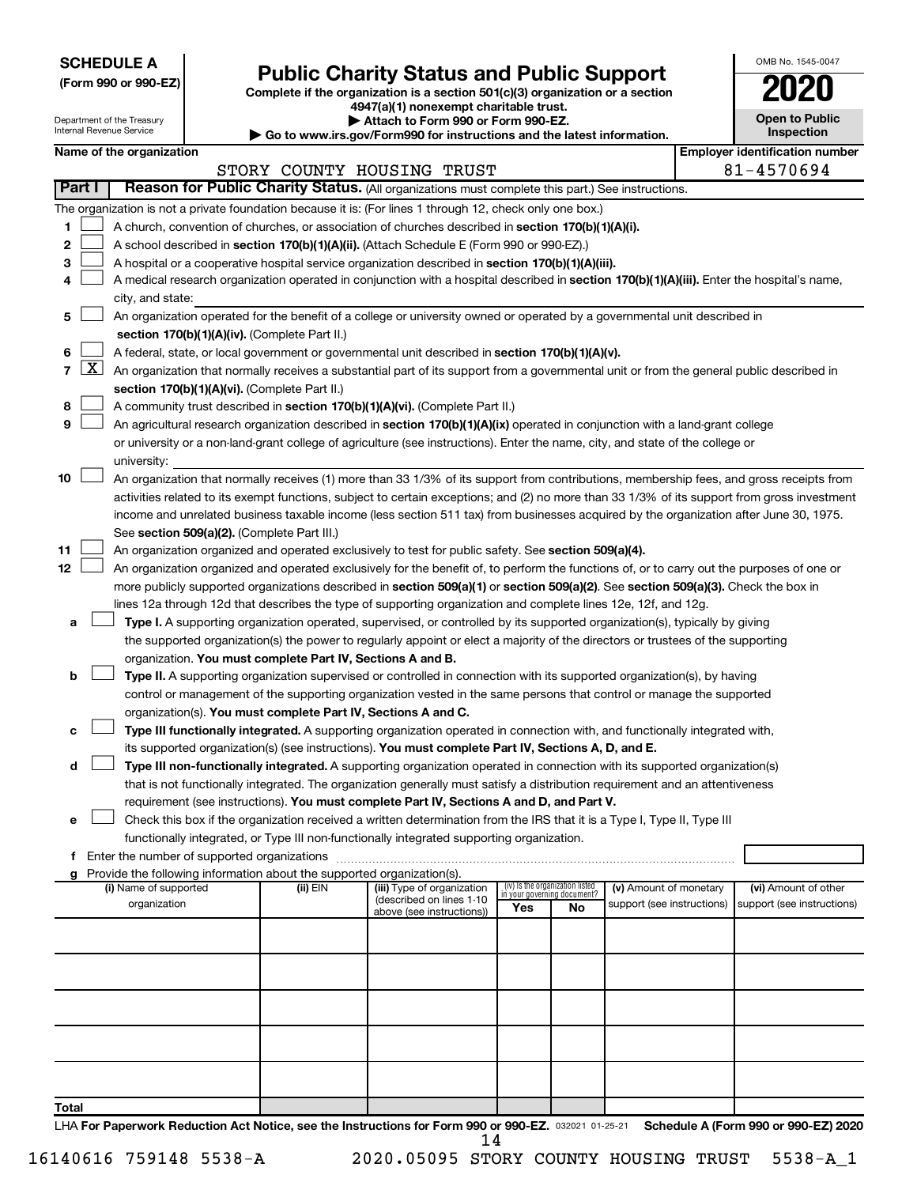**SCHEDULE A**

## Form 990 or 990-EZ) **Public Charity Status and Public Support**<br>
Complete if the organization is a section 501(c)(3) organization or a section<br> **2020**

**4947(a)(1) nonexempt charitable trust.**

|    | <b>Open to Public</b><br>Inspection |
|----|-------------------------------------|
| ٦I | entification nu                     |

 $\Box$ 

OMB No. 1545-0047

| Department of the Treasury<br>Attach to Form 990 or Form 990-EZ.<br>Internal Revenue Service<br>Go to www.irs.gov/Form990 for instructions and the latest information. |                     |                          |                                               |                                                                        |                                                                                                                                              | <b>Open to Public</b><br>Inspection |                                 |                                                      |  |                                                    |  |
|------------------------------------------------------------------------------------------------------------------------------------------------------------------------|---------------------|--------------------------|-----------------------------------------------|------------------------------------------------------------------------|----------------------------------------------------------------------------------------------------------------------------------------------|-------------------------------------|---------------------------------|------------------------------------------------------|--|----------------------------------------------------|--|
|                                                                                                                                                                        |                     | Name of the organization |                                               |                                                                        |                                                                                                                                              |                                     |                                 |                                                      |  | <b>Employer identification number</b>              |  |
|                                                                                                                                                                        |                     |                          |                                               |                                                                        | STORY COUNTY HOUSING TRUST                                                                                                                   |                                     |                                 |                                                      |  | 81-4570694                                         |  |
| Part I                                                                                                                                                                 |                     |                          |                                               |                                                                        | Reason for Public Charity Status. (All organizations must complete this part.) See instructions.                                             |                                     |                                 |                                                      |  |                                                    |  |
|                                                                                                                                                                        |                     |                          |                                               |                                                                        | The organization is not a private foundation because it is: (For lines 1 through 12, check only one box.)                                    |                                     |                                 |                                                      |  |                                                    |  |
| 1                                                                                                                                                                      |                     |                          |                                               |                                                                        | A church, convention of churches, or association of churches described in section 170(b)(1)(A)(i).                                           |                                     |                                 |                                                      |  |                                                    |  |
| 2                                                                                                                                                                      |                     |                          |                                               |                                                                        | A school described in section 170(b)(1)(A)(ii). (Attach Schedule E (Form 990 or 990-EZ).)                                                    |                                     |                                 |                                                      |  |                                                    |  |
| 3                                                                                                                                                                      |                     |                          |                                               |                                                                        | A hospital or a cooperative hospital service organization described in section 170(b)(1)(A)(iii).                                            |                                     |                                 |                                                      |  |                                                    |  |
| 4                                                                                                                                                                      |                     |                          |                                               |                                                                        | A medical research organization operated in conjunction with a hospital described in section 170(b)(1)(A)(iii). Enter the hospital's name,   |                                     |                                 |                                                      |  |                                                    |  |
|                                                                                                                                                                        |                     | city, and state:         |                                               |                                                                        |                                                                                                                                              |                                     |                                 |                                                      |  |                                                    |  |
| 5                                                                                                                                                                      |                     |                          |                                               |                                                                        | An organization operated for the benefit of a college or university owned or operated by a governmental unit described in                    |                                     |                                 |                                                      |  |                                                    |  |
|                                                                                                                                                                        |                     |                          |                                               | section 170(b)(1)(A)(iv). (Complete Part II.)                          |                                                                                                                                              |                                     |                                 |                                                      |  |                                                    |  |
| 6                                                                                                                                                                      |                     |                          |                                               |                                                                        | A federal, state, or local government or governmental unit described in section 170(b)(1)(A)(v).                                             |                                     |                                 |                                                      |  |                                                    |  |
| 7                                                                                                                                                                      | $\lfloor x \rfloor$ |                          |                                               |                                                                        | An organization that normally receives a substantial part of its support from a governmental unit or from the general public described in    |                                     |                                 |                                                      |  |                                                    |  |
|                                                                                                                                                                        |                     |                          | section 170(b)(1)(A)(vi). (Complete Part II.) |                                                                        |                                                                                                                                              |                                     |                                 |                                                      |  |                                                    |  |
| 8                                                                                                                                                                      |                     |                          |                                               |                                                                        | A community trust described in section 170(b)(1)(A)(vi). (Complete Part II.)                                                                 |                                     |                                 |                                                      |  |                                                    |  |
| 9                                                                                                                                                                      |                     |                          |                                               |                                                                        | An agricultural research organization described in section 170(b)(1)(A)(ix) operated in conjunction with a land-grant college                |                                     |                                 |                                                      |  |                                                    |  |
|                                                                                                                                                                        |                     |                          |                                               |                                                                        | or university or a non-land-grant college of agriculture (see instructions). Enter the name, city, and state of the college or               |                                     |                                 |                                                      |  |                                                    |  |
|                                                                                                                                                                        |                     | university:              |                                               |                                                                        |                                                                                                                                              |                                     |                                 |                                                      |  |                                                    |  |
| 10                                                                                                                                                                     |                     |                          |                                               |                                                                        | An organization that normally receives (1) more than 33 1/3% of its support from contributions, membership fees, and gross receipts from     |                                     |                                 |                                                      |  |                                                    |  |
|                                                                                                                                                                        |                     |                          |                                               |                                                                        | activities related to its exempt functions, subject to certain exceptions; and (2) no more than 33 1/3% of its support from gross investment |                                     |                                 |                                                      |  |                                                    |  |
|                                                                                                                                                                        |                     |                          |                                               |                                                                        | income and unrelated business taxable income (less section 511 tax) from businesses acquired by the organization after June 30, 1975.        |                                     |                                 |                                                      |  |                                                    |  |
|                                                                                                                                                                        |                     |                          |                                               | See section 509(a)(2). (Complete Part III.)                            |                                                                                                                                              |                                     |                                 |                                                      |  |                                                    |  |
| 11                                                                                                                                                                     |                     |                          |                                               |                                                                        | An organization organized and operated exclusively to test for public safety. See section 509(a)(4).                                         |                                     |                                 |                                                      |  |                                                    |  |
| 12                                                                                                                                                                     |                     |                          |                                               |                                                                        | An organization organized and operated exclusively for the benefit of, to perform the functions of, or to carry out the purposes of one or   |                                     |                                 |                                                      |  |                                                    |  |
|                                                                                                                                                                        |                     |                          |                                               |                                                                        | more publicly supported organizations described in section 509(a)(1) or section 509(a)(2). See section 509(a)(3). Check the box in           |                                     |                                 |                                                      |  |                                                    |  |
|                                                                                                                                                                        |                     |                          |                                               |                                                                        | lines 12a through 12d that describes the type of supporting organization and complete lines 12e, 12f, and 12g.                               |                                     |                                 |                                                      |  |                                                    |  |
| а                                                                                                                                                                      |                     |                          |                                               |                                                                        | Type I. A supporting organization operated, supervised, or controlled by its supported organization(s), typically by giving                  |                                     |                                 |                                                      |  |                                                    |  |
|                                                                                                                                                                        |                     |                          |                                               |                                                                        | the supported organization(s) the power to regularly appoint or elect a majority of the directors or trustees of the supporting              |                                     |                                 |                                                      |  |                                                    |  |
|                                                                                                                                                                        |                     |                          |                                               | organization. You must complete Part IV, Sections A and B.             |                                                                                                                                              |                                     |                                 |                                                      |  |                                                    |  |
| b                                                                                                                                                                      |                     |                          |                                               |                                                                        | Type II. A supporting organization supervised or controlled in connection with its supported organization(s), by having                      |                                     |                                 |                                                      |  |                                                    |  |
|                                                                                                                                                                        |                     |                          |                                               |                                                                        | control or management of the supporting organization vested in the same persons that control or manage the supported                         |                                     |                                 |                                                      |  |                                                    |  |
|                                                                                                                                                                        |                     |                          |                                               |                                                                        | organization(s). You must complete Part IV, Sections A and C.                                                                                |                                     |                                 |                                                      |  |                                                    |  |
| с                                                                                                                                                                      |                     |                          |                                               |                                                                        | Type III functionally integrated. A supporting organization operated in connection with, and functionally integrated with,                   |                                     |                                 |                                                      |  |                                                    |  |
|                                                                                                                                                                        |                     |                          |                                               |                                                                        | its supported organization(s) (see instructions). You must complete Part IV, Sections A, D, and E.                                           |                                     |                                 |                                                      |  |                                                    |  |
| d                                                                                                                                                                      |                     |                          |                                               |                                                                        | Type III non-functionally integrated. A supporting organization operated in connection with its supported organization(s)                    |                                     |                                 |                                                      |  |                                                    |  |
|                                                                                                                                                                        |                     |                          |                                               |                                                                        | that is not functionally integrated. The organization generally must satisfy a distribution requirement and an attentiveness                 |                                     |                                 |                                                      |  |                                                    |  |
|                                                                                                                                                                        |                     |                          |                                               |                                                                        | requirement (see instructions). You must complete Part IV, Sections A and D, and Part V.                                                     |                                     |                                 |                                                      |  |                                                    |  |
| е                                                                                                                                                                      |                     |                          |                                               |                                                                        | Check this box if the organization received a written determination from the IRS that it is a Type I, Type II, Type III                      |                                     |                                 |                                                      |  |                                                    |  |
|                                                                                                                                                                        |                     |                          |                                               |                                                                        | functionally integrated, or Type III non-functionally integrated supporting organization.                                                    |                                     |                                 |                                                      |  |                                                    |  |
|                                                                                                                                                                        |                     |                          | f Enter the number of supported organizations |                                                                        |                                                                                                                                              |                                     |                                 |                                                      |  |                                                    |  |
| g                                                                                                                                                                      |                     | (i) Name of supported    |                                               | Provide the following information about the supported organization(s). |                                                                                                                                              |                                     | (iv) Is the organization listed |                                                      |  |                                                    |  |
|                                                                                                                                                                        |                     | organization             |                                               | (ii) EIN                                                               | (iii) Type of organization<br>(described on lines 1-10                                                                                       |                                     | in your governing document?     | (v) Amount of monetary<br>support (see instructions) |  | (vi) Amount of other<br>support (see instructions) |  |
|                                                                                                                                                                        |                     |                          |                                               |                                                                        | above (see instructions))                                                                                                                    | Yes                                 | No                              |                                                      |  |                                                    |  |
|                                                                                                                                                                        |                     |                          |                                               |                                                                        |                                                                                                                                              |                                     |                                 |                                                      |  |                                                    |  |
|                                                                                                                                                                        |                     |                          |                                               |                                                                        |                                                                                                                                              |                                     |                                 |                                                      |  |                                                    |  |
|                                                                                                                                                                        |                     |                          |                                               |                                                                        |                                                                                                                                              |                                     |                                 |                                                      |  |                                                    |  |
|                                                                                                                                                                        |                     |                          |                                               |                                                                        |                                                                                                                                              |                                     |                                 |                                                      |  |                                                    |  |
|                                                                                                                                                                        |                     |                          |                                               |                                                                        |                                                                                                                                              |                                     |                                 |                                                      |  |                                                    |  |
|                                                                                                                                                                        |                     |                          |                                               |                                                                        |                                                                                                                                              |                                     |                                 |                                                      |  |                                                    |  |
|                                                                                                                                                                        |                     |                          |                                               |                                                                        |                                                                                                                                              |                                     |                                 |                                                      |  |                                                    |  |
|                                                                                                                                                                        |                     |                          |                                               |                                                                        |                                                                                                                                              |                                     |                                 |                                                      |  |                                                    |  |
|                                                                                                                                                                        |                     |                          |                                               |                                                                        |                                                                                                                                              |                                     |                                 |                                                      |  |                                                    |  |
|                                                                                                                                                                        |                     |                          |                                               |                                                                        |                                                                                                                                              |                                     |                                 |                                                      |  |                                                    |  |
| Total                                                                                                                                                                  |                     |                          |                                               |                                                                        |                                                                                                                                              |                                     |                                 |                                                      |  |                                                    |  |

LHA For Paperwork Reduction Act Notice, see the Instructions for Form 990 or 990-EZ. 032021 01-25-21 Schedule A (Form 990 or 990-EZ) 2020 14

16140616 759148 5538-A 2020.05095 STORY COUNTY HOUSING TRUST 5538-A\_1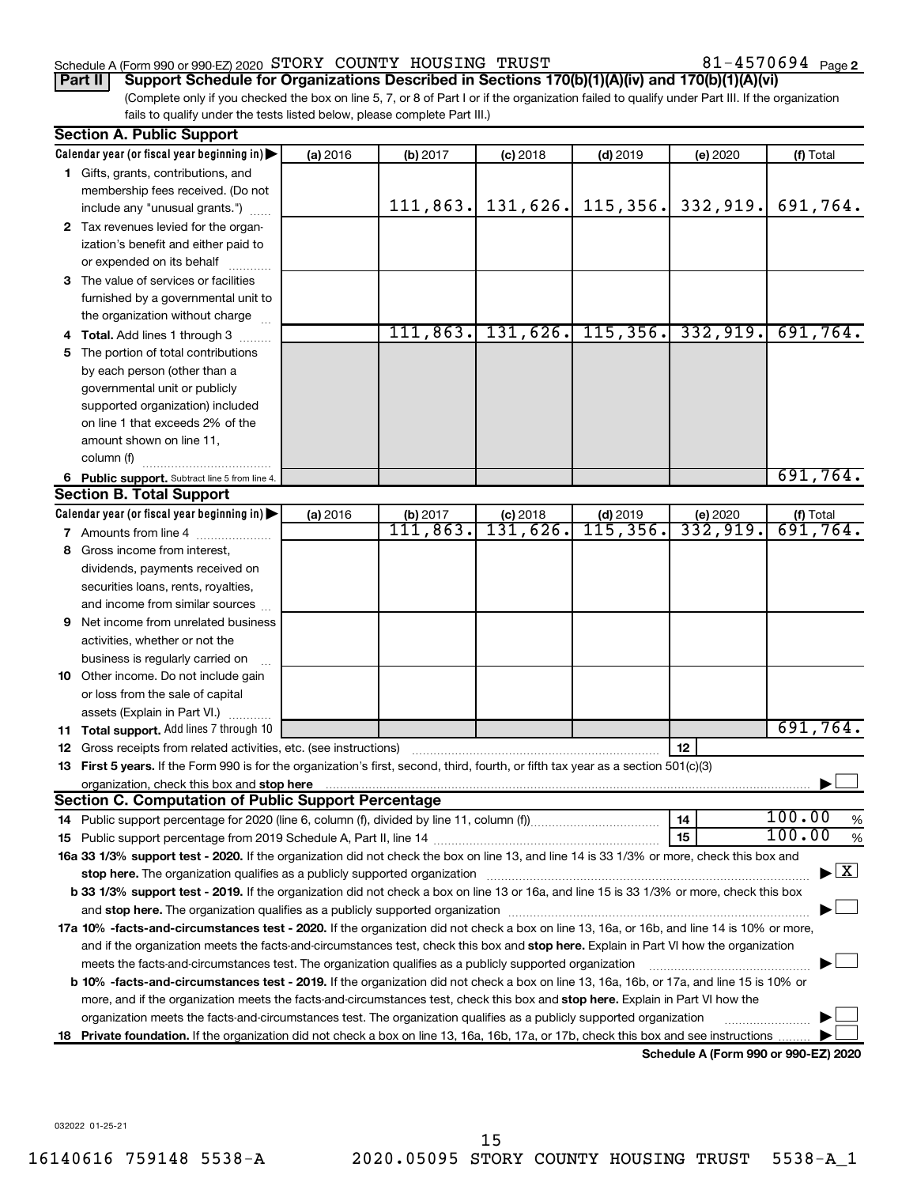#### Schedule A (Form 990 or 990-EZ) 2020 Page STORY COUNTY HOUSING TRUST 81-4570694

81-4570694 Page 2

(Complete only if you checked the box on line 5, 7, or 8 of Part I or if the organization failed to qualify under Part III. If the organization fails to qualify under the tests listed below, please complete Part III.) **Part II Support Schedule for Organizations Described in Sections 170(b)(1)(A)(iv) and 170(b)(1)(A)(vi)**

|   | <b>Section A. Public Support</b>                                                                                                                                                                                              |          |           |            |            |                                  |                                          |  |  |  |  |
|---|-------------------------------------------------------------------------------------------------------------------------------------------------------------------------------------------------------------------------------|----------|-----------|------------|------------|----------------------------------|------------------------------------------|--|--|--|--|
|   | Calendar year (or fiscal year beginning in)                                                                                                                                                                                   | (a) 2016 | (b) 2017  | $(c)$ 2018 | $(d)$ 2019 | (e) 2020                         | (f) Total                                |  |  |  |  |
|   | 1 Gifts, grants, contributions, and                                                                                                                                                                                           |          |           |            |            |                                  |                                          |  |  |  |  |
|   | membership fees received. (Do not                                                                                                                                                                                             |          |           |            |            |                                  |                                          |  |  |  |  |
|   | include any "unusual grants.")                                                                                                                                                                                                |          | 111,863.  | 131,626.   |            | $115, 356$ , 332, 919.           | 691,764.                                 |  |  |  |  |
|   | 2 Tax revenues levied for the organ-                                                                                                                                                                                          |          |           |            |            |                                  |                                          |  |  |  |  |
|   | ization's benefit and either paid to                                                                                                                                                                                          |          |           |            |            |                                  |                                          |  |  |  |  |
|   | or expended on its behalf                                                                                                                                                                                                     |          |           |            |            |                                  |                                          |  |  |  |  |
|   | 3 The value of services or facilities                                                                                                                                                                                         |          |           |            |            |                                  |                                          |  |  |  |  |
|   | furnished by a governmental unit to                                                                                                                                                                                           |          |           |            |            |                                  |                                          |  |  |  |  |
|   | the organization without charge                                                                                                                                                                                               |          |           |            |            |                                  |                                          |  |  |  |  |
|   | <b>Total.</b> Add lines 1 through 3                                                                                                                                                                                           |          | 111, 863. |            |            | $131, 626$ , 115, 356. 332, 919. | 691,764.                                 |  |  |  |  |
|   | 5 The portion of total contributions                                                                                                                                                                                          |          |           |            |            |                                  |                                          |  |  |  |  |
|   | by each person (other than a                                                                                                                                                                                                  |          |           |            |            |                                  |                                          |  |  |  |  |
|   | governmental unit or publicly                                                                                                                                                                                                 |          |           |            |            |                                  |                                          |  |  |  |  |
|   | supported organization) included                                                                                                                                                                                              |          |           |            |            |                                  |                                          |  |  |  |  |
|   | on line 1 that exceeds 2% of the                                                                                                                                                                                              |          |           |            |            |                                  |                                          |  |  |  |  |
|   | amount shown on line 11,                                                                                                                                                                                                      |          |           |            |            |                                  |                                          |  |  |  |  |
|   | column (f)                                                                                                                                                                                                                    |          |           |            |            |                                  |                                          |  |  |  |  |
|   | 6 Public support. Subtract line 5 from line 4.                                                                                                                                                                                |          |           |            |            |                                  | 691,764.                                 |  |  |  |  |
|   | <b>Section B. Total Support</b>                                                                                                                                                                                               |          |           |            |            |                                  |                                          |  |  |  |  |
|   | Calendar year (or fiscal year beginning in)                                                                                                                                                                                   | (a) 2016 | (b) 2017  | $(c)$ 2018 | $(d)$ 2019 | (e) $2020$<br>332, 919.          | (f) Total                                |  |  |  |  |
|   | 7 Amounts from line 4                                                                                                                                                                                                         |          | 111,863.  | 131,626.   | 115, 356.  |                                  | 691,764.                                 |  |  |  |  |
|   | 8 Gross income from interest,                                                                                                                                                                                                 |          |           |            |            |                                  |                                          |  |  |  |  |
|   | dividends, payments received on                                                                                                                                                                                               |          |           |            |            |                                  |                                          |  |  |  |  |
|   | securities loans, rents, royalties,                                                                                                                                                                                           |          |           |            |            |                                  |                                          |  |  |  |  |
|   | and income from similar sources                                                                                                                                                                                               |          |           |            |            |                                  |                                          |  |  |  |  |
| 9 | Net income from unrelated business                                                                                                                                                                                            |          |           |            |            |                                  |                                          |  |  |  |  |
|   | activities, whether or not the                                                                                                                                                                                                |          |           |            |            |                                  |                                          |  |  |  |  |
|   | business is regularly carried on                                                                                                                                                                                              |          |           |            |            |                                  |                                          |  |  |  |  |
|   | 10 Other income. Do not include gain                                                                                                                                                                                          |          |           |            |            |                                  |                                          |  |  |  |  |
|   | or loss from the sale of capital                                                                                                                                                                                              |          |           |            |            |                                  |                                          |  |  |  |  |
|   | assets (Explain in Part VI.)                                                                                                                                                                                                  |          |           |            |            |                                  |                                          |  |  |  |  |
|   | <b>11 Total support.</b> Add lines 7 through 10                                                                                                                                                                               |          |           |            |            |                                  | 691,764.                                 |  |  |  |  |
|   | <b>12</b> Gross receipts from related activities, etc. (see instructions)                                                                                                                                                     |          |           |            |            | 12                               |                                          |  |  |  |  |
|   | 13 First 5 years. If the Form 990 is for the organization's first, second, third, fourth, or fifth tax year as a section 501(c)(3)                                                                                            |          |           |            |            |                                  |                                          |  |  |  |  |
|   | organization, check this box and stop here match and the content of the content of the content of the content of the content of the content of the content of the content of the content of the content of the content of the |          |           |            |            |                                  |                                          |  |  |  |  |
|   | <b>Section C. Computation of Public Support Percentage</b>                                                                                                                                                                    |          |           |            |            |                                  |                                          |  |  |  |  |
|   |                                                                                                                                                                                                                               |          |           |            |            | 14                               | 100.00<br>$\%$                           |  |  |  |  |
|   |                                                                                                                                                                                                                               |          |           |            |            | 15                               | 100.00<br>$\%$                           |  |  |  |  |
|   | 16a 33 1/3% support test - 2020. If the organization did not check the box on line 13, and line 14 is 33 1/3% or more, check this box and                                                                                     |          |           |            |            |                                  |                                          |  |  |  |  |
|   |                                                                                                                                                                                                                               |          |           |            |            |                                  | $\blacktriangleright$ $\boxed{\text{X}}$ |  |  |  |  |
|   | b 33 1/3% support test - 2019. If the organization did not check a box on line 13 or 16a, and line 15 is 33 1/3% or more, check this box                                                                                      |          |           |            |            |                                  |                                          |  |  |  |  |
|   |                                                                                                                                                                                                                               |          |           |            |            |                                  |                                          |  |  |  |  |
|   | 17a 10% -facts-and-circumstances test - 2020. If the organization did not check a box on line 13, 16a, or 16b, and line 14 is 10% or more,                                                                                    |          |           |            |            |                                  |                                          |  |  |  |  |
|   | and if the organization meets the facts-and-circumstances test, check this box and stop here. Explain in Part VI how the organization                                                                                         |          |           |            |            |                                  |                                          |  |  |  |  |
|   | meets the facts-and-circumstances test. The organization qualifies as a publicly supported organization                                                                                                                       |          |           |            |            |                                  |                                          |  |  |  |  |
|   | b 10% -facts-and-circumstances test - 2019. If the organization did not check a box on line 13, 16a, 16b, or 17a, and line 15 is 10% or                                                                                       |          |           |            |            |                                  |                                          |  |  |  |  |
|   | more, and if the organization meets the facts-and-circumstances test, check this box and stop here. Explain in Part VI how the                                                                                                |          |           |            |            |                                  |                                          |  |  |  |  |
|   | organization meets the facts-and-circumstances test. The organization qualifies as a publicly supported organization                                                                                                          |          |           |            |            |                                  |                                          |  |  |  |  |
|   | 18 Private foundation. If the organization did not check a box on line 13, 16a, 16b, 17a, or 17b, check this box and see instructions                                                                                         |          |           |            |            |                                  |                                          |  |  |  |  |

**Schedule A (Form 990 or 990-EZ) 2020**

032022 01-25-21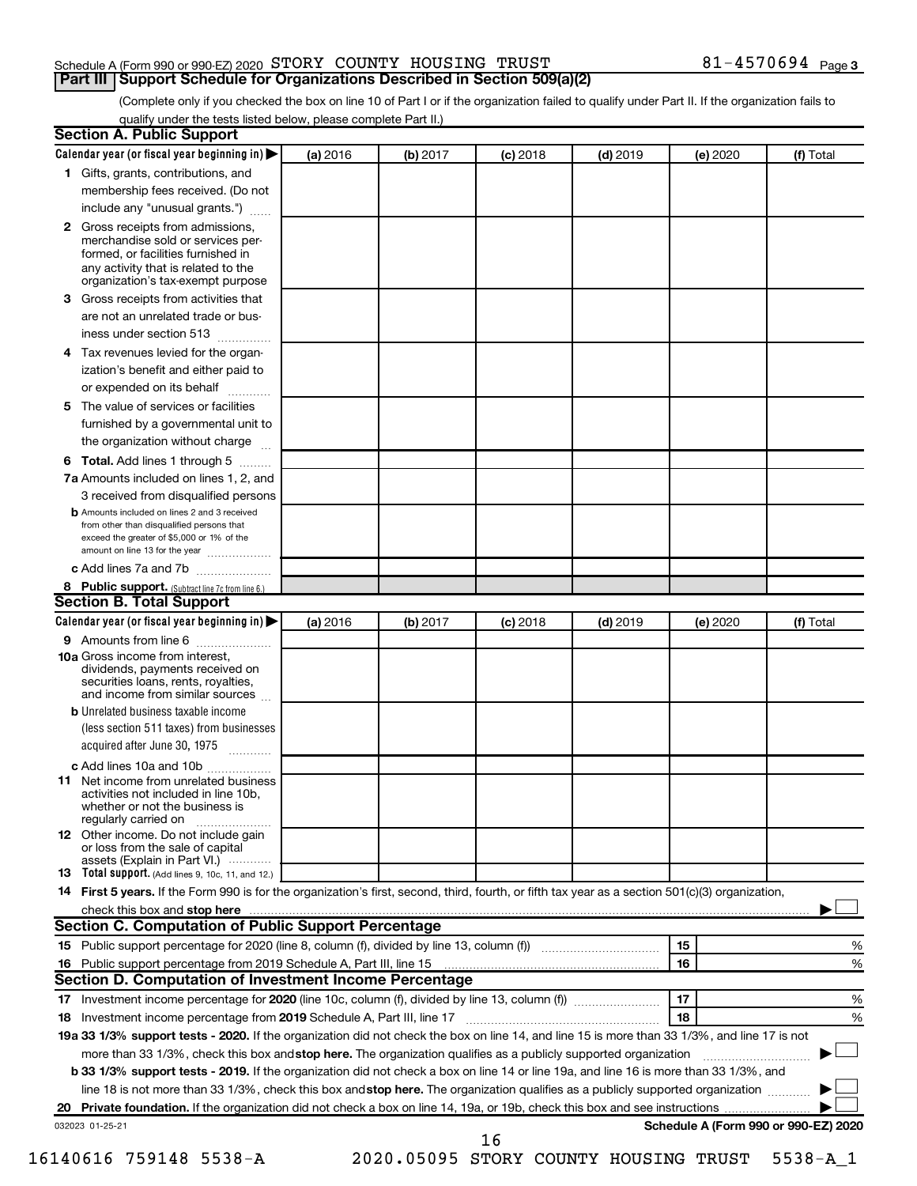#### Schedule A (Form 990 or 990-EZ) 2020 Page STORY COUNTY HOUSING TRUST 81-4570694 **Part III Support Schedule for Organizations Described in Section 509(a)(2)**

(Complete only if you checked the box on line 10 of Part I or if the organization failed to qualify under Part II. If the organization fails to qualify under the tests listed below, please complete Part II.)

| <b>Section A. Public Support</b>                                                                                                                                                                |          |          |            |            |          |                                      |
|-------------------------------------------------------------------------------------------------------------------------------------------------------------------------------------------------|----------|----------|------------|------------|----------|--------------------------------------|
| Calendar year (or fiscal year beginning in)                                                                                                                                                     | (a) 2016 | (b) 2017 | $(c)$ 2018 | $(d)$ 2019 | (e) 2020 | (f) Total                            |
| 1 Gifts, grants, contributions, and                                                                                                                                                             |          |          |            |            |          |                                      |
| membership fees received. (Do not                                                                                                                                                               |          |          |            |            |          |                                      |
| include any "unusual grants.")                                                                                                                                                                  |          |          |            |            |          |                                      |
| <b>2</b> Gross receipts from admissions,<br>merchandise sold or services per-<br>formed, or facilities furnished in<br>any activity that is related to the<br>organization's tax-exempt purpose |          |          |            |            |          |                                      |
| 3 Gross receipts from activities that                                                                                                                                                           |          |          |            |            |          |                                      |
| are not an unrelated trade or bus-                                                                                                                                                              |          |          |            |            |          |                                      |
|                                                                                                                                                                                                 |          |          |            |            |          |                                      |
| iness under section 513                                                                                                                                                                         |          |          |            |            |          |                                      |
| 4 Tax revenues levied for the organ-                                                                                                                                                            |          |          |            |            |          |                                      |
| ization's benefit and either paid to                                                                                                                                                            |          |          |            |            |          |                                      |
| or expended on its behalf                                                                                                                                                                       |          |          |            |            |          |                                      |
| 5 The value of services or facilities                                                                                                                                                           |          |          |            |            |          |                                      |
| furnished by a governmental unit to                                                                                                                                                             |          |          |            |            |          |                                      |
| the organization without charge                                                                                                                                                                 |          |          |            |            |          |                                      |
| 6 Total. Add lines 1 through 5                                                                                                                                                                  |          |          |            |            |          |                                      |
| 7a Amounts included on lines 1, 2, and                                                                                                                                                          |          |          |            |            |          |                                      |
| 3 received from disqualified persons                                                                                                                                                            |          |          |            |            |          |                                      |
| <b>b</b> Amounts included on lines 2 and 3 received<br>from other than disqualified persons that<br>exceed the greater of \$5,000 or 1% of the<br>amount on line 13 for the year                |          |          |            |            |          |                                      |
| c Add lines 7a and 7b                                                                                                                                                                           |          |          |            |            |          |                                      |
| 8 Public support. (Subtract line 7c from line 6.)                                                                                                                                               |          |          |            |            |          |                                      |
| <b>Section B. Total Support</b>                                                                                                                                                                 |          |          |            |            |          |                                      |
| Calendar year (or fiscal year beginning in)                                                                                                                                                     | (a) 2016 | (b) 2017 | $(c)$ 2018 | $(d)$ 2019 | (e) 2020 | (f) Total                            |
| 9 Amounts from line 6                                                                                                                                                                           |          |          |            |            |          |                                      |
| <b>10a</b> Gross income from interest,<br>dividends, payments received on<br>securities loans, rents, royalties,<br>and income from similar sources                                             |          |          |            |            |          |                                      |
| <b>b</b> Unrelated business taxable income                                                                                                                                                      |          |          |            |            |          |                                      |
| (less section 511 taxes) from businesses<br>acquired after June 30, 1975                                                                                                                        |          |          |            |            |          |                                      |
| c Add lines 10a and 10b                                                                                                                                                                         |          |          |            |            |          |                                      |
| <b>11</b> Net income from unrelated business<br>activities not included in line 10b.<br>whether or not the business is<br>regularly carried on                                                  |          |          |            |            |          |                                      |
| 12 Other income. Do not include gain<br>or loss from the sale of capital<br>assets (Explain in Part VI.)                                                                                        |          |          |            |            |          |                                      |
| <b>13</b> Total support. (Add lines 9, 10c, 11, and 12.)                                                                                                                                        |          |          |            |            |          |                                      |
| 14 First 5 years. If the Form 990 is for the organization's first, second, third, fourth, or fifth tax year as a section 501(c)(3) organization,                                                |          |          |            |            |          |                                      |
| check this box and stop here <b>contained and the contained and starting and stop here</b> check this box and stop here                                                                         |          |          |            |            |          |                                      |
| Section C. Computation of Public Support Percentage                                                                                                                                             |          |          |            |            |          |                                      |
| 15 Public support percentage for 2020 (line 8, column (f), divided by line 13, column (f) <i></i>                                                                                               |          |          |            |            | 15       | ℅                                    |
|                                                                                                                                                                                                 |          |          |            |            | 16       | %                                    |
| Section D. Computation of Investment Income Percentage                                                                                                                                          |          |          |            |            |          |                                      |
|                                                                                                                                                                                                 |          |          |            |            | 17       | %                                    |
| 18 Investment income percentage from 2019 Schedule A, Part III, line 17                                                                                                                         |          |          |            |            | 18       | %                                    |
| 19a 33 1/3% support tests - 2020. If the organization did not check the box on line 14, and line 15 is more than 33 1/3%, and line 17 is not                                                    |          |          |            |            |          |                                      |
| more than 33 1/3%, check this box and stop here. The organization qualifies as a publicly supported organization                                                                                |          |          |            |            |          |                                      |
|                                                                                                                                                                                                 |          |          |            |            |          |                                      |
| b 33 1/3% support tests - 2019. If the organization did not check a box on line 14 or line 19a, and line 16 is more than 33 1/3%, and                                                           |          |          |            |            |          |                                      |
| line 18 is not more than 33 1/3%, check this box and stop here. The organization qualifies as a publicly supported organization                                                                 |          |          |            |            |          |                                      |
|                                                                                                                                                                                                 |          |          |            |            |          |                                      |
| 032023 01-25-21                                                                                                                                                                                 |          |          | 16         |            |          | Schedule A (Form 990 or 990-EZ) 2020 |

16140616 759148 5538-A 2020.05095 STORY COUNTY HOUSING TRUST 5538-A\_1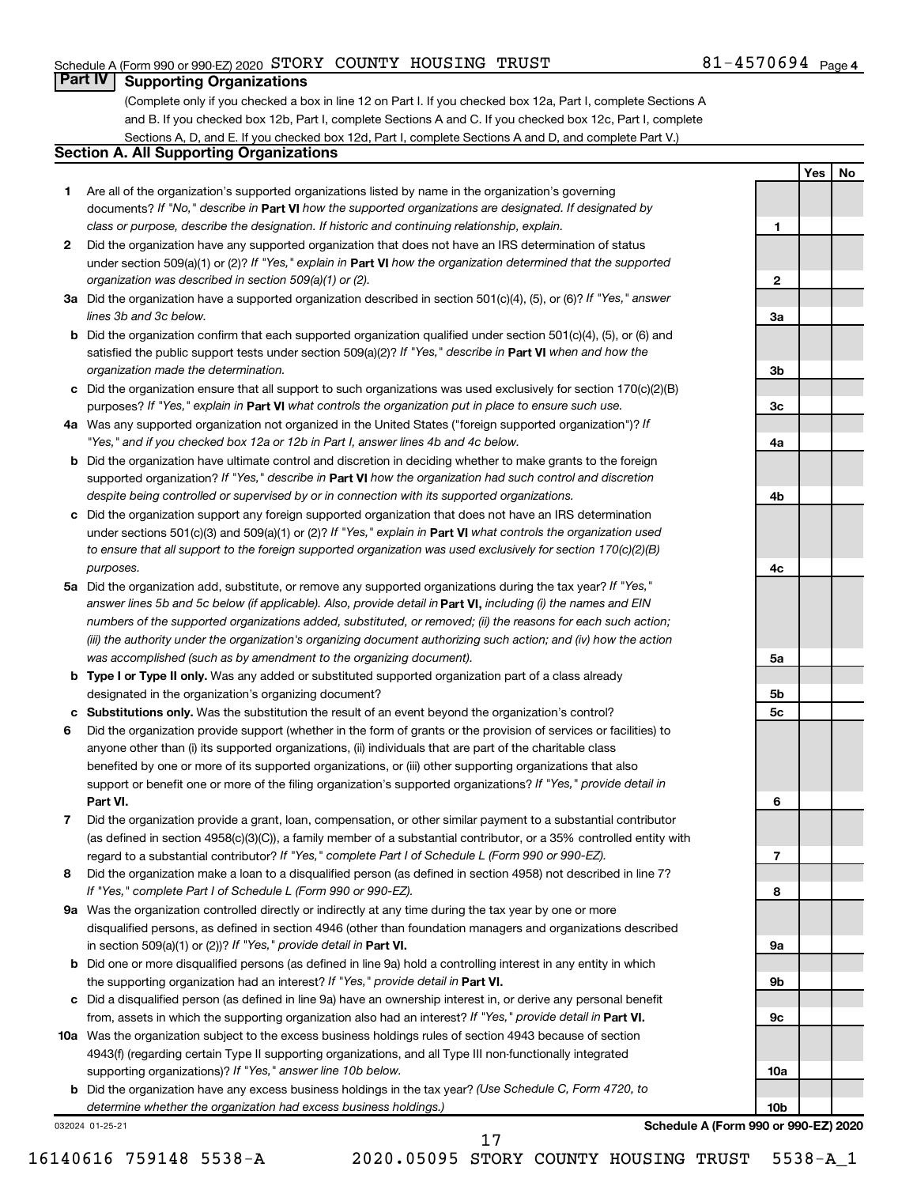#### Schedule A (Form 990 or 990-EZ) 2020 Page STORY COUNTY HOUSING TRUST 81-4570694

#### 81-4570694 Page 4

**1**

**2**

**3a**

**3b**

**3c**

**4a**

**4b**

**4c**

**5a**

**5b 5c**

**6**

**7**

**8**

**9a**

**9b**

**9c**

**10a**

**10b**

**Yes No**

### **Part IV Supporting Organizations**

(Complete only if you checked a box in line 12 on Part I. If you checked box 12a, Part I, complete Sections A and B. If you checked box 12b, Part I, complete Sections A and C. If you checked box 12c, Part I, complete Sections A, D, and E. If you checked box 12d, Part I, complete Sections A and D, and complete Part V.)

#### **Section A. All Supporting Organizations**

- **1** Are all of the organization's supported organizations listed by name in the organization's governing documents? If "No," describe in Part VI how the supported organizations are designated. If designated by *class or purpose, describe the designation. If historic and continuing relationship, explain.*
- **2** Did the organization have any supported organization that does not have an IRS determination of status under section 509(a)(1) or (2)? If "Yes," explain in Part **VI** how the organization determined that the supported *organization was described in section 509(a)(1) or (2).*
- **3a** Did the organization have a supported organization described in section 501(c)(4), (5), or (6)? If "Yes," answer *lines 3b and 3c below.*
- **b** Did the organization confirm that each supported organization qualified under section 501(c)(4), (5), or (6) and satisfied the public support tests under section 509(a)(2)? If "Yes," describe in Part VI when and how the *organization made the determination.*
- **c** Did the organization ensure that all support to such organizations was used exclusively for section 170(c)(2)(B) purposes? If "Yes," explain in Part VI what controls the organization put in place to ensure such use.
- **4 a** *If* Was any supported organization not organized in the United States ("foreign supported organization")? *"Yes," and if you checked box 12a or 12b in Part I, answer lines 4b and 4c below.*
- **b** Did the organization have ultimate control and discretion in deciding whether to make grants to the foreign supported organization? If "Yes," describe in Part VI how the organization had such control and discretion *despite being controlled or supervised by or in connection with its supported organizations.*
- **c** Did the organization support any foreign supported organization that does not have an IRS determination under sections 501(c)(3) and 509(a)(1) or (2)? If "Yes," explain in Part VI what controls the organization used *to ensure that all support to the foreign supported organization was used exclusively for section 170(c)(2)(B) purposes.*
- **5a** Did the organization add, substitute, or remove any supported organizations during the tax year? If "Yes," answer lines 5b and 5c below (if applicable). Also, provide detail in **Part VI,** including (i) the names and EIN *numbers of the supported organizations added, substituted, or removed; (ii) the reasons for each such action; (iii) the authority under the organization's organizing document authorizing such action; and (iv) how the action was accomplished (such as by amendment to the organizing document).*
- **b** Type I or Type II only. Was any added or substituted supported organization part of a class already designated in the organization's organizing document?
- **c Substitutions only.**  Was the substitution the result of an event beyond the organization's control?
- **6** Did the organization provide support (whether in the form of grants or the provision of services or facilities) to **Part VI.** support or benefit one or more of the filing organization's supported organizations? If "Yes," provide detail in anyone other than (i) its supported organizations, (ii) individuals that are part of the charitable class benefited by one or more of its supported organizations, or (iii) other supporting organizations that also
- **7** Did the organization provide a grant, loan, compensation, or other similar payment to a substantial contributor regard to a substantial contributor? If "Yes," complete Part I of Schedule L (Form 990 or 990-EZ). (as defined in section 4958(c)(3)(C)), a family member of a substantial contributor, or a 35% controlled entity with
- **8** Did the organization make a loan to a disqualified person (as defined in section 4958) not described in line 7? *If "Yes," complete Part I of Schedule L (Form 990 or 990-EZ).*
- **9 a** Was the organization controlled directly or indirectly at any time during the tax year by one or more in section 509(a)(1) or (2))? If "Yes," provide detail in **Part VI.** disqualified persons, as defined in section 4946 (other than foundation managers and organizations described
- **b** Did one or more disqualified persons (as defined in line 9a) hold a controlling interest in any entity in which the supporting organization had an interest? If "Yes," provide detail in Part VI.
- **c** Did a disqualified person (as defined in line 9a) have an ownership interest in, or derive any personal benefit from, assets in which the supporting organization also had an interest? If "Yes," provide detail in Part VI.
- **10 a** Was the organization subject to the excess business holdings rules of section 4943 because of section supporting organizations)? If "Yes," answer line 10b below. 4943(f) (regarding certain Type II supporting organizations, and all Type III non-functionally integrated
	- **b** Did the organization have any excess business holdings in the tax year? (Use Schedule C, Form 4720, to *determine whether the organization had excess business holdings.)*

032024 01-25-21

**Schedule A (Form 990 or 990-EZ) 2020**

17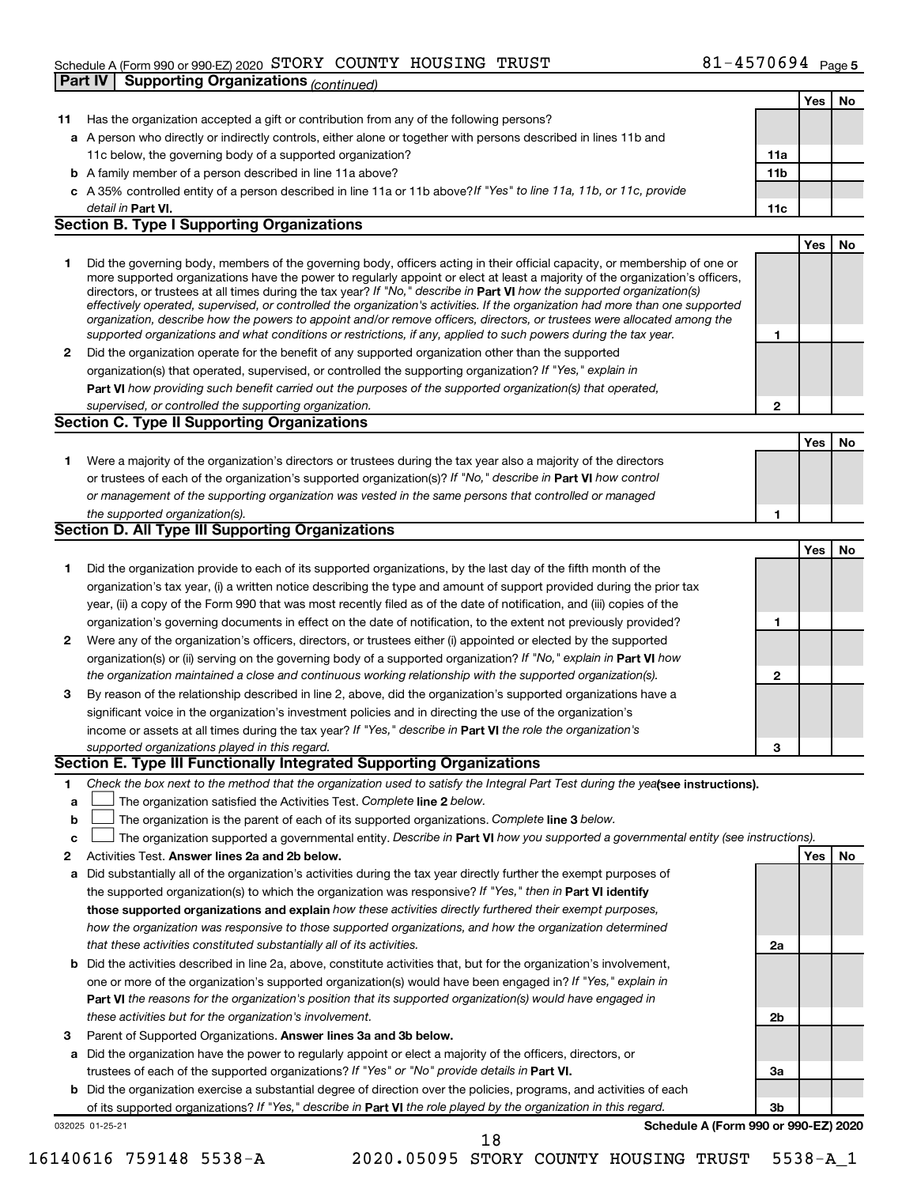#### Schedule A (Form 990 or 990-EZ) 2020 Page STORY COUNTY HOUSING TRUST 81-4570694 **Part IV | Supporting Organizations** (*continued*)

|    |                                                                                                                                                                                                                                                            |                 | Yes | No |
|----|------------------------------------------------------------------------------------------------------------------------------------------------------------------------------------------------------------------------------------------------------------|-----------------|-----|----|
| 11 | Has the organization accepted a gift or contribution from any of the following persons?                                                                                                                                                                    |                 |     |    |
|    | a A person who directly or indirectly controls, either alone or together with persons described in lines 11b and                                                                                                                                           |                 |     |    |
|    | 11c below, the governing body of a supported organization?                                                                                                                                                                                                 | 11a             |     |    |
|    | <b>b</b> A family member of a person described in line 11a above?                                                                                                                                                                                          | 11 <sub>b</sub> |     |    |
|    | c A 35% controlled entity of a person described in line 11a or 11b above? If "Yes" to line 11a, 11b, or 11c, provide                                                                                                                                       |                 |     |    |
|    | detail in Part VI.                                                                                                                                                                                                                                         | 11c             |     |    |
|    | <b>Section B. Type I Supporting Organizations</b>                                                                                                                                                                                                          |                 |     |    |
|    |                                                                                                                                                                                                                                                            |                 | Yes | No |
| 1. | Did the governing body, members of the governing body, officers acting in their official capacity, or membership of one or                                                                                                                                 |                 |     |    |
|    | more supported organizations have the power to regularly appoint or elect at least a majority of the organization's officers,                                                                                                                              |                 |     |    |
|    | directors, or trustees at all times during the tax year? If "No," describe in Part VI how the supported organization(s)                                                                                                                                    |                 |     |    |
|    | effectively operated, supervised, or controlled the organization's activities. If the organization had more than one supported<br>organization, describe how the powers to appoint and/or remove officers, directors, or trustees were allocated among the |                 |     |    |
|    | supported organizations and what conditions or restrictions, if any, applied to such powers during the tax year.                                                                                                                                           | 1               |     |    |
| 2  | Did the organization operate for the benefit of any supported organization other than the supported                                                                                                                                                        |                 |     |    |
|    | organization(s) that operated, supervised, or controlled the supporting organization? If "Yes," explain in                                                                                                                                                 |                 |     |    |
|    | Part VI how providing such benefit carried out the purposes of the supported organization(s) that operated,                                                                                                                                                |                 |     |    |
|    | supervised, or controlled the supporting organization.                                                                                                                                                                                                     | $\mathbf{2}$    |     |    |
|    | <b>Section C. Type II Supporting Organizations</b>                                                                                                                                                                                                         |                 |     |    |
|    |                                                                                                                                                                                                                                                            |                 | Yes | No |
| 1. | Were a majority of the organization's directors or trustees during the tax year also a majority of the directors                                                                                                                                           |                 |     |    |
|    | or trustees of each of the organization's supported organization(s)? If "No," describe in Part VI how control                                                                                                                                              |                 |     |    |
|    | or management of the supporting organization was vested in the same persons that controlled or managed                                                                                                                                                     |                 |     |    |
|    | the supported organization(s).                                                                                                                                                                                                                             | 1               |     |    |
|    | <b>Section D. All Type III Supporting Organizations</b>                                                                                                                                                                                                    |                 |     |    |
|    |                                                                                                                                                                                                                                                            |                 | Yes | No |
| 1. | Did the organization provide to each of its supported organizations, by the last day of the fifth month of the                                                                                                                                             |                 |     |    |
|    | organization's tax year, (i) a written notice describing the type and amount of support provided during the prior tax                                                                                                                                      |                 |     |    |
|    | year, (ii) a copy of the Form 990 that was most recently filed as of the date of notification, and (iii) copies of the                                                                                                                                     |                 |     |    |
|    | organization's governing documents in effect on the date of notification, to the extent not previously provided?                                                                                                                                           | 1               |     |    |
| 2  | Were any of the organization's officers, directors, or trustees either (i) appointed or elected by the supported                                                                                                                                           |                 |     |    |
|    | organization(s) or (ii) serving on the governing body of a supported organization? If "No," explain in Part VI how                                                                                                                                         |                 |     |    |
|    | the organization maintained a close and continuous working relationship with the supported organization(s).                                                                                                                                                | 2               |     |    |
| 3  | By reason of the relationship described in line 2, above, did the organization's supported organizations have a                                                                                                                                            |                 |     |    |
|    | significant voice in the organization's investment policies and in directing the use of the organization's                                                                                                                                                 |                 |     |    |
|    | income or assets at all times during the tax year? If "Yes," describe in Part VI the role the organization's                                                                                                                                               |                 |     |    |
|    | supported organizations played in this regard.                                                                                                                                                                                                             | 3               |     |    |
|    | Section E. Type III Functionally Integrated Supporting Organizations                                                                                                                                                                                       |                 |     |    |
| 1  | Check the box next to the method that the organization used to satisfy the Integral Part Test during the yealsee instructions).                                                                                                                            |                 |     |    |
| a  | The organization satisfied the Activities Test. Complete line 2 below.                                                                                                                                                                                     |                 |     |    |
| b  | The organization is the parent of each of its supported organizations. Complete line 3 below.                                                                                                                                                              |                 |     |    |
| с  | The organization supported a governmental entity. Describe in Part VI how you supported a governmental entity (see instructions).                                                                                                                          |                 |     |    |
| 2  | Activities Test. Answer lines 2a and 2b below.                                                                                                                                                                                                             |                 | Yes | No |
| а  | Did substantially all of the organization's activities during the tax year directly further the exempt purposes of                                                                                                                                         |                 |     |    |
|    | the supported organization(s) to which the organization was responsive? If "Yes," then in Part VI identify                                                                                                                                                 |                 |     |    |
|    | those supported organizations and explain how these activities directly furthered their exempt purposes,                                                                                                                                                   |                 |     |    |
|    | how the organization was responsive to those supported organizations, and how the organization determined                                                                                                                                                  |                 |     |    |
|    | that these activities constituted substantially all of its activities.                                                                                                                                                                                     | 2a              |     |    |
| b  | Did the activities described in line 2a, above, constitute activities that, but for the organization's involvement,                                                                                                                                        |                 |     |    |
|    | one or more of the organization's supported organization(s) would have been engaged in? If "Yes," explain in                                                                                                                                               |                 |     |    |
|    | Part VI the reasons for the organization's position that its supported organization(s) would have engaged in                                                                                                                                               |                 |     |    |
|    | these activities but for the organization's involvement.                                                                                                                                                                                                   | 2b              |     |    |
| 3  | Parent of Supported Organizations. Answer lines 3a and 3b below.                                                                                                                                                                                           |                 |     |    |
| а  | Did the organization have the power to regularly appoint or elect a majority of the officers, directors, or                                                                                                                                                |                 |     |    |
|    | trustees of each of the supported organizations? If "Yes" or "No" provide details in Part VI.                                                                                                                                                              | За              |     |    |
|    | <b>b</b> Did the organization exercise a substantial degree of direction over the policies, programs, and activities of each                                                                                                                               |                 |     |    |
|    | of its supported organizations? If "Yes," describe in Part VI the role played by the organization in this regard.                                                                                                                                          | 3b              |     |    |
|    | Schedule A (Form 990 or 990-EZ) 2020<br>032025 01-25-21                                                                                                                                                                                                    |                 |     |    |
|    | 18                                                                                                                                                                                                                                                         |                 |     |    |

16140616 759148 5538-A 2020.05095 STORY COUNTY HOUSING TRUST 5538-A\_1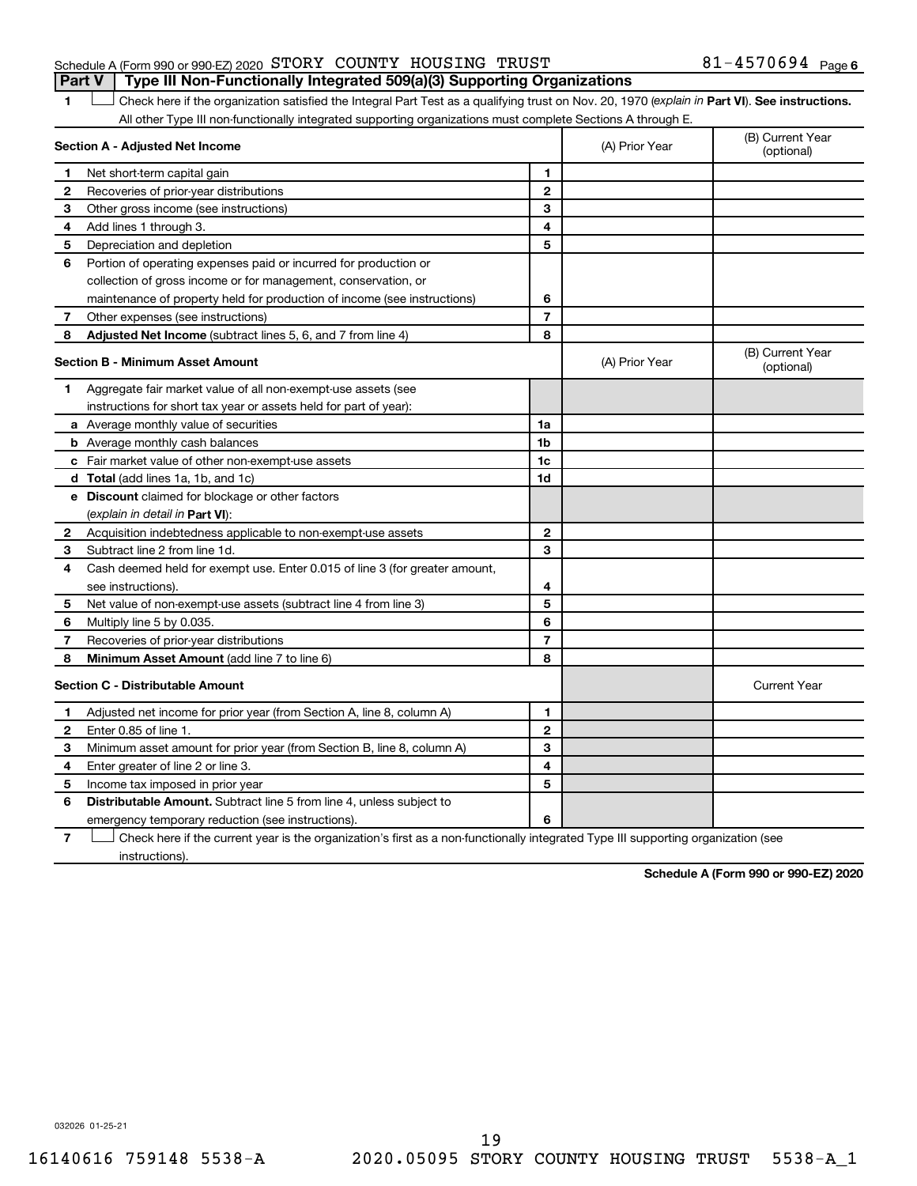#### Schedule A (Form 990 or 990-EZ) 2020 Page STORY COUNTY HOUSING TRUST 81-4570694 **Part V Type III Non-Functionally Integrated 509(a)(3) Supporting Organizations**

1 **Letter See instructions.** Check here if the organization satisfied the Integral Part Test as a qualifying trust on Nov. 20, 1970 (*explain in* Part **VI**). See instructions. All other Type III non-functionally integrated supporting organizations must complete Sections A through E.

|                | Section A - Adjusted Net Income                                                                                                   | (A) Prior Year | (B) Current Year<br>(optional) |                                |
|----------------|-----------------------------------------------------------------------------------------------------------------------------------|----------------|--------------------------------|--------------------------------|
| 1              | Net short-term capital gain                                                                                                       | 1              |                                |                                |
| $\mathbf{2}$   | Recoveries of prior-year distributions                                                                                            | $\mathbf{2}$   |                                |                                |
| З              | Other gross income (see instructions)                                                                                             | 3              |                                |                                |
| 4              | Add lines 1 through 3.                                                                                                            | 4              |                                |                                |
| 5              | Depreciation and depletion                                                                                                        | 5              |                                |                                |
| 6              | Portion of operating expenses paid or incurred for production or                                                                  |                |                                |                                |
|                | collection of gross income or for management, conservation, or                                                                    |                |                                |                                |
|                | maintenance of property held for production of income (see instructions)                                                          | 6              |                                |                                |
| 7              | Other expenses (see instructions)                                                                                                 | $\overline{7}$ |                                |                                |
| 8              | Adjusted Net Income (subtract lines 5, 6, and 7 from line 4)                                                                      | 8              |                                |                                |
|                | <b>Section B - Minimum Asset Amount</b>                                                                                           |                | (A) Prior Year                 | (B) Current Year<br>(optional) |
| 1.             | Aggregate fair market value of all non-exempt-use assets (see                                                                     |                |                                |                                |
|                | instructions for short tax year or assets held for part of year):                                                                 |                |                                |                                |
|                | <b>a</b> Average monthly value of securities                                                                                      | 1a             |                                |                                |
|                | <b>b</b> Average monthly cash balances                                                                                            | 1 <sub>b</sub> |                                |                                |
|                | c Fair market value of other non-exempt-use assets                                                                                | 1c             |                                |                                |
|                | d Total (add lines 1a, 1b, and 1c)                                                                                                | 1d             |                                |                                |
|                | e Discount claimed for blockage or other factors                                                                                  |                |                                |                                |
|                | (explain in detail in Part VI):                                                                                                   |                |                                |                                |
| 2              | Acquisition indebtedness applicable to non-exempt-use assets                                                                      | $\mathbf{2}$   |                                |                                |
| 3              | Subtract line 2 from line 1d.                                                                                                     | 3              |                                |                                |
| 4              | Cash deemed held for exempt use. Enter 0.015 of line 3 (for greater amount,                                                       |                |                                |                                |
|                | see instructions)                                                                                                                 | 4              |                                |                                |
| 5              | Net value of non-exempt-use assets (subtract line 4 from line 3)                                                                  | 5              |                                |                                |
| 6              | Multiply line 5 by 0.035.                                                                                                         | 6              |                                |                                |
| 7              | Recoveries of prior-year distributions                                                                                            | $\overline{7}$ |                                |                                |
| 8              | <b>Minimum Asset Amount</b> (add line 7 to line 6)                                                                                | 8              |                                |                                |
|                | <b>Section C - Distributable Amount</b>                                                                                           |                |                                | <b>Current Year</b>            |
| 1              | Adjusted net income for prior year (from Section A, line 8, column A)                                                             | 1              |                                |                                |
| 2              | Enter 0.85 of line 1.                                                                                                             | $\mathbf{2}$   |                                |                                |
| 3              | Minimum asset amount for prior year (from Section B, line 8, column A)                                                            | 3              |                                |                                |
| 4              | Enter greater of line 2 or line 3.                                                                                                | 4              |                                |                                |
| 5              | Income tax imposed in prior year                                                                                                  | 5              |                                |                                |
| 6              | <b>Distributable Amount.</b> Subtract line 5 from line 4, unless subject to                                                       |                |                                |                                |
|                | emergency temporary reduction (see instructions).                                                                                 | 6              |                                |                                |
| $\overline{7}$ | Check here if the current year is the organization's first as a non-functionally integrated Type III supporting organization (see |                |                                |                                |

instructions).

**Schedule A (Form 990 or 990-EZ) 2020**

032026 01-25-21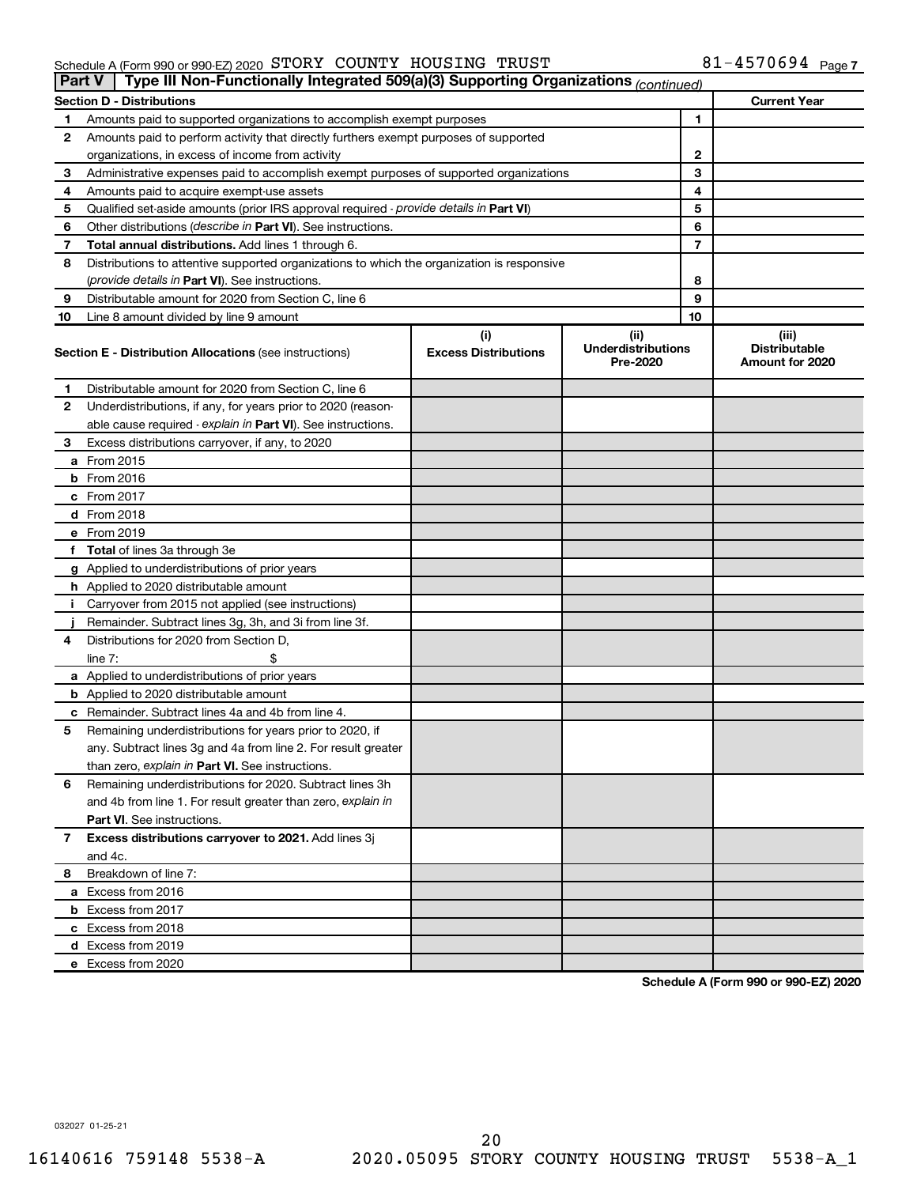#### Schedule A (Form 990 or 990-EZ) 2020 Page STORY COUNTY HOUSING TRUST 81-4570694

| <b>Part V</b> | Type III Non-Functionally Integrated 509(a)(3) Supporting Organizations (continued)        |                                    |                                               |    |                                                  |
|---------------|--------------------------------------------------------------------------------------------|------------------------------------|-----------------------------------------------|----|--------------------------------------------------|
|               | <b>Section D - Distributions</b>                                                           |                                    |                                               |    | <b>Current Year</b>                              |
| 1             | Amounts paid to supported organizations to accomplish exempt purposes                      |                                    |                                               | 1  |                                                  |
| 2             | Amounts paid to perform activity that directly furthers exempt purposes of supported       |                                    |                                               |    |                                                  |
|               | organizations, in excess of income from activity                                           |                                    | 2                                             |    |                                                  |
| 3             | Administrative expenses paid to accomplish exempt purposes of supported organizations      |                                    |                                               | 3  |                                                  |
| 4             | Amounts paid to acquire exempt-use assets                                                  |                                    |                                               | 4  |                                                  |
| 5             | Qualified set-aside amounts (prior IRS approval required - provide details in Part VI)     |                                    |                                               | 5  |                                                  |
| 6             | Other distributions ( <i>describe in Part VI</i> ). See instructions.                      |                                    |                                               | 6  |                                                  |
| 7             | Total annual distributions. Add lines 1 through 6.                                         |                                    |                                               | 7  |                                                  |
| 8             | Distributions to attentive supported organizations to which the organization is responsive |                                    |                                               |    |                                                  |
|               | (provide details in Part VI). See instructions.                                            |                                    |                                               | 8  |                                                  |
| 9             | Distributable amount for 2020 from Section C, line 6                                       |                                    |                                               | 9  |                                                  |
| 10            | Line 8 amount divided by line 9 amount                                                     |                                    |                                               | 10 |                                                  |
|               | <b>Section E - Distribution Allocations (see instructions)</b>                             | (i)<br><b>Excess Distributions</b> | (ii)<br><b>Underdistributions</b><br>Pre-2020 |    | (iii)<br><b>Distributable</b><br>Amount for 2020 |
| 1             | Distributable amount for 2020 from Section C, line 6                                       |                                    |                                               |    |                                                  |
| 2             | Underdistributions, if any, for years prior to 2020 (reason-                               |                                    |                                               |    |                                                  |
|               | able cause required - explain in Part VI). See instructions.                               |                                    |                                               |    |                                                  |
| 3             | Excess distributions carryover, if any, to 2020                                            |                                    |                                               |    |                                                  |
|               | a From 2015                                                                                |                                    |                                               |    |                                                  |
|               | <b>b</b> From 2016                                                                         |                                    |                                               |    |                                                  |
|               | c From 2017                                                                                |                                    |                                               |    |                                                  |
|               | d From 2018                                                                                |                                    |                                               |    |                                                  |
|               | e From 2019                                                                                |                                    |                                               |    |                                                  |
|               | f Total of lines 3a through 3e                                                             |                                    |                                               |    |                                                  |
|               | g Applied to underdistributions of prior years                                             |                                    |                                               |    |                                                  |
|               | <b>h</b> Applied to 2020 distributable amount                                              |                                    |                                               |    |                                                  |
| Ť.            | Carryover from 2015 not applied (see instructions)                                         |                                    |                                               |    |                                                  |
|               | Remainder. Subtract lines 3g, 3h, and 3i from line 3f.                                     |                                    |                                               |    |                                                  |
| 4             | Distributions for 2020 from Section D,                                                     |                                    |                                               |    |                                                  |
|               | line $7:$                                                                                  |                                    |                                               |    |                                                  |
|               | a Applied to underdistributions of prior years                                             |                                    |                                               |    |                                                  |
|               | <b>b</b> Applied to 2020 distributable amount                                              |                                    |                                               |    |                                                  |
|               | c Remainder. Subtract lines 4a and 4b from line 4.                                         |                                    |                                               |    |                                                  |
| 5             | Remaining underdistributions for years prior to 2020, if                                   |                                    |                                               |    |                                                  |
|               | any. Subtract lines 3g and 4a from line 2. For result greater                              |                                    |                                               |    |                                                  |
|               | than zero, explain in Part VI. See instructions.                                           |                                    |                                               |    |                                                  |
| 6             | Remaining underdistributions for 2020. Subtract lines 3h                                   |                                    |                                               |    |                                                  |
|               | and 4b from line 1. For result greater than zero, explain in                               |                                    |                                               |    |                                                  |
|               | <b>Part VI.</b> See instructions.                                                          |                                    |                                               |    |                                                  |
| 7             | Excess distributions carryover to 2021. Add lines 3j                                       |                                    |                                               |    |                                                  |
|               | and 4c.                                                                                    |                                    |                                               |    |                                                  |
| 8             | Breakdown of line 7:                                                                       |                                    |                                               |    |                                                  |
|               | a Excess from 2016                                                                         |                                    |                                               |    |                                                  |
|               | <b>b</b> Excess from 2017                                                                  |                                    |                                               |    |                                                  |
|               | c Excess from 2018                                                                         |                                    |                                               |    |                                                  |
|               | d Excess from 2019                                                                         |                                    |                                               |    |                                                  |
|               | e Excess from 2020                                                                         |                                    |                                               |    |                                                  |

**Schedule A (Form 990 or 990-EZ) 2020**

032027 01-25-21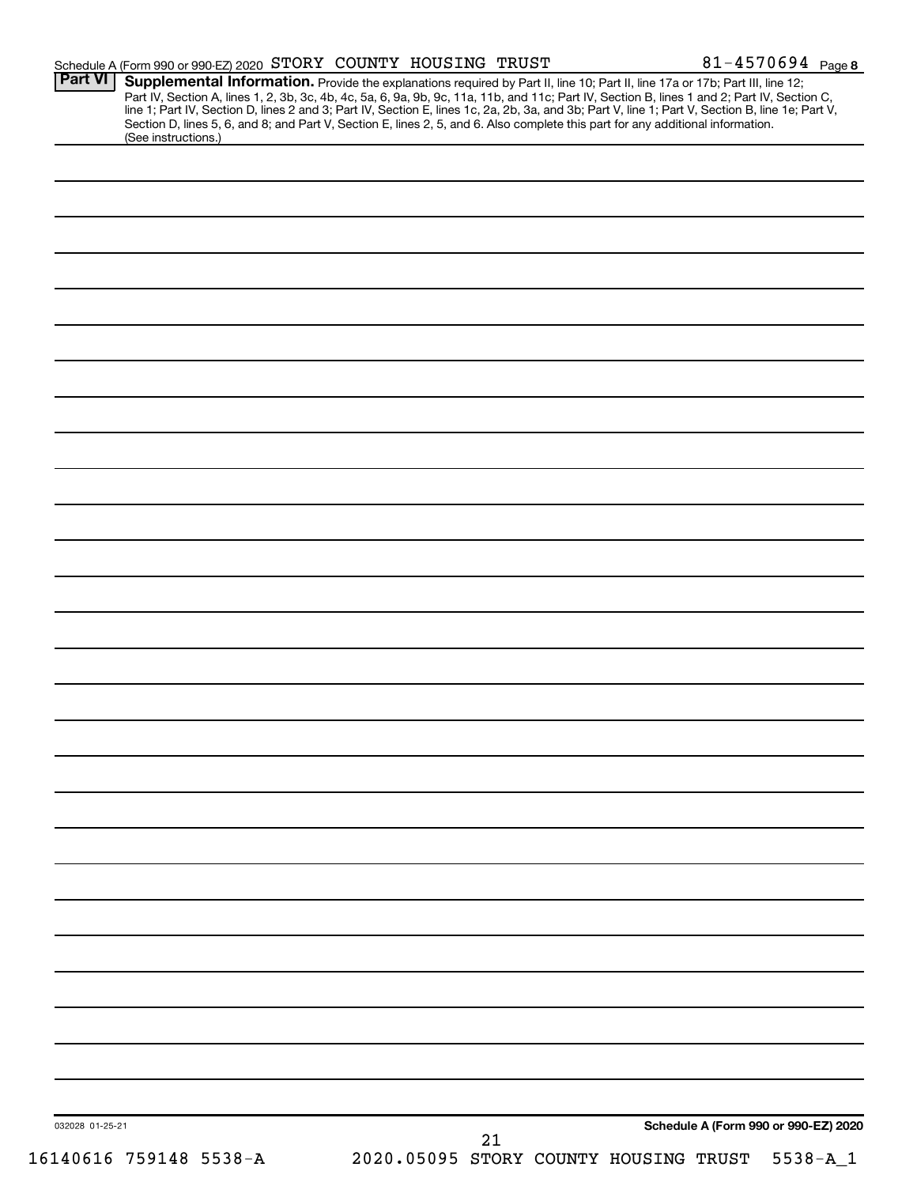| Part VI         |                                                                                                                                                                                                                                                                                                                                                                                                                                                                                                                          |  |  |                                      |
|-----------------|--------------------------------------------------------------------------------------------------------------------------------------------------------------------------------------------------------------------------------------------------------------------------------------------------------------------------------------------------------------------------------------------------------------------------------------------------------------------------------------------------------------------------|--|--|--------------------------------------|
|                 | Supplemental Information. Provide the explanations required by Part II, line 10; Part II, line 17a or 17b; Part III, line 12;<br>Part IV, Section A, lines 1, 2, 3b, 3c, 4b, 4c, 5a, 6, 9a, 9b, 9c, 11a, 11b, and 11c; Part IV, Section B, lines 1 and 2; Part IV, Section C, line 1; Part IV, Section D, lines 2 and 3; Part IV, Section E, lines 1c, 2a, 2b,<br>Section D, lines 5, 6, and 8; and Part V, Section E, lines 2, 5, and 6. Also complete this part for any additional information.<br>(See instructions.) |  |  |                                      |
|                 |                                                                                                                                                                                                                                                                                                                                                                                                                                                                                                                          |  |  |                                      |
|                 |                                                                                                                                                                                                                                                                                                                                                                                                                                                                                                                          |  |  |                                      |
|                 |                                                                                                                                                                                                                                                                                                                                                                                                                                                                                                                          |  |  |                                      |
|                 |                                                                                                                                                                                                                                                                                                                                                                                                                                                                                                                          |  |  |                                      |
|                 |                                                                                                                                                                                                                                                                                                                                                                                                                                                                                                                          |  |  |                                      |
|                 |                                                                                                                                                                                                                                                                                                                                                                                                                                                                                                                          |  |  |                                      |
|                 |                                                                                                                                                                                                                                                                                                                                                                                                                                                                                                                          |  |  |                                      |
|                 |                                                                                                                                                                                                                                                                                                                                                                                                                                                                                                                          |  |  |                                      |
|                 |                                                                                                                                                                                                                                                                                                                                                                                                                                                                                                                          |  |  |                                      |
|                 |                                                                                                                                                                                                                                                                                                                                                                                                                                                                                                                          |  |  |                                      |
|                 |                                                                                                                                                                                                                                                                                                                                                                                                                                                                                                                          |  |  |                                      |
|                 |                                                                                                                                                                                                                                                                                                                                                                                                                                                                                                                          |  |  |                                      |
|                 |                                                                                                                                                                                                                                                                                                                                                                                                                                                                                                                          |  |  |                                      |
|                 |                                                                                                                                                                                                                                                                                                                                                                                                                                                                                                                          |  |  |                                      |
|                 |                                                                                                                                                                                                                                                                                                                                                                                                                                                                                                                          |  |  |                                      |
|                 |                                                                                                                                                                                                                                                                                                                                                                                                                                                                                                                          |  |  |                                      |
|                 |                                                                                                                                                                                                                                                                                                                                                                                                                                                                                                                          |  |  |                                      |
|                 |                                                                                                                                                                                                                                                                                                                                                                                                                                                                                                                          |  |  |                                      |
|                 |                                                                                                                                                                                                                                                                                                                                                                                                                                                                                                                          |  |  |                                      |
|                 |                                                                                                                                                                                                                                                                                                                                                                                                                                                                                                                          |  |  |                                      |
|                 |                                                                                                                                                                                                                                                                                                                                                                                                                                                                                                                          |  |  |                                      |
|                 |                                                                                                                                                                                                                                                                                                                                                                                                                                                                                                                          |  |  |                                      |
|                 |                                                                                                                                                                                                                                                                                                                                                                                                                                                                                                                          |  |  |                                      |
|                 |                                                                                                                                                                                                                                                                                                                                                                                                                                                                                                                          |  |  |                                      |
|                 |                                                                                                                                                                                                                                                                                                                                                                                                                                                                                                                          |  |  |                                      |
|                 |                                                                                                                                                                                                                                                                                                                                                                                                                                                                                                                          |  |  |                                      |
|                 |                                                                                                                                                                                                                                                                                                                                                                                                                                                                                                                          |  |  |                                      |
|                 |                                                                                                                                                                                                                                                                                                                                                                                                                                                                                                                          |  |  |                                      |
| 032028 01-25-21 |                                                                                                                                                                                                                                                                                                                                                                                                                                                                                                                          |  |  | Schedule A (Form 990 or 990-EZ) 2020 |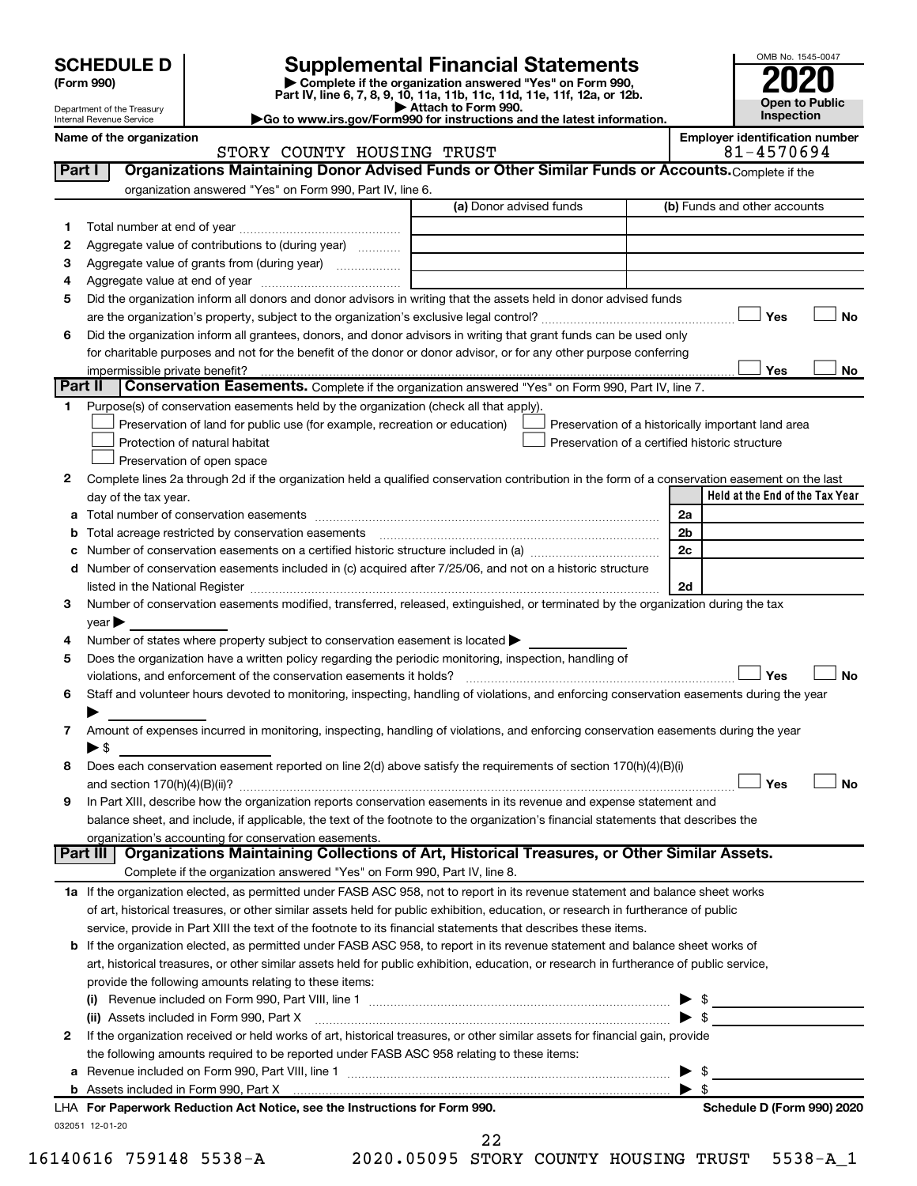| <b>SCHEDULE D</b> |  |
|-------------------|--|
|-------------------|--|

# **SCHEDULE D Supplemental Financial Statements**<br> **Form 990 2020**<br> **Part IV** line 6.7.8.9.10, 11a, 11b, 11d, 11d, 11d, 11d, 11d, 12a, 0r, 12b

**(Form 990) | Complete if the organization answered "Yes" on Form 990, Part IV, line 6, 7, 8, 9, 10, 11a, 11b, 11c, 11d, 11e, 11f, 12a, or 12b.**

**| Attach to Form 990. |Go to www.irs.gov/Form990 for instructions and the latest information.**



Department of the Treasury Internal Revenue Service **Name of the organization Employer identification number**

|         | STORY COUNTY HOUSING TRUST                                                                                                                                                                                                    | 81-4570694                                         |
|---------|-------------------------------------------------------------------------------------------------------------------------------------------------------------------------------------------------------------------------------|----------------------------------------------------|
| Part I  | Organizations Maintaining Donor Advised Funds or Other Similar Funds or Accounts. Complete if the                                                                                                                             |                                                    |
|         | organization answered "Yes" on Form 990, Part IV, line 6.                                                                                                                                                                     |                                                    |
|         | (a) Donor advised funds                                                                                                                                                                                                       | (b) Funds and other accounts                       |
| 1       |                                                                                                                                                                                                                               |                                                    |
| 2       | Aggregate value of contributions to (during year)                                                                                                                                                                             |                                                    |
| з       | Aggregate value of grants from (during year)                                                                                                                                                                                  |                                                    |
| 4       |                                                                                                                                                                                                                               |                                                    |
| 5       | Did the organization inform all donors and donor advisors in writing that the assets held in donor advised funds                                                                                                              |                                                    |
|         |                                                                                                                                                                                                                               | Yes<br>No                                          |
| 6       | Did the organization inform all grantees, donors, and donor advisors in writing that grant funds can be used only                                                                                                             |                                                    |
|         | for charitable purposes and not for the benefit of the donor or donor advisor, or for any other purpose conferring                                                                                                            |                                                    |
|         |                                                                                                                                                                                                                               | Yes<br>No                                          |
| Part II | Conservation Easements. Complete if the organization answered "Yes" on Form 990, Part IV, line 7.                                                                                                                             |                                                    |
| 1       | Purpose(s) of conservation easements held by the organization (check all that apply).                                                                                                                                         |                                                    |
|         |                                                                                                                                                                                                                               |                                                    |
|         | Preservation of land for public use (for example, recreation or education)<br>Protection of natural habitat                                                                                                                   | Preservation of a historically important land area |
|         |                                                                                                                                                                                                                               | Preservation of a certified historic structure     |
|         | Preservation of open space                                                                                                                                                                                                    |                                                    |
| 2       | Complete lines 2a through 2d if the organization held a qualified conservation contribution in the form of a conservation easement on the last                                                                                |                                                    |
|         | day of the tax year.                                                                                                                                                                                                          | Held at the End of the Tax Year                    |
|         |                                                                                                                                                                                                                               | 2a                                                 |
| b       | Total acreage restricted by conservation easements                                                                                                                                                                            | 2b                                                 |
| c       |                                                                                                                                                                                                                               | 2c                                                 |
|         | d Number of conservation easements included in (c) acquired after 7/25/06, and not on a historic structure                                                                                                                    |                                                    |
|         | listed in the National Register [111] Marshall Register [11] Marshall Register [11] Marshall Register [11] Marshall Register [11] Marshall Register [11] Marshall Register [11] Marshall Register [11] Marshall Register [11] | 2d                                                 |
| 3       | Number of conservation easements modified, transferred, released, extinguished, or terminated by the organization during the tax                                                                                              |                                                    |
|         | $year \triangleright$                                                                                                                                                                                                         |                                                    |
| 4       | Number of states where property subject to conservation easement is located >                                                                                                                                                 |                                                    |
| 5       | Does the organization have a written policy regarding the periodic monitoring, inspection, handling of                                                                                                                        |                                                    |
|         | violations, and enforcement of the conservation easements it holds?                                                                                                                                                           | Yes<br>No                                          |
| 6       | Staff and volunteer hours devoted to monitoring, inspecting, handling of violations, and enforcing conservation easements during the year                                                                                     |                                                    |
|         |                                                                                                                                                                                                                               |                                                    |
| 7       | Amount of expenses incurred in monitoring, inspecting, handling of violations, and enforcing conservation easements during the year                                                                                           |                                                    |
|         | $\blacktriangleright$ \$                                                                                                                                                                                                      |                                                    |
| 8       | Does each conservation easement reported on line 2(d) above satisfy the requirements of section 170(h)(4)(B)(i)                                                                                                               |                                                    |
|         |                                                                                                                                                                                                                               | Yes<br>No                                          |
| 9       | In Part XIII, describe how the organization reports conservation easements in its revenue and expense statement and                                                                                                           |                                                    |
|         | balance sheet, and include, if applicable, the text of the footnote to the organization's financial statements that describes the                                                                                             |                                                    |
|         | organization's accounting for conservation easements.                                                                                                                                                                         |                                                    |
|         | Organizations Maintaining Collections of Art, Historical Treasures, or Other Similar Assets.<br>Part III                                                                                                                      |                                                    |
|         | Complete if the organization answered "Yes" on Form 990, Part IV, line 8.                                                                                                                                                     |                                                    |
|         | 1a If the organization elected, as permitted under FASB ASC 958, not to report in its revenue statement and balance sheet works                                                                                               |                                                    |
|         | of art, historical treasures, or other similar assets held for public exhibition, education, or research in furtherance of public                                                                                             |                                                    |
|         | service, provide in Part XIII the text of the footnote to its financial statements that describes these items.                                                                                                                |                                                    |
|         | b If the organization elected, as permitted under FASB ASC 958, to report in its revenue statement and balance sheet works of                                                                                                 |                                                    |
|         | art, historical treasures, or other similar assets held for public exhibition, education, or research in furtherance of public service,                                                                                       |                                                    |
|         | provide the following amounts relating to these items:                                                                                                                                                                        |                                                    |
|         | (i)                                                                                                                                                                                                                           | -\$                                                |
|         | (ii) Assets included in Form 990, Part X                                                                                                                                                                                      | $\blacktriangleright$ \$                           |
| 2       | If the organization received or held works of art, historical treasures, or other similar assets for financial gain, provide                                                                                                  |                                                    |
|         | the following amounts required to be reported under FASB ASC 958 relating to these items:                                                                                                                                     |                                                    |
|         |                                                                                                                                                                                                                               | \$                                                 |
|         |                                                                                                                                                                                                                               | $\mathfrak{F}$                                     |
|         | LHA For Paperwork Reduction Act Notice, see the Instructions for Form 990.                                                                                                                                                    | Schedule D (Form 990) 2020                         |
|         | 032051 12-01-20                                                                                                                                                                                                               |                                                    |

16140616 759148 5538-A 2020.05095 STORY COUNTY HOUSING TRUST 5538-A\_1

22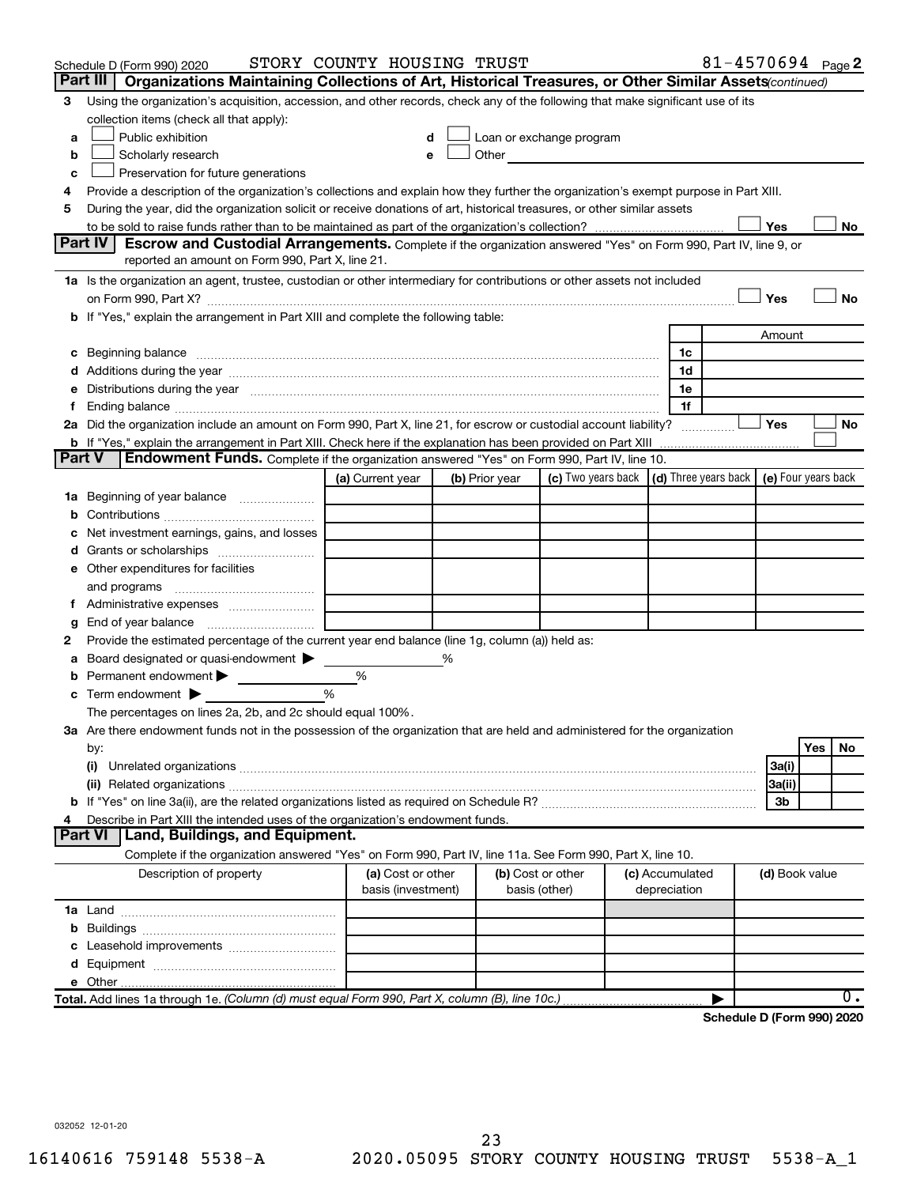|               | Schedule D (Form 990) 2020                                                                                                                                                                                                     | STORY COUNTY HOUSING TRUST              |   |                |                                                                                                                                                                                                                               |                                 | 81-4570694 Page 2          |                |     |    |
|---------------|--------------------------------------------------------------------------------------------------------------------------------------------------------------------------------------------------------------------------------|-----------------------------------------|---|----------------|-------------------------------------------------------------------------------------------------------------------------------------------------------------------------------------------------------------------------------|---------------------------------|----------------------------|----------------|-----|----|
|               | Organizations Maintaining Collections of Art, Historical Treasures, or Other Similar Assets(continued)<br>Part III                                                                                                             |                                         |   |                |                                                                                                                                                                                                                               |                                 |                            |                |     |    |
| 3             | Using the organization's acquisition, accession, and other records, check any of the following that make significant use of its<br>collection items (check all that apply):                                                    |                                         |   |                |                                                                                                                                                                                                                               |                                 |                            |                |     |    |
| a             | Public exhibition                                                                                                                                                                                                              | d                                       |   |                | Loan or exchange program                                                                                                                                                                                                      |                                 |                            |                |     |    |
| b             | Scholarly research                                                                                                                                                                                                             | e                                       |   |                | Other and the contract of the contract of the contract of the contract of the contract of the contract of the contract of the contract of the contract of the contract of the contract of the contract of the contract of the |                                 |                            |                |     |    |
| c             | Preservation for future generations                                                                                                                                                                                            |                                         |   |                |                                                                                                                                                                                                                               |                                 |                            |                |     |    |
| 4             | Provide a description of the organization's collections and explain how they further the organization's exempt purpose in Part XIII.                                                                                           |                                         |   |                |                                                                                                                                                                                                                               |                                 |                            |                |     |    |
| 5             | During the year, did the organization solicit or receive donations of art, historical treasures, or other similar assets                                                                                                       |                                         |   |                |                                                                                                                                                                                                                               |                                 |                            |                |     |    |
|               |                                                                                                                                                                                                                                |                                         |   |                |                                                                                                                                                                                                                               |                                 |                            | Yes            |     | No |
|               | Part IV<br><b>Escrow and Custodial Arrangements.</b> Complete if the organization answered "Yes" on Form 990, Part IV, line 9, or                                                                                              |                                         |   |                |                                                                                                                                                                                                                               |                                 |                            |                |     |    |
|               | reported an amount on Form 990, Part X, line 21.                                                                                                                                                                               |                                         |   |                |                                                                                                                                                                                                                               |                                 |                            |                |     |    |
|               | 1a Is the organization an agent, trustee, custodian or other intermediary for contributions or other assets not included                                                                                                       |                                         |   |                |                                                                                                                                                                                                                               |                                 |                            |                |     |    |
|               |                                                                                                                                                                                                                                |                                         |   |                |                                                                                                                                                                                                                               |                                 |                            | Yes            |     | No |
|               | b If "Yes," explain the arrangement in Part XIII and complete the following table:                                                                                                                                             |                                         |   |                |                                                                                                                                                                                                                               |                                 |                            |                |     |    |
|               |                                                                                                                                                                                                                                |                                         |   |                |                                                                                                                                                                                                                               |                                 |                            | Amount         |     |    |
| с             | Beginning balance material content contracts and content to the content of the content of the content of the content of the content of the content of the content of the content of the content of the content of the content  |                                         |   |                |                                                                                                                                                                                                                               | 1c                              |                            |                |     |    |
|               |                                                                                                                                                                                                                                |                                         |   |                |                                                                                                                                                                                                                               | 1d                              |                            |                |     |    |
| е             | Distributions during the year manufactured and an account of the state of the state of the state of the state of the state of the state of the state of the state of the state of the state of the state of the state of the s |                                         |   |                |                                                                                                                                                                                                                               | 1e                              |                            |                |     |    |
| f.            |                                                                                                                                                                                                                                |                                         |   |                |                                                                                                                                                                                                                               | 1f                              |                            |                |     |    |
|               | 2a Did the organization include an amount on Form 990, Part X, line 21, for escrow or custodial account liability?                                                                                                             |                                         |   |                |                                                                                                                                                                                                                               |                                 |                            | <b>Yes</b>     |     | No |
|               |                                                                                                                                                                                                                                |                                         |   |                |                                                                                                                                                                                                                               |                                 |                            |                |     |    |
| <b>Part V</b> | Endowment Funds. Complete if the organization answered "Yes" on Form 990, Part IV, line 10.                                                                                                                                    |                                         |   |                |                                                                                                                                                                                                                               |                                 |                            |                |     |    |
|               |                                                                                                                                                                                                                                | (a) Current year                        |   | (b) Prior year | (c) Two years back $\vert$ (d) Three years back $\vert$ (e) Four years back                                                                                                                                                   |                                 |                            |                |     |    |
|               | 1a Beginning of year balance                                                                                                                                                                                                   |                                         |   |                |                                                                                                                                                                                                                               |                                 |                            |                |     |    |
| b             |                                                                                                                                                                                                                                |                                         |   |                |                                                                                                                                                                                                                               |                                 |                            |                |     |    |
| с             | Net investment earnings, gains, and losses                                                                                                                                                                                     |                                         |   |                |                                                                                                                                                                                                                               |                                 |                            |                |     |    |
| d             | Grants or scholarships <i></i>                                                                                                                                                                                                 |                                         |   |                |                                                                                                                                                                                                                               |                                 |                            |                |     |    |
|               | e Other expenditures for facilities                                                                                                                                                                                            |                                         |   |                |                                                                                                                                                                                                                               |                                 |                            |                |     |    |
|               | and programs                                                                                                                                                                                                                   |                                         |   |                |                                                                                                                                                                                                                               |                                 |                            |                |     |    |
| t.            |                                                                                                                                                                                                                                |                                         |   |                |                                                                                                                                                                                                                               |                                 |                            |                |     |    |
| g             | End of year balance <i>manually contained</i>                                                                                                                                                                                  |                                         |   |                |                                                                                                                                                                                                                               |                                 |                            |                |     |    |
| 2             | Provide the estimated percentage of the current year end balance (line 1g, column (a)) held as:                                                                                                                                |                                         |   |                |                                                                                                                                                                                                                               |                                 |                            |                |     |    |
| а             | Board designated or quasi-endowment                                                                                                                                                                                            |                                         | % |                |                                                                                                                                                                                                                               |                                 |                            |                |     |    |
| b             | Permanent endowment                                                                                                                                                                                                            | %                                       |   |                |                                                                                                                                                                                                                               |                                 |                            |                |     |    |
|               | Term endowment $\blacktriangleright$                                                                                                                                                                                           | %                                       |   |                |                                                                                                                                                                                                                               |                                 |                            |                |     |    |
| С             |                                                                                                                                                                                                                                |                                         |   |                |                                                                                                                                                                                                                               |                                 |                            |                |     |    |
|               | The percentages on lines 2a, 2b, and 2c should equal 100%.                                                                                                                                                                     |                                         |   |                |                                                                                                                                                                                                                               |                                 |                            |                |     |    |
|               | 3a Are there endowment funds not in the possession of the organization that are held and administered for the organization                                                                                                     |                                         |   |                |                                                                                                                                                                                                                               |                                 |                            |                |     |    |
|               | by:                                                                                                                                                                                                                            |                                         |   |                |                                                                                                                                                                                                                               |                                 |                            |                | Yes | No |
|               | (i)                                                                                                                                                                                                                            |                                         |   |                |                                                                                                                                                                                                                               |                                 |                            | 3a(i)          |     |    |
|               |                                                                                                                                                                                                                                |                                         |   |                |                                                                                                                                                                                                                               |                                 |                            | 3a(ii)         |     |    |
| b             |                                                                                                                                                                                                                                |                                         |   |                |                                                                                                                                                                                                                               |                                 |                            | 3b             |     |    |
| 4             | Describe in Part XIII the intended uses of the organization's endowment funds.                                                                                                                                                 |                                         |   |                |                                                                                                                                                                                                                               |                                 |                            |                |     |    |
|               | Part VI   Land, Buildings, and Equipment.                                                                                                                                                                                      |                                         |   |                |                                                                                                                                                                                                                               |                                 |                            |                |     |    |
|               | Complete if the organization answered "Yes" on Form 990, Part IV, line 11a. See Form 990, Part X, line 10.                                                                                                                     |                                         |   |                |                                                                                                                                                                                                                               |                                 |                            |                |     |    |
|               | Description of property                                                                                                                                                                                                        | (a) Cost or other<br>basis (investment) |   |                | (b) Cost or other<br>basis (other)                                                                                                                                                                                            | (c) Accumulated<br>depreciation |                            | (d) Book value |     |    |
|               |                                                                                                                                                                                                                                |                                         |   |                |                                                                                                                                                                                                                               |                                 |                            |                |     |    |
| b             |                                                                                                                                                                                                                                |                                         |   |                |                                                                                                                                                                                                                               |                                 |                            |                |     |    |
| с             |                                                                                                                                                                                                                                |                                         |   |                |                                                                                                                                                                                                                               |                                 |                            |                |     |    |
| d             |                                                                                                                                                                                                                                |                                         |   |                |                                                                                                                                                                                                                               |                                 |                            |                |     |    |
|               |                                                                                                                                                                                                                                |                                         |   |                |                                                                                                                                                                                                                               |                                 |                            |                |     |    |
|               | Total. Add lines 1a through 1e. (Column (d) must equal Form 990, Part X, column (B), line 10c.)                                                                                                                                |                                         |   |                |                                                                                                                                                                                                                               |                                 |                            |                |     | 0. |
|               |                                                                                                                                                                                                                                |                                         |   |                |                                                                                                                                                                                                                               |                                 | Schedule D (Form 990) 2020 |                |     |    |

032052 12-01-20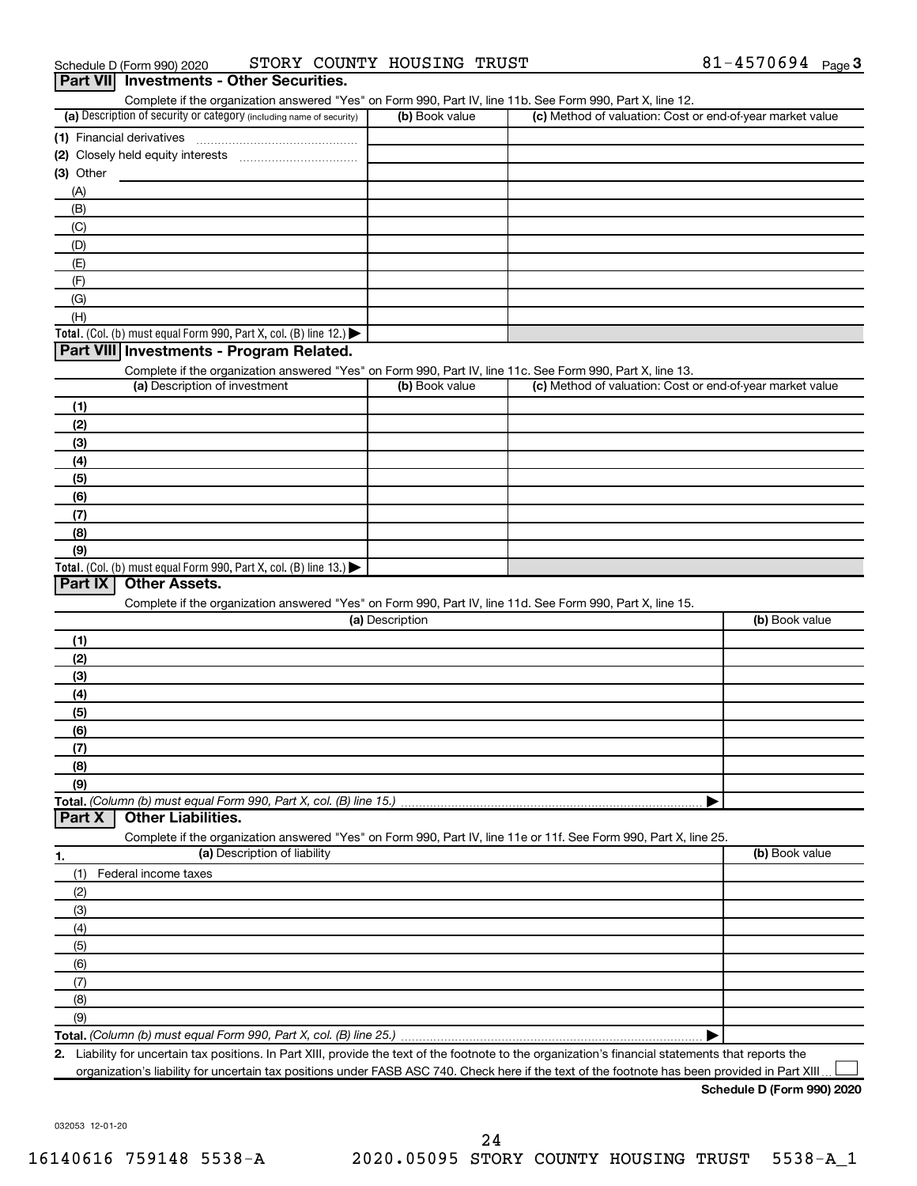| Complete if the organization answered "Yes" on Form 990, Part IV, line 11b. See Form 990, Part X, line 12.                                           |                 |                                                           |                |
|------------------------------------------------------------------------------------------------------------------------------------------------------|-----------------|-----------------------------------------------------------|----------------|
| (a) Description of security or category (including name of security)                                                                                 | (b) Book value  | (c) Method of valuation: Cost or end-of-year market value |                |
|                                                                                                                                                      |                 |                                                           |                |
|                                                                                                                                                      |                 |                                                           |                |
| (3) Other                                                                                                                                            |                 |                                                           |                |
| (A)                                                                                                                                                  |                 |                                                           |                |
| (B)                                                                                                                                                  |                 |                                                           |                |
| (C)                                                                                                                                                  |                 |                                                           |                |
| (D)                                                                                                                                                  |                 |                                                           |                |
| (E)                                                                                                                                                  |                 |                                                           |                |
| (F)                                                                                                                                                  |                 |                                                           |                |
| (G)                                                                                                                                                  |                 |                                                           |                |
| (H)                                                                                                                                                  |                 |                                                           |                |
| Total. (Col. (b) must equal Form 990, Part X, col. (B) line 12.)                                                                                     |                 |                                                           |                |
| Part VIII Investments - Program Related.                                                                                                             |                 |                                                           |                |
| Complete if the organization answered "Yes" on Form 990, Part IV, line 11c. See Form 990, Part X, line 13.                                           |                 |                                                           |                |
| (a) Description of investment                                                                                                                        | (b) Book value  | (c) Method of valuation: Cost or end-of-year market value |                |
|                                                                                                                                                      |                 |                                                           |                |
| (1)                                                                                                                                                  |                 |                                                           |                |
| (2)                                                                                                                                                  |                 |                                                           |                |
| (3)                                                                                                                                                  |                 |                                                           |                |
| (4)                                                                                                                                                  |                 |                                                           |                |
| (5)                                                                                                                                                  |                 |                                                           |                |
| (6)                                                                                                                                                  |                 |                                                           |                |
| (7)                                                                                                                                                  |                 |                                                           |                |
| (8)                                                                                                                                                  |                 |                                                           |                |
| (9)                                                                                                                                                  |                 |                                                           |                |
| Total. (Col. (b) must equal Form 990, Part X, col. (B) line 13.) $\blacktriangleright$                                                               |                 |                                                           |                |
| Part IX<br><b>Other Assets.</b>                                                                                                                      |                 |                                                           |                |
| Complete if the organization answered "Yes" on Form 990, Part IV, line 11d. See Form 990, Part X, line 15.                                           |                 |                                                           |                |
|                                                                                                                                                      | (a) Description |                                                           | (b) Book value |
| (1)                                                                                                                                                  |                 |                                                           |                |
| (2)                                                                                                                                                  |                 |                                                           |                |
| (3)                                                                                                                                                  |                 |                                                           |                |
| (4)                                                                                                                                                  |                 |                                                           |                |
| (5)                                                                                                                                                  |                 |                                                           |                |
| (6)                                                                                                                                                  |                 |                                                           |                |
| (7)                                                                                                                                                  |                 |                                                           |                |
| (8)                                                                                                                                                  |                 |                                                           |                |
| (9)                                                                                                                                                  |                 |                                                           |                |
| Total. (Column (b) must equal Form 990, Part X, col. (B) line 15.)                                                                                   |                 |                                                           |                |
| <b>Other Liabilities.</b><br>Part X                                                                                                                  |                 |                                                           |                |
| Complete if the organization answered "Yes" on Form 990, Part IV, line 11e or 11f. See Form 990, Part X, line 25.                                    |                 |                                                           |                |
| (a) Description of liability<br>1.                                                                                                                   |                 |                                                           | (b) Book value |
| Federal income taxes<br>(1)                                                                                                                          |                 |                                                           |                |
| (2)                                                                                                                                                  |                 |                                                           |                |
| (3)                                                                                                                                                  |                 |                                                           |                |
| (4)                                                                                                                                                  |                 |                                                           |                |
|                                                                                                                                                      |                 |                                                           |                |
| (5)                                                                                                                                                  |                 |                                                           |                |
| (6)                                                                                                                                                  |                 |                                                           |                |
| (7)                                                                                                                                                  |                 |                                                           |                |
| (8)                                                                                                                                                  |                 |                                                           |                |
| (9)                                                                                                                                                  |                 |                                                           |                |
|                                                                                                                                                      |                 |                                                           |                |
| 2. Liability for uncertain tax positions. In Part XIII, provide the text of the footnote to the organization's financial statements that reports the |                 |                                                           |                |
| organization's liability for uncertain tax positions under FASB ASC 740. Check here if the text of the footnote has been provided in Part XIII.      |                 |                                                           |                |

032053 12-01-20

**Part VII Investments - Other Securities.**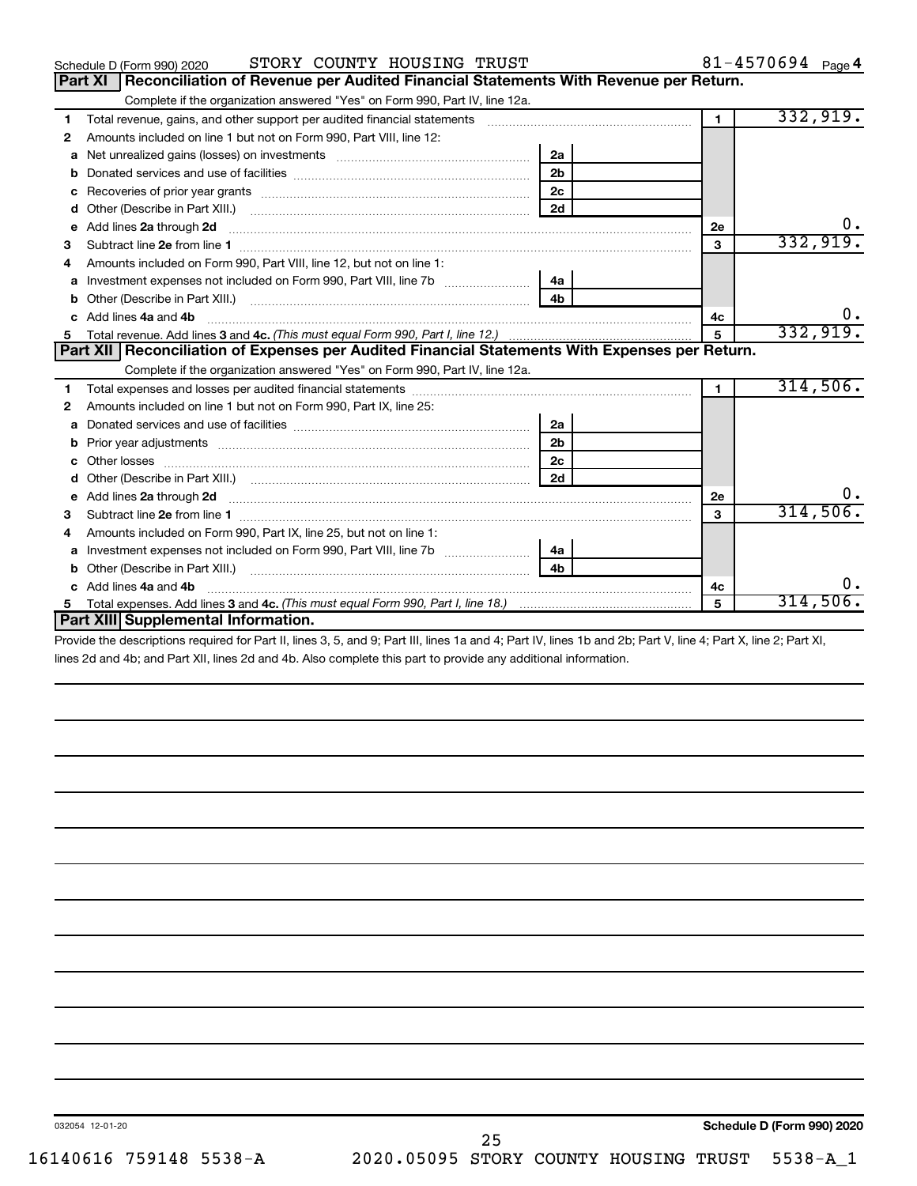|    | STORY COUNTY HOUSING TRUST<br>Schedule D (Form 990) 2020                                                                                                                                                                             |                |              | 81-4570694 Page 4 |
|----|--------------------------------------------------------------------------------------------------------------------------------------------------------------------------------------------------------------------------------------|----------------|--------------|-------------------|
|    | Reconciliation of Revenue per Audited Financial Statements With Revenue per Return.<br><b>Part XI</b>                                                                                                                                |                |              |                   |
|    | Complete if the organization answered "Yes" on Form 990, Part IV, line 12a.                                                                                                                                                          |                |              |                   |
| 1  | Total revenue, gains, and other support per audited financial statements [111][11] matter controller matter controller matter controller matter matter matter matter matter matter matter matter matter matter matter matter m       |                | $\mathbf{1}$ | 332,919.          |
| 2  | Amounts included on line 1 but not on Form 990, Part VIII, line 12:                                                                                                                                                                  |                |              |                   |
| a  |                                                                                                                                                                                                                                      | 2a             |              |                   |
|    |                                                                                                                                                                                                                                      | 2 <sub>b</sub> |              |                   |
| с  |                                                                                                                                                                                                                                      | 2 <sub>c</sub> |              |                   |
| d  |                                                                                                                                                                                                                                      | 2d             |              |                   |
| е  | Add lines 2a through 2d                                                                                                                                                                                                              |                | 2е           | 0.                |
| 3  |                                                                                                                                                                                                                                      |                | 3            | 332,919.          |
| 4  | Amounts included on Form 990. Part VIII. line 12, but not on line 1:                                                                                                                                                                 |                |              |                   |
| a  |                                                                                                                                                                                                                                      |                |              |                   |
|    |                                                                                                                                                                                                                                      | 4 <sub>b</sub> |              |                   |
|    | c Add lines 4a and 4b                                                                                                                                                                                                                |                | 4c           |                   |
| 5  |                                                                                                                                                                                                                                      |                | 5            | 332,919.          |
|    | Part XII   Reconciliation of Expenses per Audited Financial Statements With Expenses per Return.                                                                                                                                     |                |              |                   |
|    | Complete if the organization answered "Yes" on Form 990, Part IV, line 12a.                                                                                                                                                          |                |              |                   |
| 1  |                                                                                                                                                                                                                                      |                | 1.           | 314,506.          |
| 2  | Amounts included on line 1 but not on Form 990, Part IX, line 25:                                                                                                                                                                    |                |              |                   |
| a  |                                                                                                                                                                                                                                      | 2a             |              |                   |
| b  |                                                                                                                                                                                                                                      | 2 <sub>b</sub> |              |                   |
|    | Other losses                                                                                                                                                                                                                         | 2 <sub>c</sub> |              |                   |
| d  |                                                                                                                                                                                                                                      | 2d             |              |                   |
| е  | Add lines 2a through 2d <b>contained a contained a contained a contained a contained a contained a contained a contained a contact a contact a contact a contact a contact a contact a contact a contact a contact a contact a c</b> |                | 2e           | υ.                |
| з  | Subtract line 2e from line 1 <b>manufacture in the contract of the 2e</b> from line 1                                                                                                                                                |                | 3            | 314,506.          |
| 4  | Amounts included on Form 990, Part IX, line 25, but not on line 1:                                                                                                                                                                   |                |              |                   |
| a  | Investment expenses not included on Form 990, Part VIII, line 7b [100] [100] [100] [100] [100] [100] [100] [10                                                                                                                       | 4a             |              |                   |
| b  |                                                                                                                                                                                                                                      | 4 <sub>b</sub> |              |                   |
| C. | Add lines 4a and 4b                                                                                                                                                                                                                  |                | 4c           | ο.                |
| 5  | Total expenses. Add lines 3 and 4c. (This must equal Form 990, Part I, line 18.) <i>manumeron containmana</i> manumeron                                                                                                              |                | 5            | 314,506.          |
|    | Part XIII Supplemental Information.                                                                                                                                                                                                  |                |              |                   |
|    | THE RULE OF LORISON AND LORENT ALL LOL RULE ARM ARMOUR                                                                                                                                                                               |                |              |                   |

Provide the descriptions required for Part II, lines 3, 5, and 9; Part III, lines 1a and 4; Part IV, lines 1b and 2b; Part V, line 4; Part X, line 2; Part XI, lines 2d and 4b; and Part XII, lines 2d and 4b. Also complete this part to provide any additional information.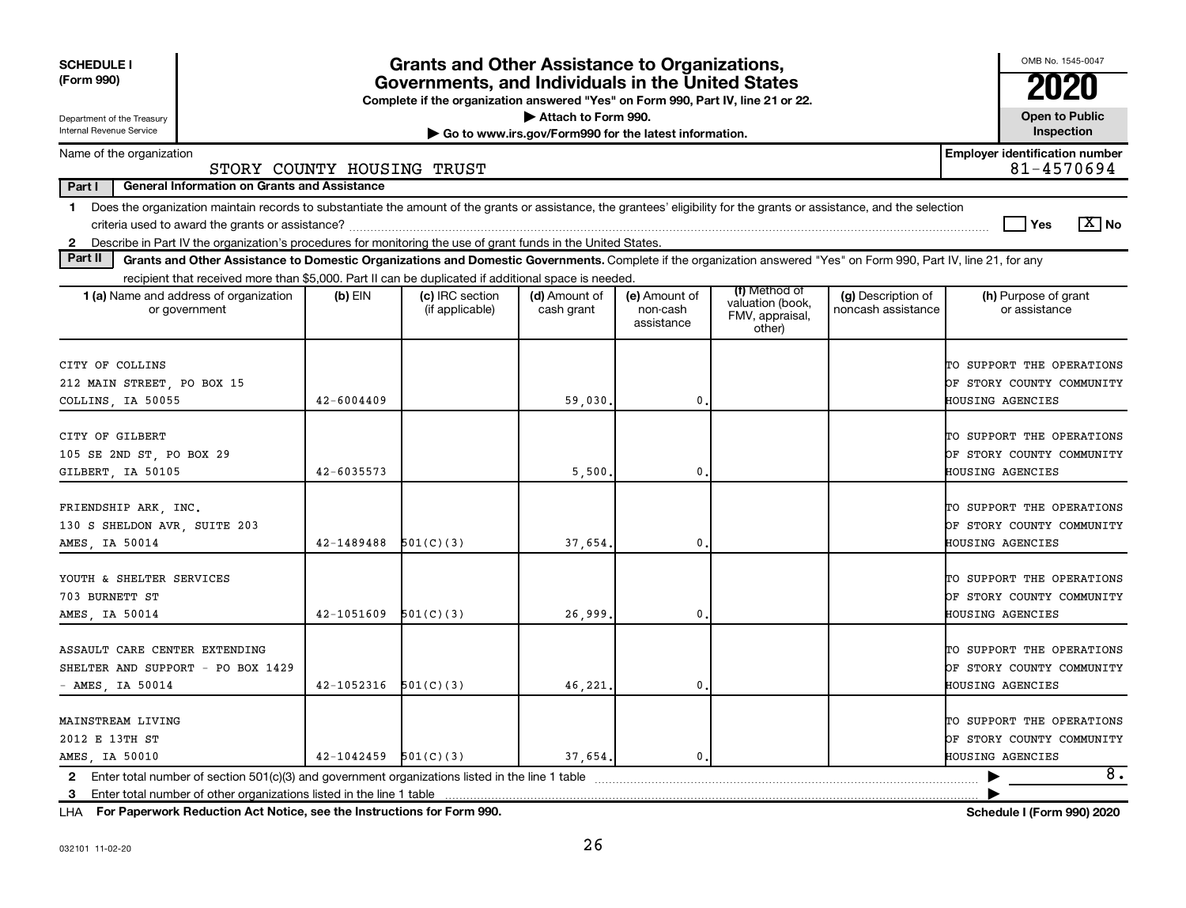| <b>SCHEDULE I</b><br>(Form 990)                                                                                                                                                                                                                                                                                                                                              |                            | <b>Grants and Other Assistance to Organizations,</b><br>Governments, and Individuals in the United States<br>Complete if the organization answered "Yes" on Form 990, Part IV, line 21 or 22. |                                                                              |                                         |                                                                |                                          | OMB No. 1545-0047<br>2020                                                         |
|------------------------------------------------------------------------------------------------------------------------------------------------------------------------------------------------------------------------------------------------------------------------------------------------------------------------------------------------------------------------------|----------------------------|-----------------------------------------------------------------------------------------------------------------------------------------------------------------------------------------------|------------------------------------------------------------------------------|-----------------------------------------|----------------------------------------------------------------|------------------------------------------|-----------------------------------------------------------------------------------|
| Department of the Treasury<br>Internal Revenue Service                                                                                                                                                                                                                                                                                                                       |                            |                                                                                                                                                                                               | Attach to Form 990.<br>Go to www.irs.gov/Form990 for the latest information. |                                         |                                                                |                                          | <b>Open to Public</b><br>Inspection                                               |
| Name of the organization                                                                                                                                                                                                                                                                                                                                                     | STORY COUNTY HOUSING TRUST |                                                                                                                                                                                               |                                                                              |                                         |                                                                |                                          | <b>Employer identification number</b><br>81-4570694                               |
| Part I<br><b>General Information on Grants and Assistance</b>                                                                                                                                                                                                                                                                                                                |                            |                                                                                                                                                                                               |                                                                              |                                         |                                                                |                                          |                                                                                   |
| Does the organization maintain records to substantiate the amount of the grants or assistance, the grantees' eligibility for the grants or assistance, and the selection<br>$\mathbf 1$<br>criteria used to award the grants or assistance?<br>Describe in Part IV the organization's procedures for monitoring the use of grant funds in the United States.<br>$\mathbf{2}$ |                            |                                                                                                                                                                                               |                                                                              |                                         |                                                                |                                          | $\boxed{\text{X}}$ No<br>Yes                                                      |
| Part II<br>Grants and Other Assistance to Domestic Organizations and Domestic Governments. Complete if the organization answered "Yes" on Form 990, Part IV, line 21, for any                                                                                                                                                                                                |                            |                                                                                                                                                                                               |                                                                              |                                         |                                                                |                                          |                                                                                   |
| recipient that received more than \$5,000. Part II can be duplicated if additional space is needed.                                                                                                                                                                                                                                                                          |                            |                                                                                                                                                                                               |                                                                              |                                         |                                                                |                                          |                                                                                   |
| 1 (a) Name and address of organization<br>or government                                                                                                                                                                                                                                                                                                                      | $(b)$ EIN                  | (c) IRC section<br>(if applicable)                                                                                                                                                            | (d) Amount of<br>cash grant                                                  | (e) Amount of<br>non-cash<br>assistance | (f) Method of<br>valuation (book,<br>FMV, appraisal,<br>other) | (g) Description of<br>noncash assistance | (h) Purpose of grant<br>or assistance                                             |
| CITY OF COLLINS<br>212 MAIN STREET, PO BOX 15<br>COLLINS, IA 50055                                                                                                                                                                                                                                                                                                           | 42-6004409                 |                                                                                                                                                                                               | 59,030                                                                       | 0                                       |                                                                |                                          | TO SUPPORT THE OPERATIONS<br>OF STORY COUNTY COMMUNITY<br>HOUSING AGENCIES        |
| CITY OF GILBERT<br>105 SE 2ND ST, PO BOX 29<br>GILBERT, IA 50105                                                                                                                                                                                                                                                                                                             | 42-6035573                 |                                                                                                                                                                                               | 5,500                                                                        | 0                                       |                                                                |                                          | TO SUPPORT THE OPERATIONS<br>OF STORY COUNTY COMMUNITY<br>HOUSING AGENCIES        |
| FRIENDSHIP ARK, INC.<br>130 S SHELDON AVR, SUITE 203<br>AMES, IA 50014                                                                                                                                                                                                                                                                                                       | 42-1489488                 | 501(C)(3)                                                                                                                                                                                     | 37,654                                                                       | $\mathbf 0$ .                           |                                                                |                                          | TO SUPPORT THE OPERATIONS<br>OF STORY COUNTY COMMUNITY<br>HOUSING AGENCIES        |
| YOUTH & SHELTER SERVICES<br>703 BURNETT ST<br>AMES, IA 50014                                                                                                                                                                                                                                                                                                                 | 42-1051609                 | 501(C)(3)                                                                                                                                                                                     | 26,999                                                                       | $\mathbf{0}$ .                          |                                                                |                                          | TO SUPPORT THE OPERATIONS<br>OF STORY COUNTY COMMUNITY<br><b>HOUSING AGENCIES</b> |
| ASSAULT CARE CENTER EXTENDING<br>SHELTER AND SUPPORT - PO BOX 1429<br>$-$ AMES, IA 50014                                                                                                                                                                                                                                                                                     | 42-1052316                 | 501(C)(3)                                                                                                                                                                                     | 46,221                                                                       | 0.                                      |                                                                |                                          | TO SUPPORT THE OPERATIONS<br>OF STORY COUNTY COMMUNITY<br>HOUSING AGENCIES        |
| MAINSTREAM LIVING<br>2012 E 13TH ST<br>AMES, IA 50010                                                                                                                                                                                                                                                                                                                        | 42-1042459                 | 501(C)(3)                                                                                                                                                                                     | 37,654,                                                                      | 0.                                      |                                                                |                                          | TO SUPPORT THE OPERATIONS<br>OF STORY COUNTY COMMUNITY<br>HOUSING AGENCIES        |
| Enter total number of section 501(c)(3) and government organizations listed in the line 1 table<br>$\mathbf{2}$                                                                                                                                                                                                                                                              |                            |                                                                                                                                                                                               |                                                                              |                                         |                                                                |                                          | 8.                                                                                |
| Enter total number of other organizations listed in the line 1 table<br>3                                                                                                                                                                                                                                                                                                    |                            |                                                                                                                                                                                               |                                                                              |                                         |                                                                |                                          |                                                                                   |

**For Paperwork Reduction Act Notice, see the Instructions for Form 990. Schedule I (Form 990) 2020** LHA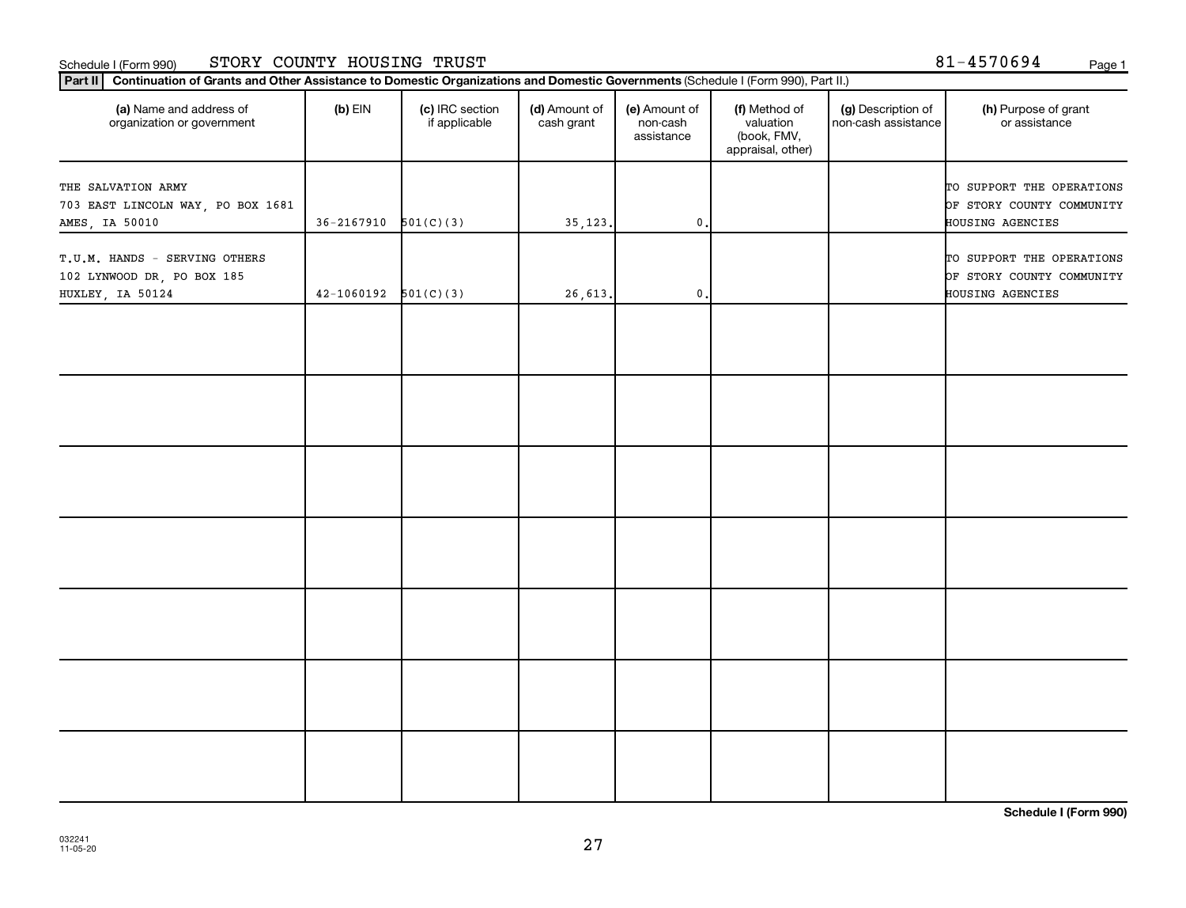#### Schedule I (Form 990) STORY COUNTY HOUSING TRUST 81-4570694 <sub>Page 1</sub>

|  |  |  |  | 31-4570694 | Page |
|--|--|--|--|------------|------|
|--|--|--|--|------------|------|

| (a) Name and address of<br>organization or government                           | $(b)$ EIN      | (c) IRC section<br>if applicable | (d) Amount of<br>cash grant | (e) Amount of<br>non-cash<br>assistance | (f) Method of<br>valuation<br>(book, FMV,<br>appraisal, other) | (g) Description of<br>non-cash assistance | (h) Purpose of grant<br>or assistance                                      |
|---------------------------------------------------------------------------------|----------------|----------------------------------|-----------------------------|-----------------------------------------|----------------------------------------------------------------|-------------------------------------------|----------------------------------------------------------------------------|
| THE SALVATION ARMY<br>703 EAST LINCOLN WAY, PO BOX 1681<br>AMES, IA 50010       | $36 - 2167910$ | 501(C)(3)                        | 35, 123.                    | $\mathbf 0$ .                           |                                                                |                                           | TO SUPPORT THE OPERATIONS<br>OF STORY COUNTY COMMUNITY<br>HOUSING AGENCIES |
| T.U.M. HANDS - SERVING OTHERS<br>102 LYNWOOD DR, PO BOX 185<br>HUXLEY, IA 50124 | $42 - 1060192$ | 501(C)(3)                        | 26,613.                     | $\mathbf 0$ .                           |                                                                |                                           | TO SUPPORT THE OPERATIONS<br>OF STORY COUNTY COMMUNITY<br>HOUSING AGENCIES |
|                                                                                 |                |                                  |                             |                                         |                                                                |                                           |                                                                            |
|                                                                                 |                |                                  |                             |                                         |                                                                |                                           |                                                                            |
|                                                                                 |                |                                  |                             |                                         |                                                                |                                           |                                                                            |
|                                                                                 |                |                                  |                             |                                         |                                                                |                                           |                                                                            |
|                                                                                 |                |                                  |                             |                                         |                                                                |                                           |                                                                            |
|                                                                                 |                |                                  |                             |                                         |                                                                |                                           |                                                                            |
|                                                                                 |                |                                  |                             |                                         |                                                                |                                           |                                                                            |
|                                                                                 |                |                                  |                             |                                         |                                                                |                                           |                                                                            |

**Schedule I (Form 990)**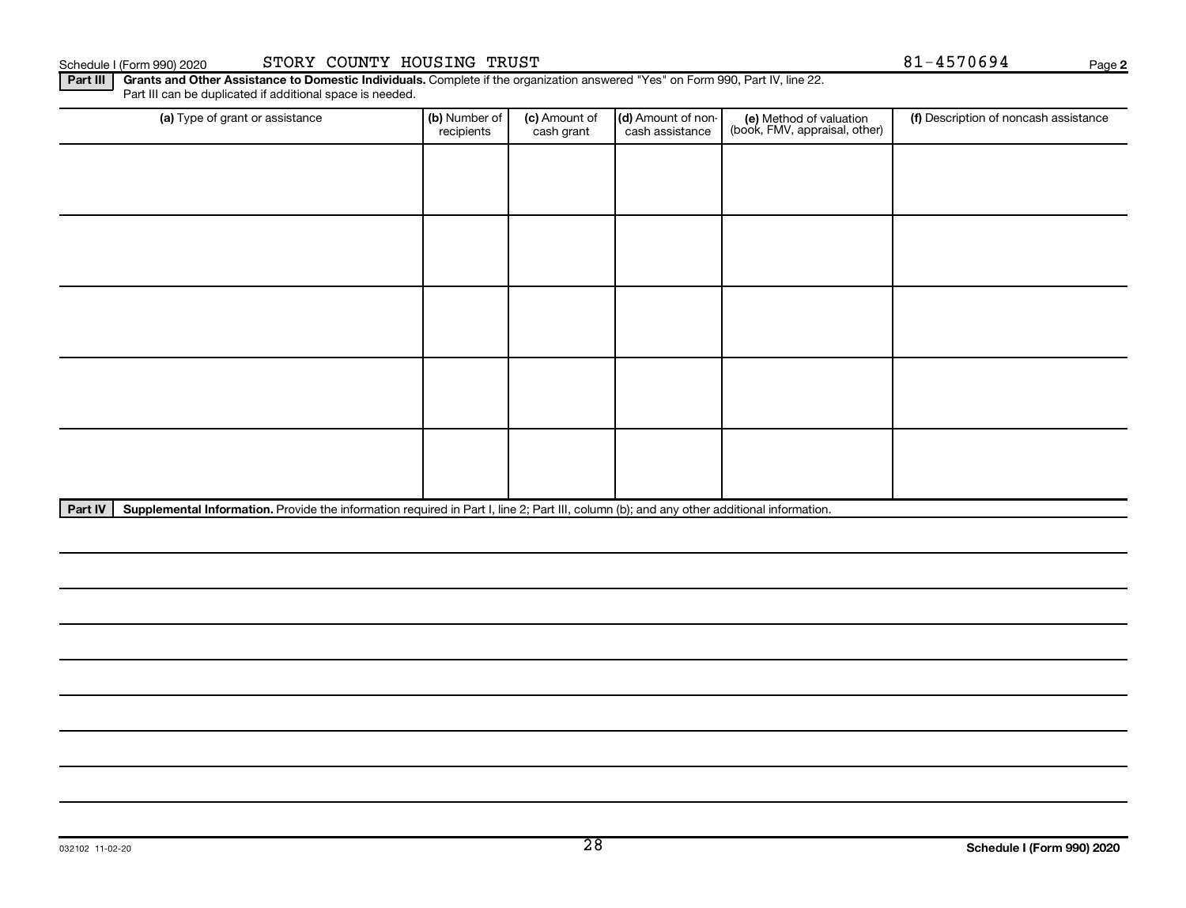Schedule I (Form 990) 2020 STORY COUNTY HOUSING TRUST Names and the state of the state of the Page Page Ra

**2**

Part III | Grants and Other Assistance to Domestic Individuals. Complete if the organization answered "Yes" on Form 990, Part IV, line 22. Part III can be duplicated if additional space is needed.

| (a) Type of grant or assistance | (b) Number of<br>recipients | (c) Amount of<br>cash grant | (d) Amount of non-<br>cash assistance | (e) Method of valuation<br>(book, FMV, appraisal, other) | (f) Description of noncash assistance |
|---------------------------------|-----------------------------|-----------------------------|---------------------------------------|----------------------------------------------------------|---------------------------------------|
|                                 |                             |                             |                                       |                                                          |                                       |
|                                 |                             |                             |                                       |                                                          |                                       |
|                                 |                             |                             |                                       |                                                          |                                       |
|                                 |                             |                             |                                       |                                                          |                                       |
|                                 |                             |                             |                                       |                                                          |                                       |
|                                 |                             |                             |                                       |                                                          |                                       |
|                                 |                             |                             |                                       |                                                          |                                       |
|                                 |                             |                             |                                       |                                                          |                                       |
|                                 |                             |                             |                                       |                                                          |                                       |
|                                 |                             |                             |                                       |                                                          |                                       |

Part IV | Supplemental Information. Provide the information required in Part I, line 2; Part III, column (b); and any other additional information.